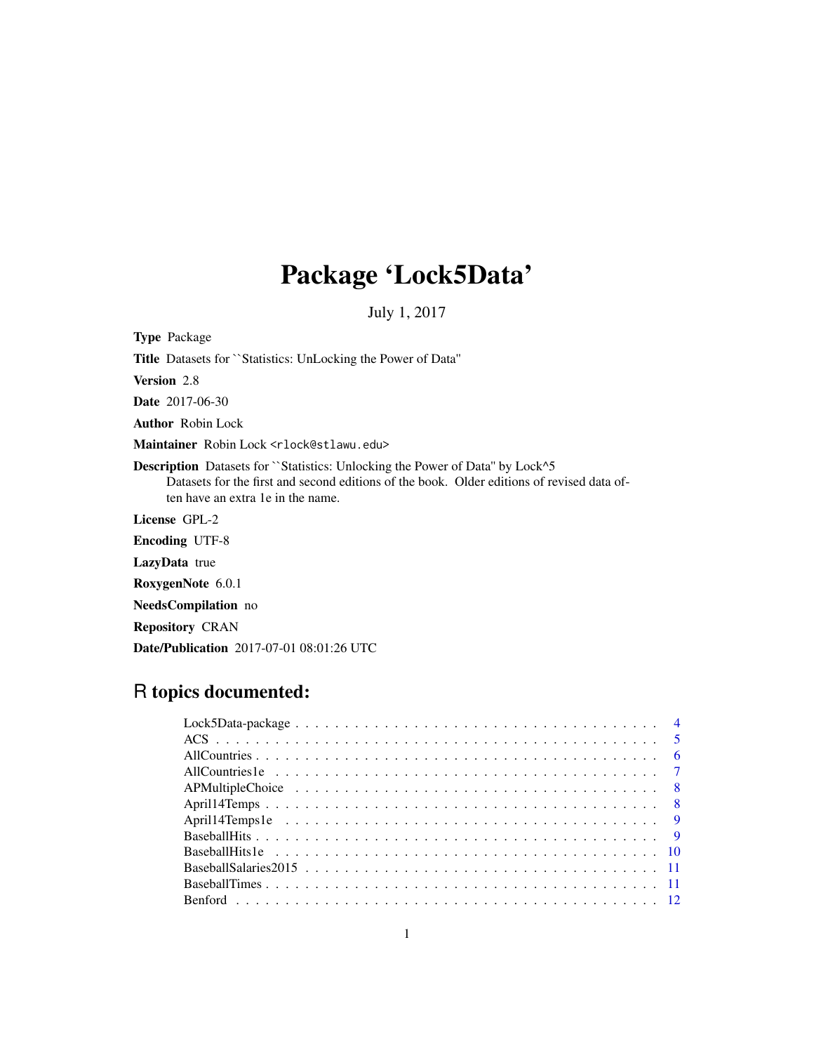# Package 'Lock5Data'

July 1, 2017

Type Package Title Datasets for ``Statistics: UnLocking the Power of Data'' Version 2.8 Date 2017-06-30 Author Robin Lock Maintainer Robin Lock <rlock@stlawu.edu> Description Datasets for ``Statistics: Unlocking the Power of Data" by Lock^5 Datasets for the first and second editions of the book. Older editions of revised data often have an extra 1e in the name. License GPL-2 Encoding UTF-8 LazyData true RoxygenNote 6.0.1 NeedsCompilation no

Repository CRAN

Date/Publication 2017-07-01 08:01:26 UTC

## R topics documented: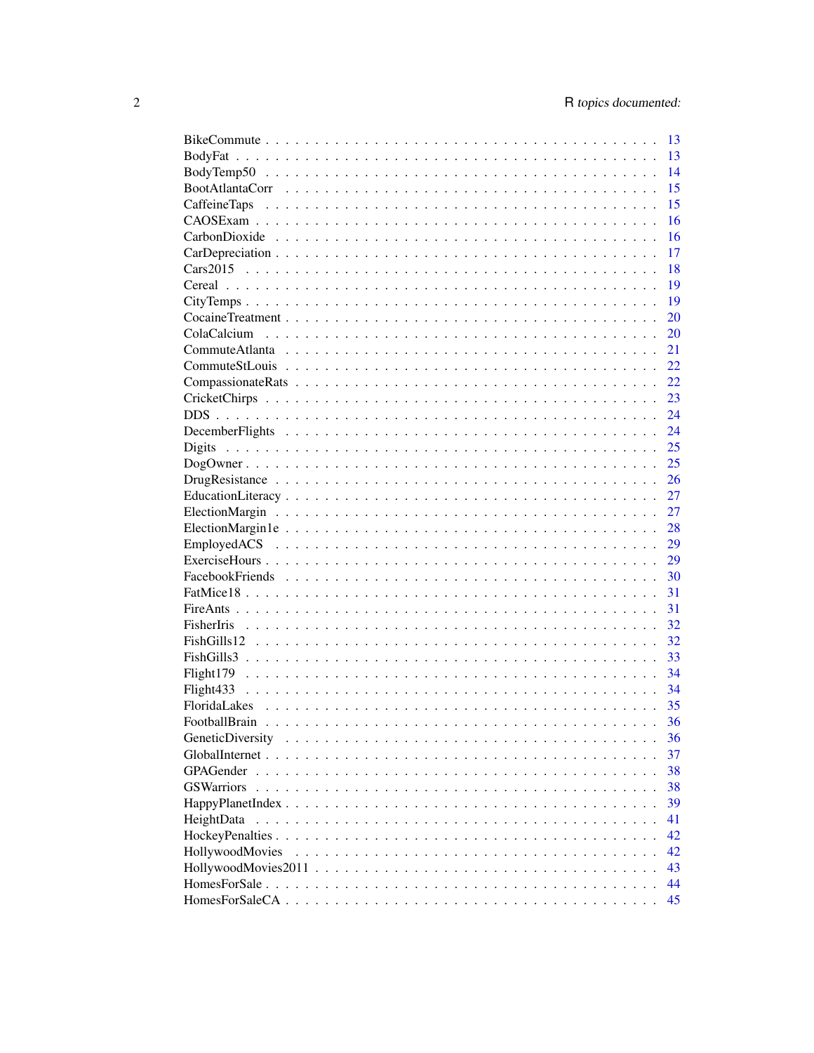|                  | 13 |
|------------------|----|
|                  | 13 |
|                  | 14 |
|                  | 15 |
|                  | 15 |
|                  | 16 |
|                  | 16 |
|                  | 17 |
|                  | 18 |
|                  | 19 |
|                  | 19 |
|                  | 20 |
|                  | 20 |
|                  | 21 |
|                  | 22 |
|                  | 22 |
|                  | 23 |
|                  | 24 |
|                  | 24 |
| Digits           | 25 |
|                  | 25 |
|                  | 26 |
|                  | 27 |
|                  | 27 |
|                  | 28 |
|                  | 29 |
|                  | 29 |
|                  | 30 |
|                  | 31 |
|                  | 31 |
|                  | 32 |
|                  | 32 |
|                  | 33 |
|                  | 34 |
|                  | 34 |
|                  | 35 |
|                  | 36 |
| GeneticDiversity | 36 |
|                  | 37 |
|                  | 38 |
|                  | 38 |
|                  | 39 |
| HeightData       | 41 |
|                  | 42 |
| HollywoodMovies  | 42 |
|                  | 43 |
|                  | 44 |
|                  | 45 |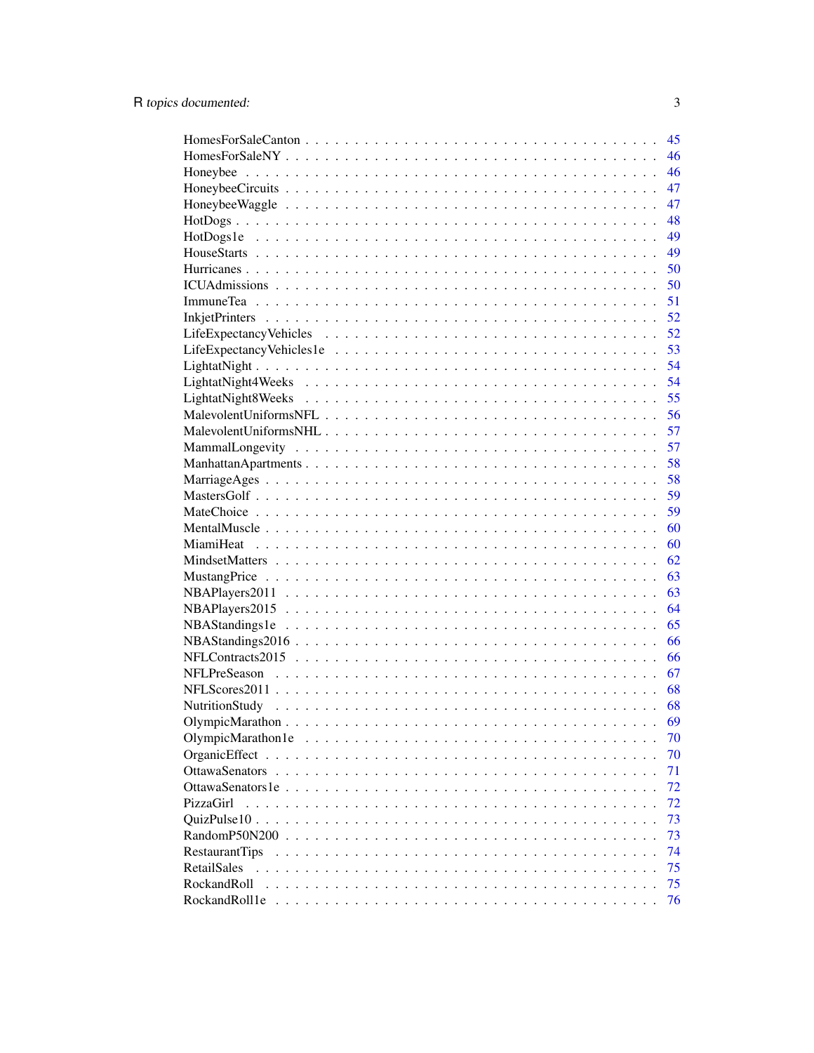|                       | 45 |
|-----------------------|----|
|                       | 46 |
|                       | 46 |
|                       | 47 |
|                       | 47 |
|                       | 48 |
|                       | 49 |
|                       | 49 |
|                       | 50 |
|                       | 50 |
|                       | 51 |
|                       | 52 |
|                       | 52 |
|                       | 53 |
|                       | 54 |
|                       | 54 |
|                       | 55 |
|                       | 56 |
|                       | 57 |
|                       | 57 |
|                       | 58 |
|                       | 58 |
|                       | 59 |
|                       | 59 |
|                       | 60 |
|                       | 60 |
|                       | 62 |
|                       | 63 |
|                       | 63 |
|                       | 64 |
|                       | 65 |
|                       | 66 |
|                       | 66 |
|                       | 67 |
|                       | 68 |
|                       | 68 |
|                       | 69 |
| OlympicMarathon1e     | 70 |
|                       | 70 |
|                       | 71 |
|                       | 72 |
| PizzaGirl             | 72 |
|                       | 73 |
| RandomP50N200         | 73 |
|                       | 74 |
| <b>RestaurantTips</b> | 75 |
| RetailSales           |    |
| RockandRoll           | 75 |
| RockandRoll1e         | 76 |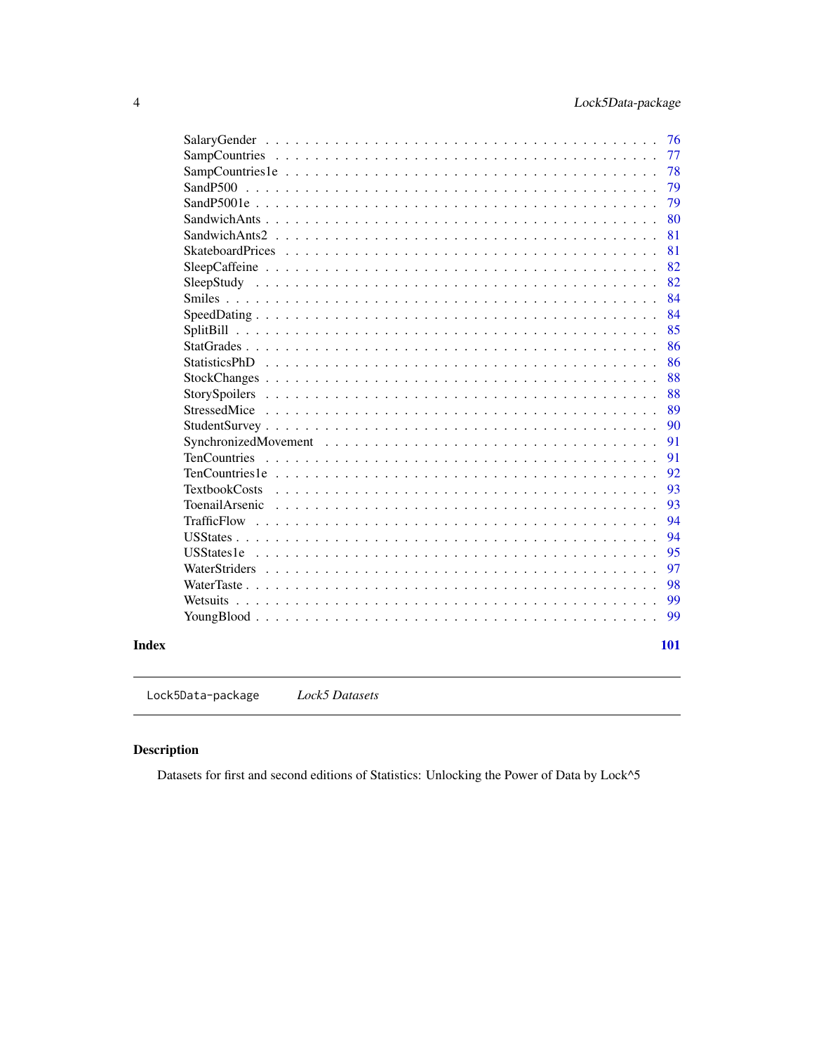<span id="page-3-0"></span>

|                      | 76  |
|----------------------|-----|
|                      | 77  |
|                      | 78  |
|                      | 79  |
|                      | 79  |
|                      | 80  |
|                      | 81  |
|                      | 81  |
|                      | 82  |
|                      | 82  |
|                      | 84  |
|                      | 84  |
|                      | 85  |
|                      | 86  |
|                      | 86  |
|                      | 88  |
|                      | 88  |
|                      | 89  |
|                      | 90  |
|                      | 91  |
|                      | 91  |
|                      | 92  |
| <b>TextbookCosts</b> | 93  |
| ToenailArsenic       | 93  |
|                      | 94  |
|                      | 94  |
| <b>USStates1e</b>    | 95  |
|                      | 97  |
|                      | 98  |
|                      | 99  |
|                      | 99  |
|                      | 101 |

Lock5Data-package *Lock5 Datasets*

## Description

Datasets for first and second editions of Statistics: Unlocking the Power of Data by Lock^5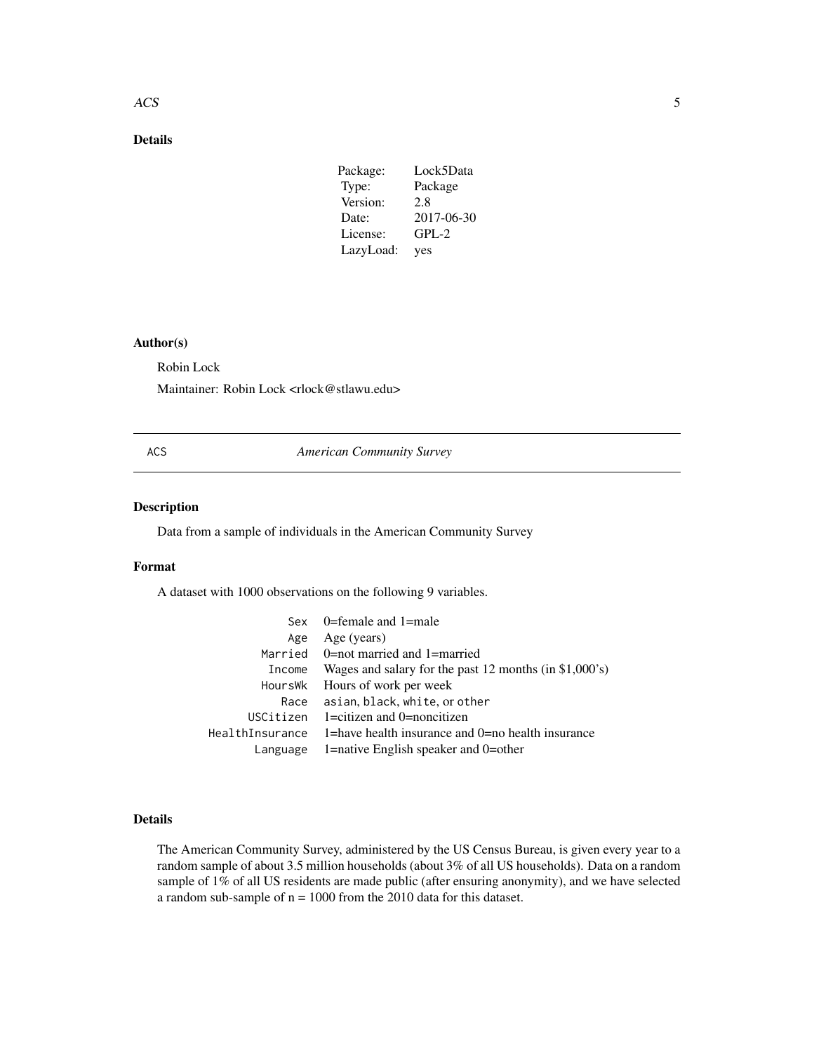#### <span id="page-4-0"></span>ACS 5

## Details

| Package:  | Lock5Data  |
|-----------|------------|
| Type:     | Package    |
| Version:  | 2.8        |
| Date:     | 2017-06-30 |
| License:  | $GPL-2$    |
| LazyLoad: | yes        |

## Author(s)

Robin Lock

Maintainer: Robin Lock <rlock@stlawu.edu>

ACS *American Community Survey*

## Description

Data from a sample of individuals in the American Community Survey

#### Format

A dataset with 1000 observations on the following 9 variables.

|                 | Sex 0=female and 1=male                                |
|-----------------|--------------------------------------------------------|
| Age             | Age (years)                                            |
|                 | Married $0=$ not married and 1=married                 |
| Income          | Wages and salary for the past 12 months (in \$1,000's) |
| HoursWk         | Hours of work per week                                 |
| Race            | asian, black, white, or other                          |
|                 | USCitizen $1 =$ citizen and 0 $=$ noncitizen           |
| HealthInsurance | 1=have health insurance and 0=no health insurance      |
| Language        | 1=native English speaker and 0=other                   |

## Details

The American Community Survey, administered by the US Census Bureau, is given every year to a random sample of about 3.5 million households (about 3% of all US households). Data on a random sample of 1% of all US residents are made public (after ensuring anonymity), and we have selected a random sub-sample of n = 1000 from the 2010 data for this dataset.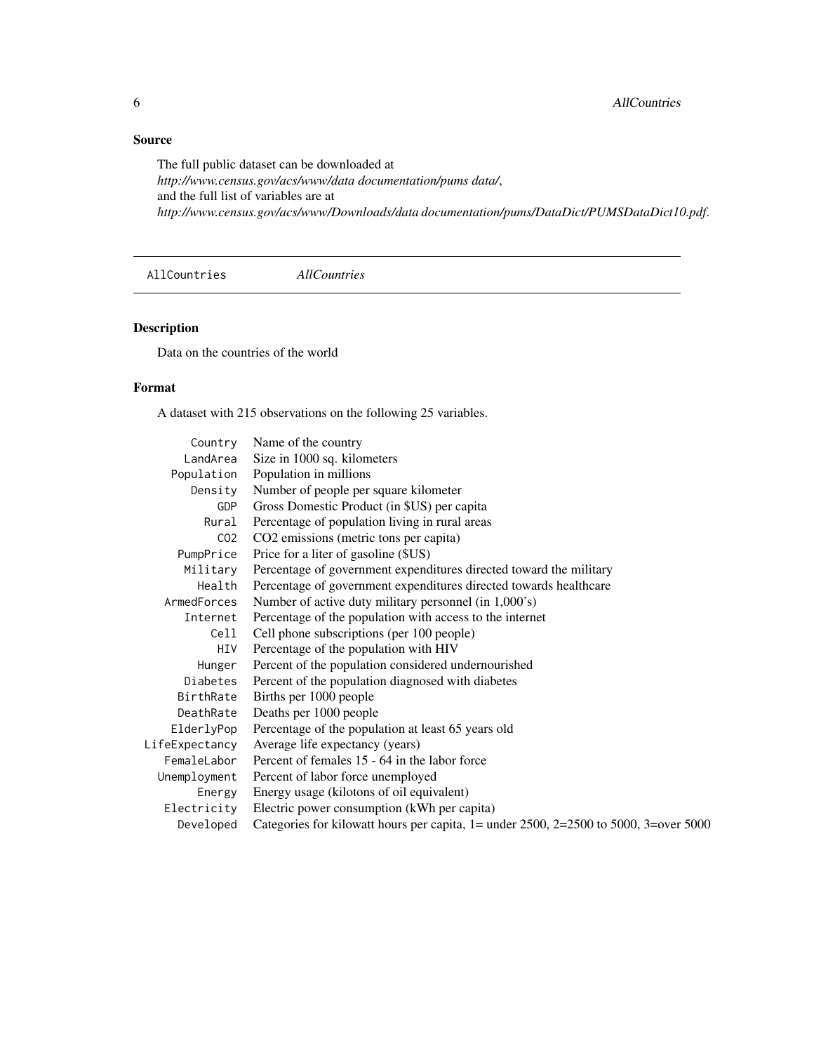## <span id="page-5-0"></span>Source

The full public dataset can be downloaded at *http://www.census.gov/acs/www/data documentation/pums data/*, and the full list of variables are at *http://www.census.gov/acs/www/Downloads/data documentation/pums/DataDict/PUMSDataDict10.pdf*.

AllCountries *AllCountries*

## Description

Data on the countries of the world

## Format

A dataset with 215 observations on the following 25 variables.

| Name of the country                                                                     |
|-----------------------------------------------------------------------------------------|
| Size in 1000 sq. kilometers                                                             |
| Population in millions                                                                  |
| Number of people per square kilometer<br>Density                                        |
| Gross Domestic Product (in \$US) per capita                                             |
| Percentage of population living in rural areas                                          |
| CO2 emissions (metric tons per capita)                                                  |
| Price for a liter of gasoline (\$US)                                                    |
| Percentage of government expenditures directed toward the military                      |
| Percentage of government expenditures directed towards healthcare                       |
| Number of active duty military personnel (in 1,000's)                                   |
| Percentage of the population with access to the internet                                |
| Cell phone subscriptions (per 100 people)                                               |
| Percentage of the population with HIV                                                   |
| Percent of the population considered undernourished                                     |
| Percent of the population diagnosed with diabetes                                       |
| Births per 1000 people                                                                  |
| Deaths per 1000 people                                                                  |
| Percentage of the population at least 65 years old                                      |
| Average life expectancy (years)                                                         |
| Percent of females 15 - 64 in the labor force                                           |
| Percent of labor force unemployed                                                       |
| Energy usage (kilotons of oil equivalent)                                               |
| Electric power consumption (kWh per capita)                                             |
| Categories for kilowatt hours per capita, $1 =$ under 2500, 2=2500 to 5000, 3=over 5000 |
|                                                                                         |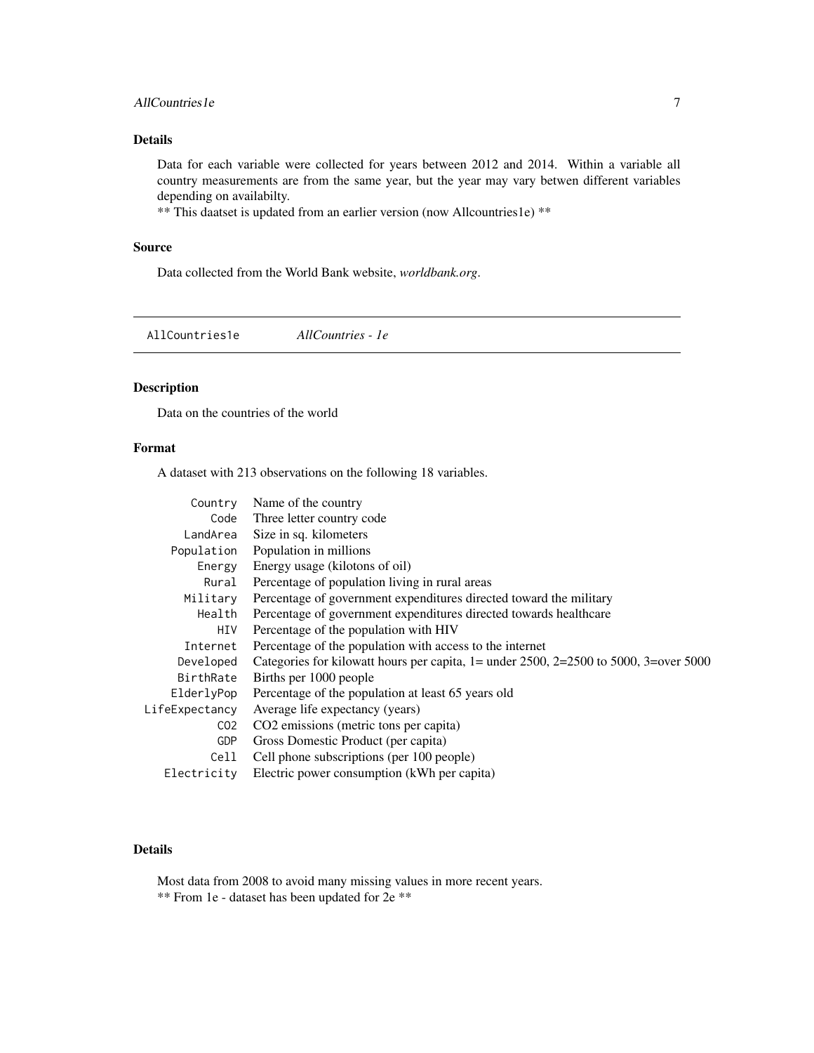## <span id="page-6-0"></span>AllCountries 1e 7 and 7 and 7 and 7 and 7 and 7 and 7 and 7 and 7 and 7 and 7 and 7 and 7 and 7 and 7 and 7 and 7 and 7 and 7 and 7 and 7 and 7 and 7 and 7 and 7 and 7 and 7 and 7 and 7 and 7 and 7 and 7 and 7 and 7 and 7

## Details

Data for each variable were collected for years between 2012 and 2014. Within a variable all country measurements are from the same year, but the year may vary betwen different variables depending on availabilty.

\*\* This daatset is updated from an earlier version (now Allcountries1e) \*\*

## Source

Data collected from the World Bank website, *worldbank.org*.

AllCountries1e *AllCountries - 1e*

## Description

Data on the countries of the world

## Format

A dataset with 213 observations on the following 18 variables.

| Name of the country                                                                     |
|-----------------------------------------------------------------------------------------|
| Three letter country code                                                               |
| Size in sq. kilometers                                                                  |
| Population in millions                                                                  |
| Energy usage (kilotons of oil)                                                          |
| Percentage of population living in rural areas                                          |
| Percentage of government expenditures directed toward the military                      |
| Percentage of government expenditures directed towards healthcare                       |
| Percentage of the population with HIV                                                   |
| Percentage of the population with access to the internet                                |
| Categories for kilowatt hours per capita, $1 =$ under 2500, 2=2500 to 5000, 3=over 5000 |
| Births per 1000 people                                                                  |
| Percentage of the population at least 65 years old                                      |
| Average life expectancy (years)                                                         |
| CO2 emissions (metric tons per capita)                                                  |
| Gross Domestic Product (per capita)                                                     |
| Cell phone subscriptions (per 100 people)                                               |
| Electric power consumption (kWh per capita)                                             |
|                                                                                         |

## Details

Most data from 2008 to avoid many missing values in more recent years. \*\* From 1e - dataset has been updated for 2e \*\*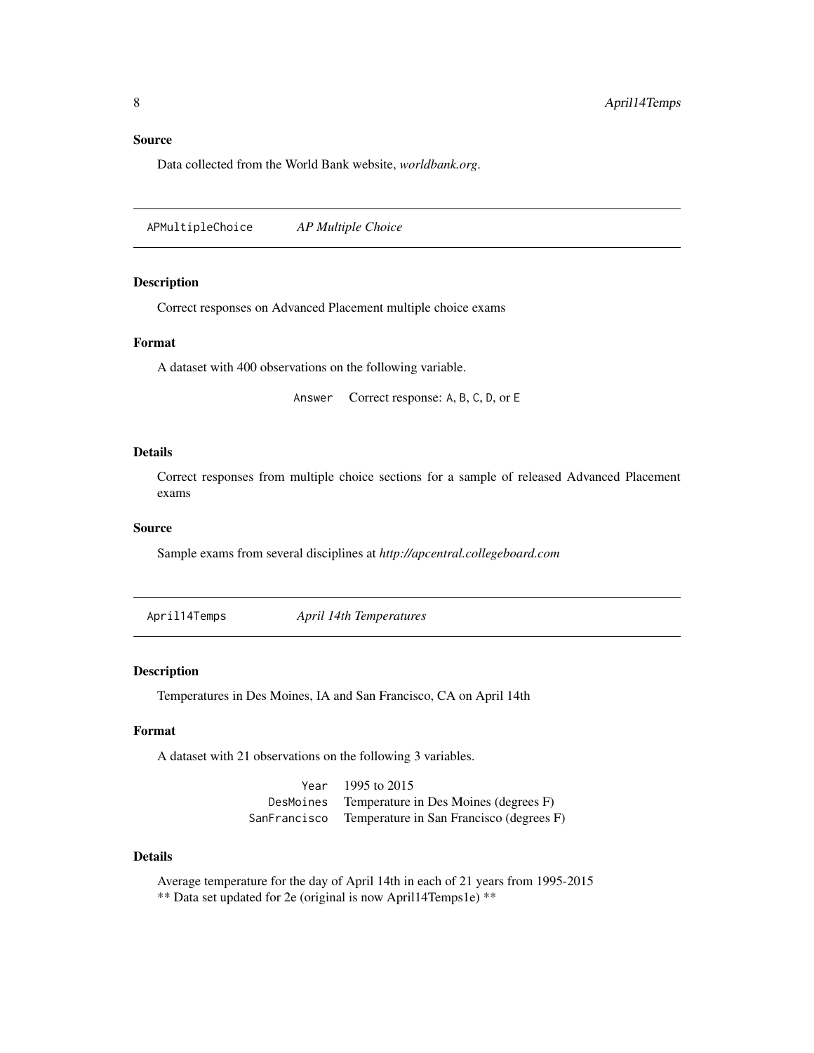#### <span id="page-7-0"></span>Source

Data collected from the World Bank website, *worldbank.org*.

APMultipleChoice *AP Multiple Choice*

#### Description

Correct responses on Advanced Placement multiple choice exams

## Format

A dataset with 400 observations on the following variable.

Answer Correct response: A, B, C, D, or E

## Details

Correct responses from multiple choice sections for a sample of released Advanced Placement exams

## Source

Sample exams from several disciplines at *http://apcentral.collegeboard.com*

April14Temps *April 14th Temperatures*

#### Description

Temperatures in Des Moines, IA and San Francisco, CA on April 14th

## Format

A dataset with 21 observations on the following 3 variables.

Year 1995 to 2015 DesMoines Temperature in Des Moines (degrees F) SanFrancisco Temperature in San Francisco (degrees F)

#### Details

Average temperature for the day of April 14th in each of 21 years from 1995-2015 \*\* Data set updated for 2e (original is now April14Temps1e) \*\*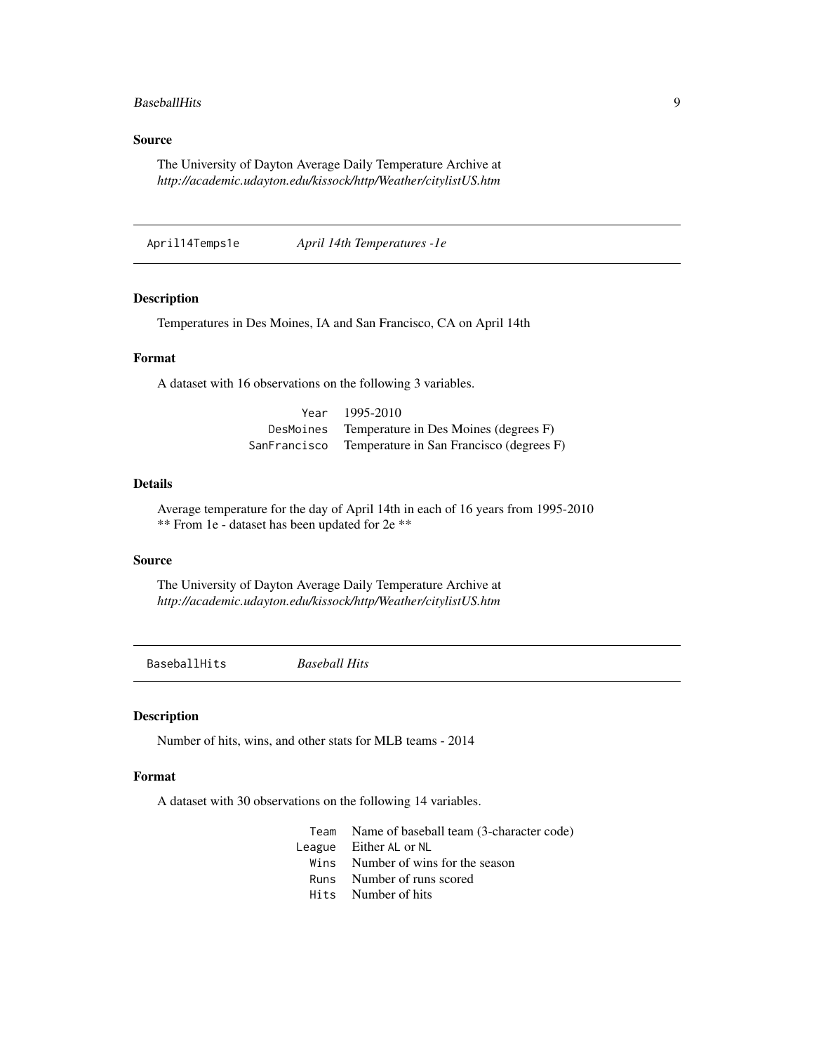#### <span id="page-8-0"></span>BaseballHits 9

## Source

The University of Dayton Average Daily Temperature Archive at *http://academic.udayton.edu/kissock/http/Weather/citylistUS.htm*

April14Temps1e *April 14th Temperatures -1e*

## Description

Temperatures in Des Moines, IA and San Francisco, CA on April 14th

## Format

A dataset with 16 observations on the following 3 variables.

| Year         | 1995-2010                                |
|--------------|------------------------------------------|
| DesMoines    | Temperature in Des Moines (degrees F)    |
| SanFrancisco | Temperature in San Francisco (degrees F) |

## Details

Average temperature for the day of April 14th in each of 16 years from 1995-2010 \*\* From 1e - dataset has been updated for 2e \*\*

#### Source

The University of Dayton Average Daily Temperature Archive at *http://academic.udayton.edu/kissock/http/Weather/citylistUS.htm*

BaseballHits *Baseball Hits*

## Description

Number of hits, wins, and other stats for MLB teams - 2014

## Format

A dataset with 30 observations on the following 14 variables.

| Team Name of baseball team (3-character code) |
|-----------------------------------------------|
| League Either AL or NL                        |
| Wins Number of wins for the season            |
| Runs Number of runs scored                    |
| Hits Number of hits                           |
|                                               |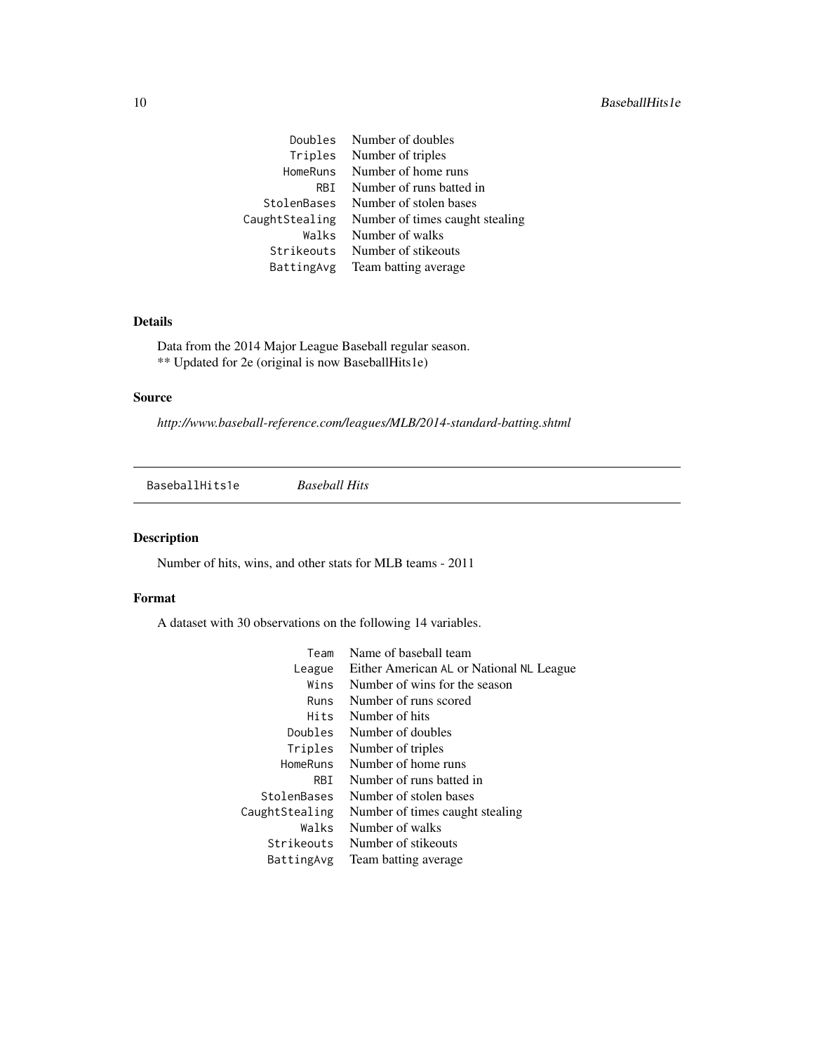<span id="page-9-0"></span>

| Doubles        | Number of doubles               |
|----------------|---------------------------------|
| Triples        | Number of triples               |
| HomeRuns       | Number of home runs             |
| RBT.           | Number of runs batted in        |
| StolenBases    | Number of stolen bases          |
| CaughtStealing | Number of times caught stealing |
| Walks          | Number of walks                 |
| Strikeouts     | Number of stikeouts             |
| BattingAvg     | Team batting average            |
|                |                                 |

## Details

Data from the 2014 Major League Baseball regular season. \*\* Updated for 2e (original is now BaseballHits1e)

### Source

*http://www.baseball-reference.com/leagues/MLB/2014-standard-batting.shtml*

BaseballHits1e *Baseball Hits*

## Description

Number of hits, wins, and other stats for MLB teams - 2011

## Format

A dataset with 30 observations on the following 14 variables.

| Team           | Name of baseball team                    |
|----------------|------------------------------------------|
| League         | Either American AL or National NL League |
| Wins           | Number of wins for the season            |
| Runs           | Number of runs scored                    |
| Hits           | Number of hits                           |
| Doubles        | Number of doubles                        |
| Triples        | Number of triples                        |
| HomeRuns       | Number of home runs                      |
| RBI.           | Number of runs batted in                 |
| StolenBases    | Number of stolen bases                   |
| CaughtStealing | Number of times caught stealing          |
| Walks          | Number of walks                          |
| Strikeouts     | Number of stikeouts                      |
| BattingAvg     | Team batting average                     |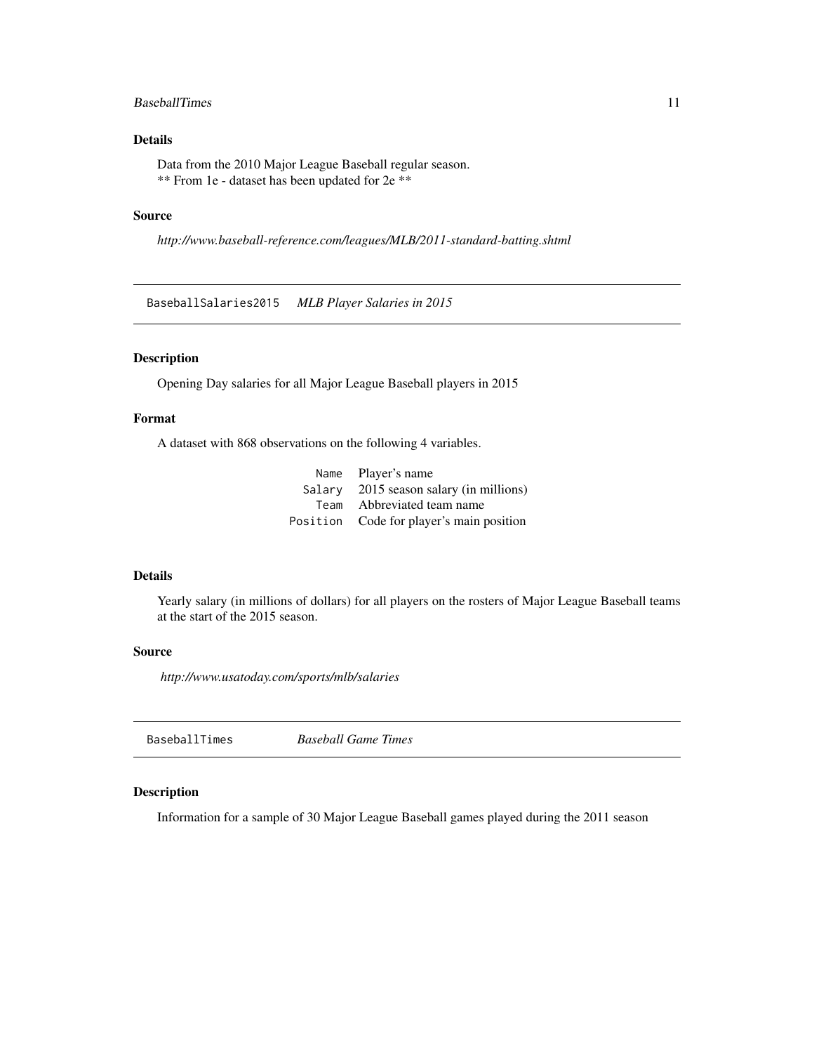## <span id="page-10-0"></span>BaseballTimes 11

## Details

Data from the 2010 Major League Baseball regular season. \*\* From 1e - dataset has been updated for 2e \*\*

#### Source

*http://www.baseball-reference.com/leagues/MLB/2011-standard-batting.shtml*

BaseballSalaries2015 *MLB Player Salaries in 2015*

## Description

Opening Day salaries for all Major League Baseball players in 2015

## Format

A dataset with 868 observations on the following 4 variables.

|        | Name Player's name                       |
|--------|------------------------------------------|
| Salarv | 2015 season salary (in millions)         |
| Team   | Abbreviated team name                    |
|        | Position Code for player's main position |
|        |                                          |

#### Details

Yearly salary (in millions of dollars) for all players on the rosters of Major League Baseball teams at the start of the 2015 season.

#### Source

*http://www.usatoday.com/sports/mlb/salaries*

BaseballTimes *Baseball Game Times*

#### Description

Information for a sample of 30 Major League Baseball games played during the 2011 season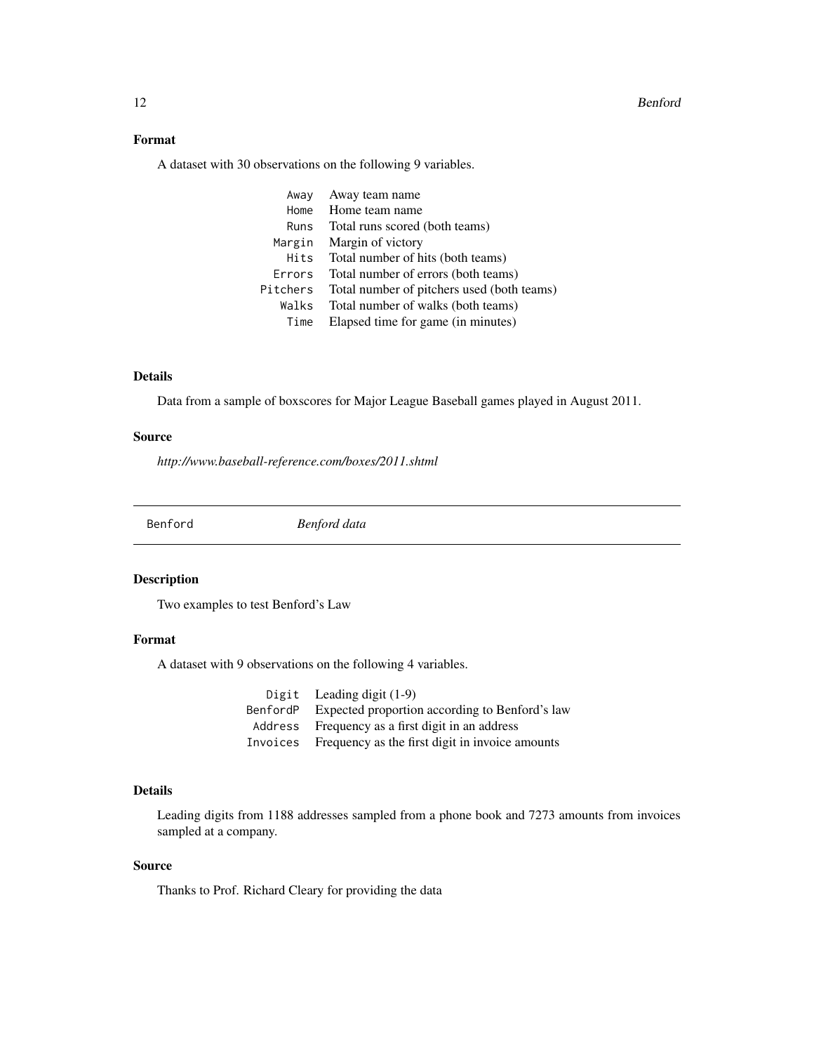## <span id="page-11-0"></span>Format

A dataset with 30 observations on the following 9 variables.

| Awav     | Away team name                             |
|----------|--------------------------------------------|
| Home     | Home team name                             |
| Runs     | Total runs scored (both teams)             |
| Margin   | Margin of victory                          |
| Hits     | Total number of hits (both teams)          |
| Errors   | Total number of errors (both teams)        |
| Pitchers | Total number of pitchers used (both teams) |
| Walks    | Total number of walks (both teams)         |
| Time     | Elapsed time for game (in minutes)         |

## Details

Data from a sample of boxscores for Major League Baseball games played in August 2011.

## Source

*http://www.baseball-reference.com/boxes/2011.shtml*

Benford *Benford data*

## Description

Two examples to test Benford's Law

## Format

A dataset with 9 observations on the following 4 variables.

| Digit Leading digit $(1-9)$                              |
|----------------------------------------------------------|
| Benford P Expected proportion according to Benford's law |
| Address Frequency as a first digit in an address         |
| Invoices Frequency as the first digit in invoice amounts |

## Details

Leading digits from 1188 addresses sampled from a phone book and 7273 amounts from invoices sampled at a company.

## Source

Thanks to Prof. Richard Cleary for providing the data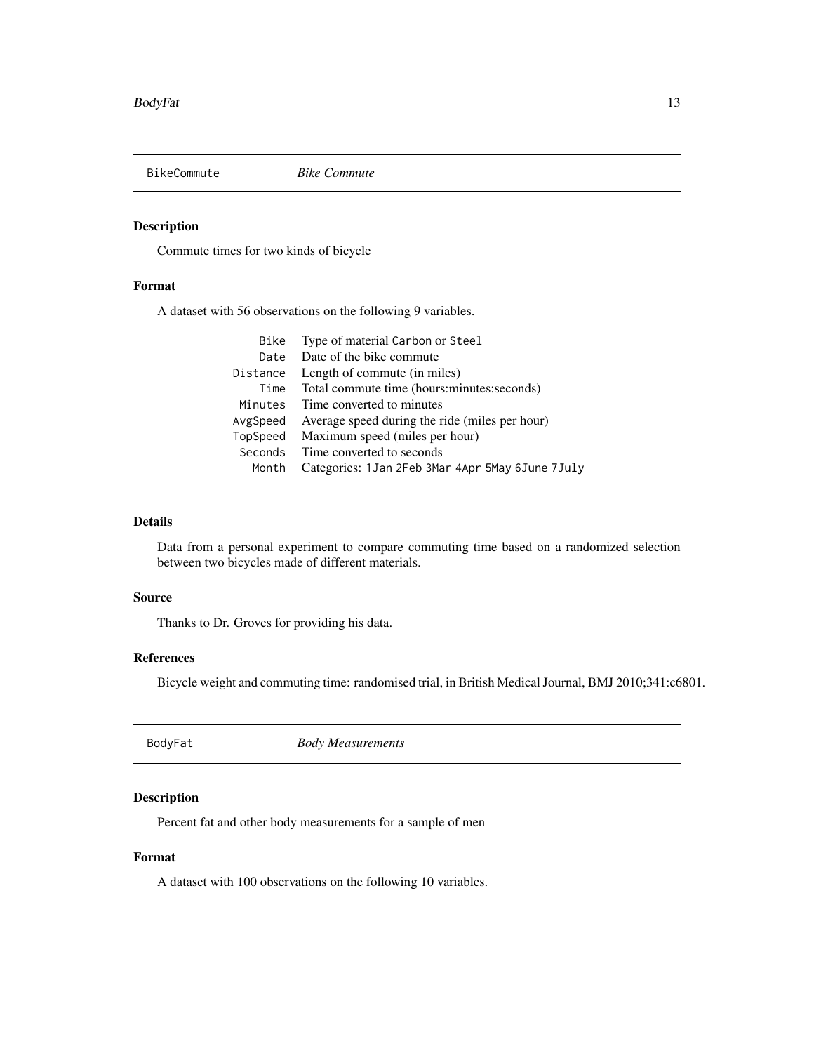<span id="page-12-0"></span>

Commute times for two kinds of bicycle

## Format

A dataset with 56 observations on the following 9 variables.

| Bike     | Type of material Carbon or Steel                 |
|----------|--------------------------------------------------|
| Date     | Date of the bike commute                         |
| Distance | Length of commute (in miles)                     |
| Time     | Total commute time (hours: minutes: seconds)     |
| Minutes  | Time converted to minutes                        |
| AvgSpeed | Average speed during the ride (miles per hour)   |
| TopSpeed | Maximum speed (miles per hour)                   |
| Seconds  | Time converted to seconds                        |
| Month    | Categories: 1Jan 2Feb 3Mar 4Apr 5May 6June 7July |
|          |                                                  |

## Details

Data from a personal experiment to compare commuting time based on a randomized selection between two bicycles made of different materials.

## Source

Thanks to Dr. Groves for providing his data.

## References

Bicycle weight and commuting time: randomised trial, in British Medical Journal, BMJ 2010;341:c6801.

BodyFat *Body Measurements*

## Description

Percent fat and other body measurements for a sample of men

## Format

A dataset with 100 observations on the following 10 variables.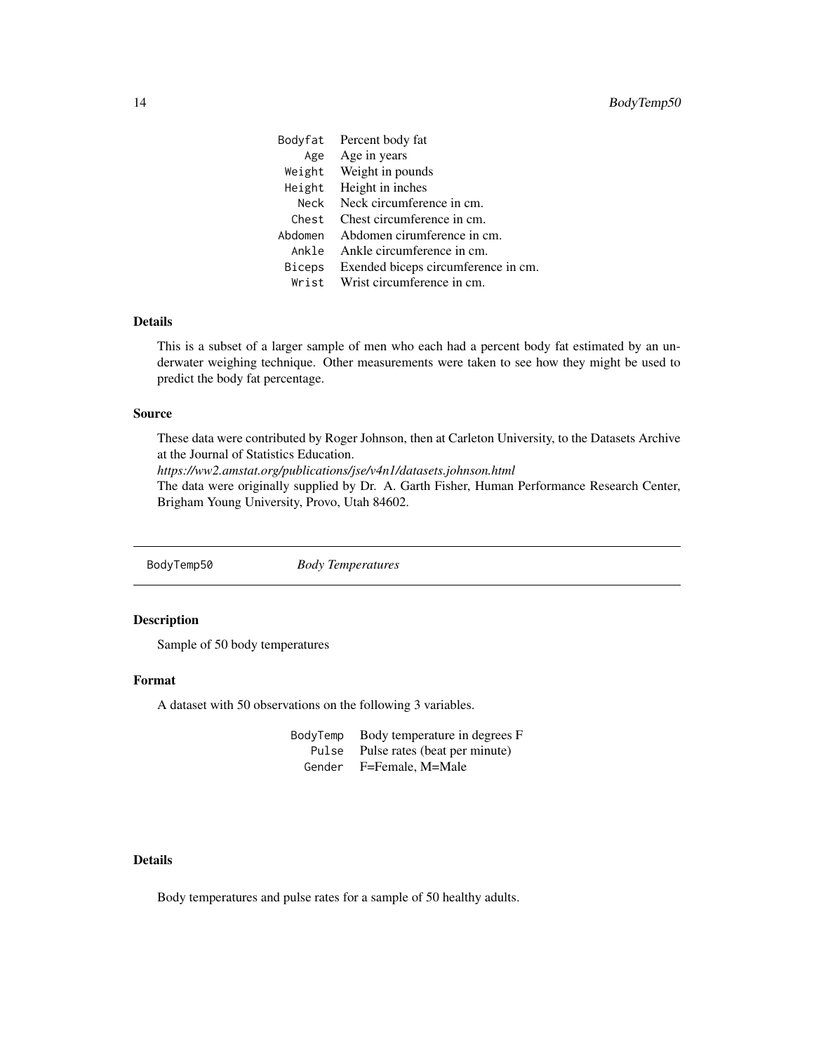<span id="page-13-0"></span>

|         | Bodyfat Percent body fat            |
|---------|-------------------------------------|
| Age     | Age in years                        |
|         | Weight Weight in pounds             |
|         | Height Height in inches             |
| Neck    | Neck circumference in cm.           |
| Chest   | Chest circumference in cm.          |
| Abdomen | Abdomen cirumference in cm.         |
| Ankle   | Ankle circumference in cm.          |
| Biceps  | Exended biceps circumference in cm. |
| Wrist   | Wrist circumference in cm.          |

## Details

This is a subset of a larger sample of men who each had a percent body fat estimated by an underwater weighing technique. Other measurements were taken to see how they might be used to predict the body fat percentage.

#### Source

These data were contributed by Roger Johnson, then at Carleton University, to the Datasets Archive at the Journal of Statistics Education.

*https://ww2.amstat.org/publications/jse/v4n1/datasets.johnson.html*

The data were originally supplied by Dr. A. Garth Fisher, Human Performance Research Center, Brigham Young University, Provo, Utah 84602.

BodyTemp50 *Body Temperatures*

## Description

Sample of 50 body temperatures

## Format

A dataset with 50 observations on the following 3 variables.

BodyTemp Body temperature in degrees F Pulse Pulse rates (beat per minute) Gender F=Female, M=Male

## Details

Body temperatures and pulse rates for a sample of 50 healthy adults.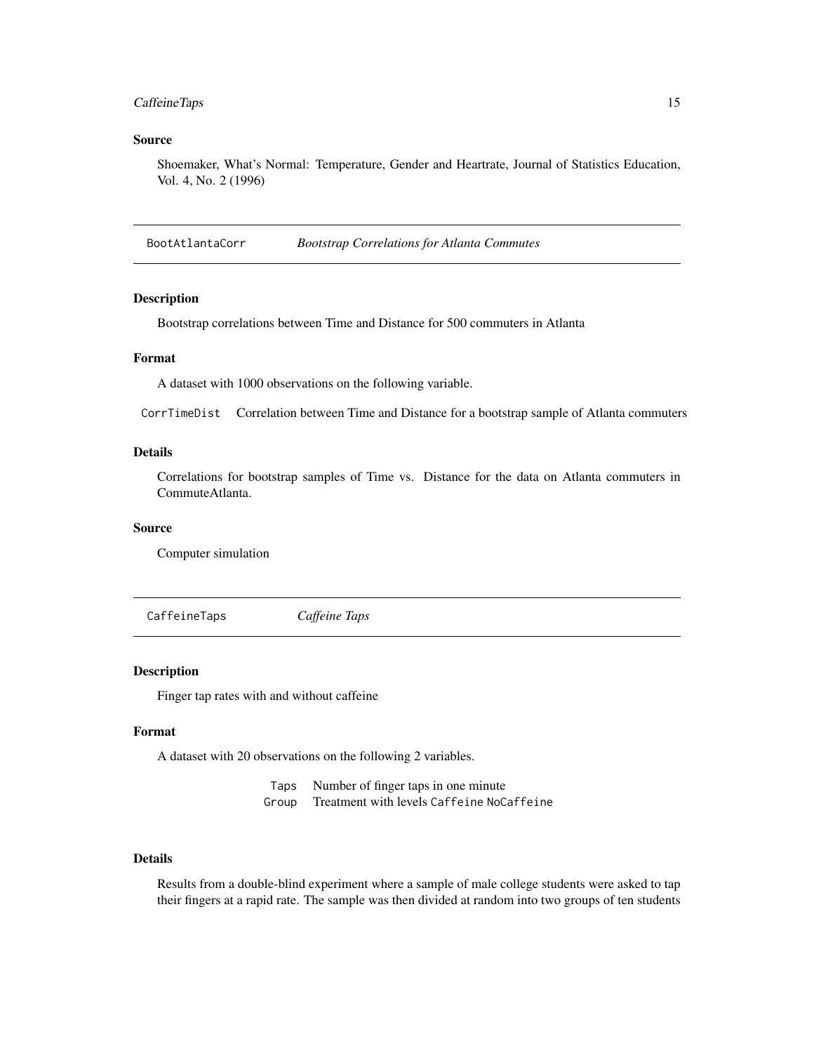## <span id="page-14-0"></span>CaffeineTaps 15

#### Source

Shoemaker, What's Normal: Temperature, Gender and Heartrate, Journal of Statistics Education, Vol. 4, No. 2 (1996)

BootAtlantaCorr *Bootstrap Correlations for Atlanta Commutes*

### Description

Bootstrap correlations between Time and Distance for 500 commuters in Atlanta

## Format

A dataset with 1000 observations on the following variable.

CorrTimeDist Correlation between Time and Distance for a bootstrap sample of Atlanta commuters

## Details

Correlations for bootstrap samples of Time vs. Distance for the data on Atlanta commuters in CommuteAtlanta.

## Source

Computer simulation

CaffeineTaps *Caffeine Taps*

## Description

Finger tap rates with and without caffeine

## Format

A dataset with 20 observations on the following 2 variables.

Taps Number of finger taps in one minute Group Treatment with levels Caffeine NoCaffeine

#### Details

Results from a double-blind experiment where a sample of male college students were asked to tap their fingers at a rapid rate. The sample was then divided at random into two groups of ten students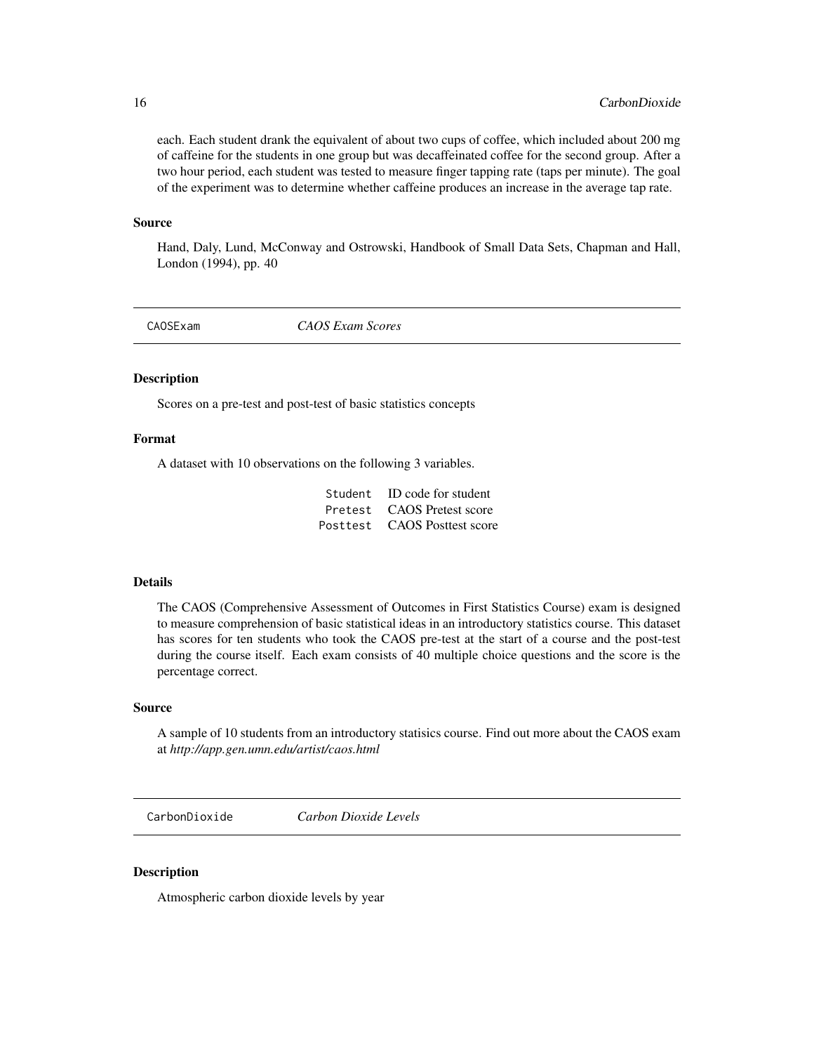each. Each student drank the equivalent of about two cups of coffee, which included about 200 mg of caffeine for the students in one group but was decaffeinated coffee for the second group. After a two hour period, each student was tested to measure finger tapping rate (taps per minute). The goal of the experiment was to determine whether caffeine produces an increase in the average tap rate.

#### Source

Hand, Daly, Lund, McConway and Ostrowski, Handbook of Small Data Sets, Chapman and Hall, London (1994), pp. 40

CAOSExam *CAOS Exam Scores*

#### Description

Scores on a pre-test and post-test of basic statistics concepts

## Format

A dataset with 10 observations on the following 3 variables.

| Student ID code for student  |
|------------------------------|
| Pretest CAOS Pretest score   |
| Posttest CAOS Posttest score |

#### Details

The CAOS (Comprehensive Assessment of Outcomes in First Statistics Course) exam is designed to measure comprehension of basic statistical ideas in an introductory statistics course. This dataset has scores for ten students who took the CAOS pre-test at the start of a course and the post-test during the course itself. Each exam consists of 40 multiple choice questions and the score is the percentage correct.

#### Source

A sample of 10 students from an introductory statisics course. Find out more about the CAOS exam at *http://app.gen.umn.edu/artist/caos.html*

CarbonDioxide *Carbon Dioxide Levels*

#### **Description**

Atmospheric carbon dioxide levels by year

<span id="page-15-0"></span>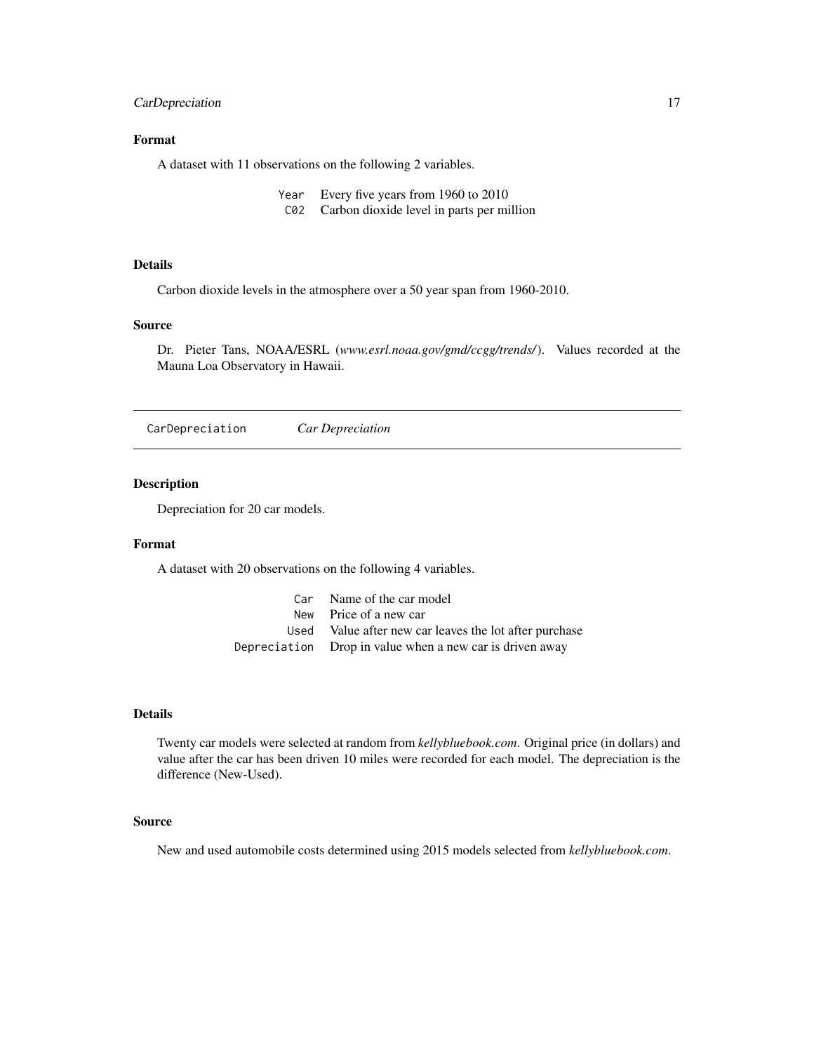## <span id="page-16-0"></span>CarDepreciation 17

## Format

A dataset with 11 observations on the following 2 variables.

- Year Every five years from 1960 to 2010
- C02 Carbon dioxide level in parts per million

## Details

Carbon dioxide levels in the atmosphere over a 50 year span from 1960-2010.

#### Source

Dr. Pieter Tans, NOAA/ESRL (*www.esrl.noaa.gov/gmd/ccgg/trends/*). Values recorded at the Mauna Loa Observatory in Hawaii.

CarDepreciation *Car Depreciation*

#### Description

Depreciation for 20 car models.

#### Format

A dataset with 20 observations on the following 4 variables.

| Car Name of the car model                                |
|----------------------------------------------------------|
| New Price of a new car                                   |
| Used Value after new car leaves the lot after purchase   |
| Depreciation Drop in value when a new car is driven away |

## Details

Twenty car models were selected at random from *kellybluebook.com*. Original price (in dollars) and value after the car has been driven 10 miles were recorded for each model. The depreciation is the difference (New-Used).

#### Source

New and used automobile costs determined using 2015 models selected from *kellybluebook.com*.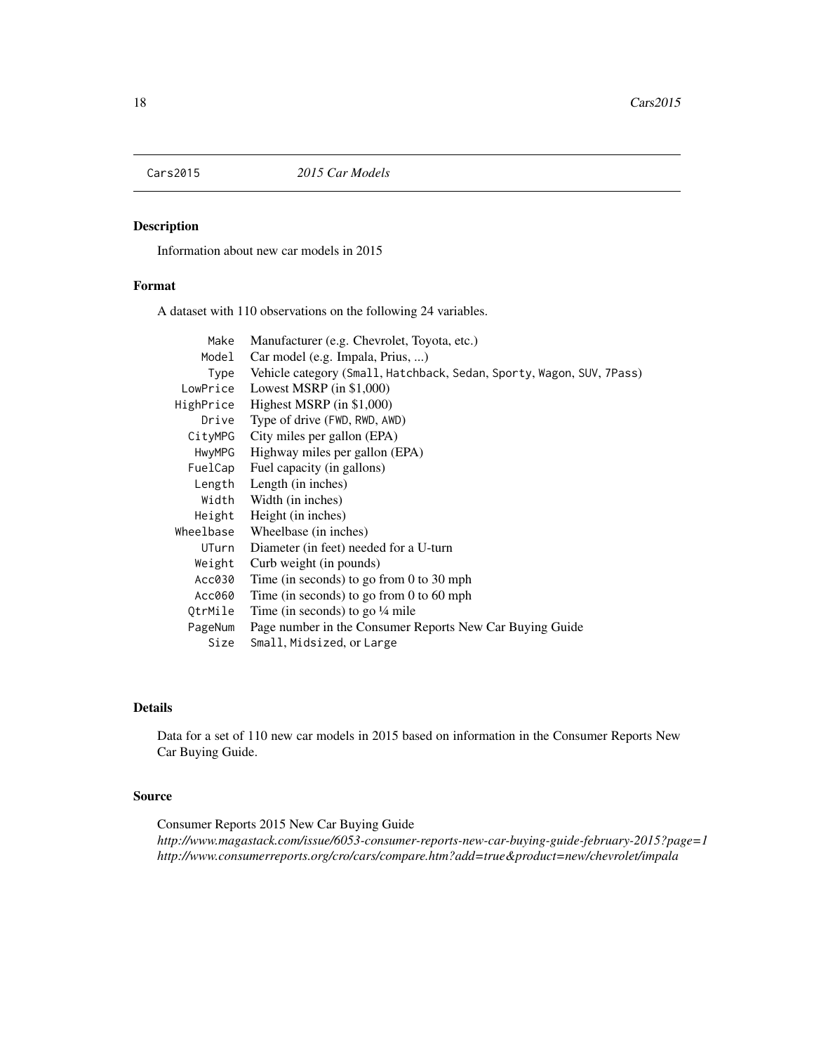<span id="page-17-0"></span>

Information about new car models in 2015

## Format

A dataset with 110 observations on the following 24 variables.

| Make      | Manufacturer (e.g. Chevrolet, Toyota, etc.)                           |
|-----------|-----------------------------------------------------------------------|
| Model     | Car model (e.g. Impala, Prius, )                                      |
| Type      | Vehicle category (Small, Hatchback, Sedan, Sporty, Wagon, SUV, 7Pass) |
| LowPrice  | Lowest MSRP (in \$1,000)                                              |
| HighPrice | Highest MSRP $(in $1,000)$                                            |
| Drive     | Type of drive (FWD, RWD, AWD)                                         |
| CityMPG   | City miles per gallon (EPA)                                           |
| HwyMPG    | Highway miles per gallon (EPA)                                        |
| FuelCap   | Fuel capacity (in gallons)                                            |
| Length    | Length (in inches)                                                    |
| Width     | Width (in inches)                                                     |
| Height    | Height (in inches)                                                    |
| Wheelbase | Wheelbase (in inches)                                                 |
| UTurn     | Diameter (in feet) needed for a U-turn                                |
| Weight    | Curb weight (in pounds)                                               |
| Acc030    | Time (in seconds) to go from 0 to 30 mph                              |
| Acc060    | Time (in seconds) to go from 0 to 60 mph                              |
| QtrMile   | Time (in seconds) to go $\frac{1}{4}$ mile                            |
| PageNum   | Page number in the Consumer Reports New Car Buying Guide              |
| Size      | Small, Midsized, or Large                                             |

## Details

Data for a set of 110 new car models in 2015 based on information in the Consumer Reports New Car Buying Guide.

## Source

Consumer Reports 2015 New Car Buying Guide *http://www.magastack.com/issue/6053-consumer-reports-new-car-buying-guide-february-2015?page=1 http://www.consumerreports.org/cro/cars/compare.htm?add=true&product=new/chevrolet/impala*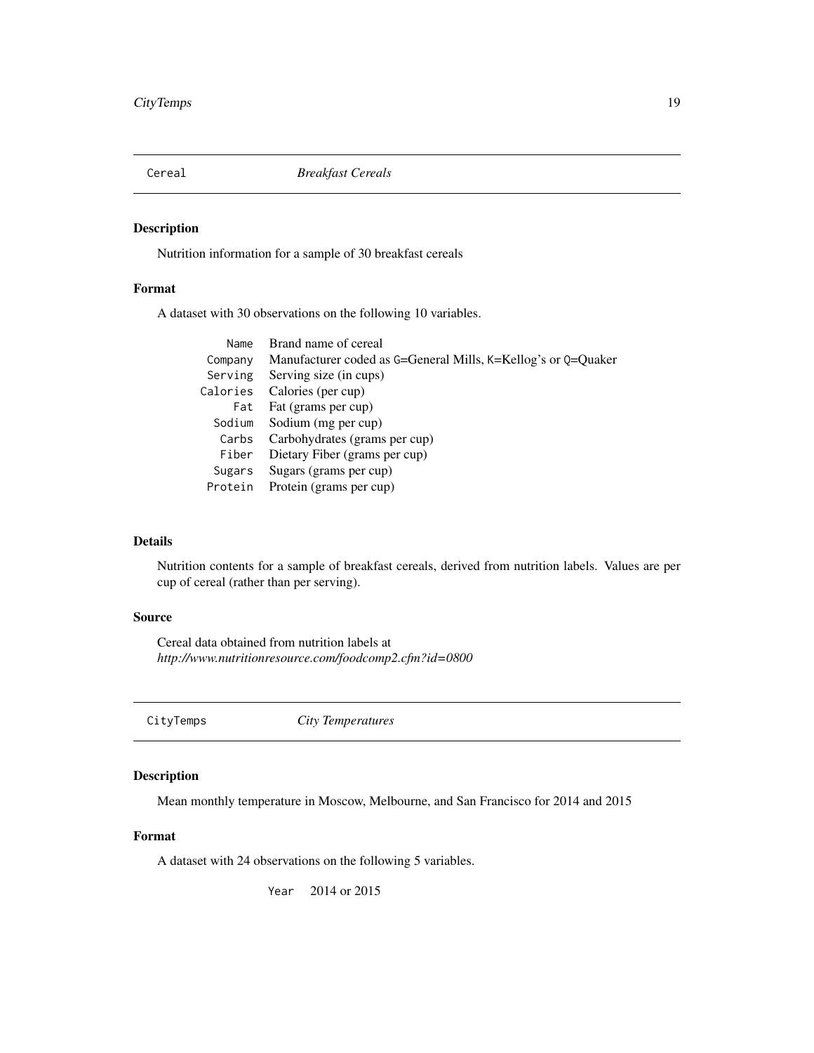<span id="page-18-0"></span>

Nutrition information for a sample of 30 breakfast cereals

## Format

A dataset with 30 observations on the following 10 variables.

| Name     | Brand name of cereal                                          |
|----------|---------------------------------------------------------------|
| Company  | Manufacturer coded as G=General Mills, K=Kellog's or Q=Quaker |
|          | Serving Serving size (in cups)                                |
| Calories | Calories (per cup)                                            |
| Fat      | Fat (grams per cup)                                           |
| Sodium   | Sodium (mg per cup)                                           |
|          | Carbs Carbohydrates (grams per cup)                           |
| Fiber    | Dietary Fiber (grams per cup)                                 |
| Sugars   | Sugars (grams per cup)                                        |
|          | Protein Protein (grams per cup)                               |
|          |                                                               |

## Details

Nutrition contents for a sample of breakfast cereals, derived from nutrition labels. Values are per cup of cereal (rather than per serving).

## Source

Cereal data obtained from nutrition labels at *http://www.nutritionresource.com/foodcomp2.cfm?id=0800*

CityTemps *City Temperatures*

## Description

Mean monthly temperature in Moscow, Melbourne, and San Francisco for 2014 and 2015

#### Format

A dataset with 24 observations on the following 5 variables.

Year 2014 or 2015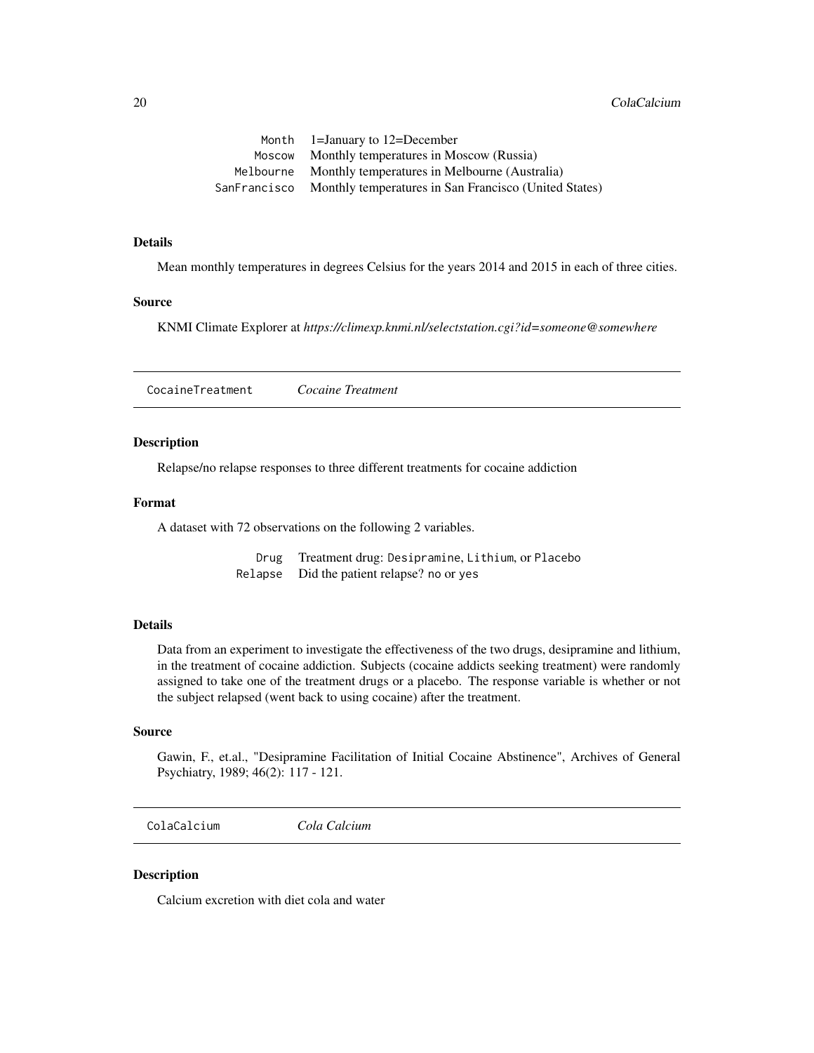<span id="page-19-0"></span>

| Month $1=$ January to $12=$ December                               |
|--------------------------------------------------------------------|
| Moscow Monthly temperatures in Moscow (Russia)                     |
| Melbourne Monthly temperatures in Melbourne (Australia)            |
| SanFrancisco Monthly temperatures in San Francisco (United States) |

#### Details

Mean monthly temperatures in degrees Celsius for the years 2014 and 2015 in each of three cities.

#### Source

KNMI Climate Explorer at *https://climexp.knmi.nl/selectstation.cgi?id=someone@somewhere*

CocaineTreatment *Cocaine Treatment*

#### Description

Relapse/no relapse responses to three different treatments for cocaine addiction

## Format

A dataset with 72 observations on the following 2 variables.

Drug Treatment drug: Desipramine, Lithium, or Placebo Relapse Did the patient relapse? no or yes

#### Details

Data from an experiment to investigate the effectiveness of the two drugs, desipramine and lithium, in the treatment of cocaine addiction. Subjects (cocaine addicts seeking treatment) were randomly assigned to take one of the treatment drugs or a placebo. The response variable is whether or not the subject relapsed (went back to using cocaine) after the treatment.

## Source

Gawin, F., et.al., "Desipramine Facilitation of Initial Cocaine Abstinence", Archives of General Psychiatry, 1989; 46(2): 117 - 121.

ColaCalcium *Cola Calcium*

#### Description

Calcium excretion with diet cola and water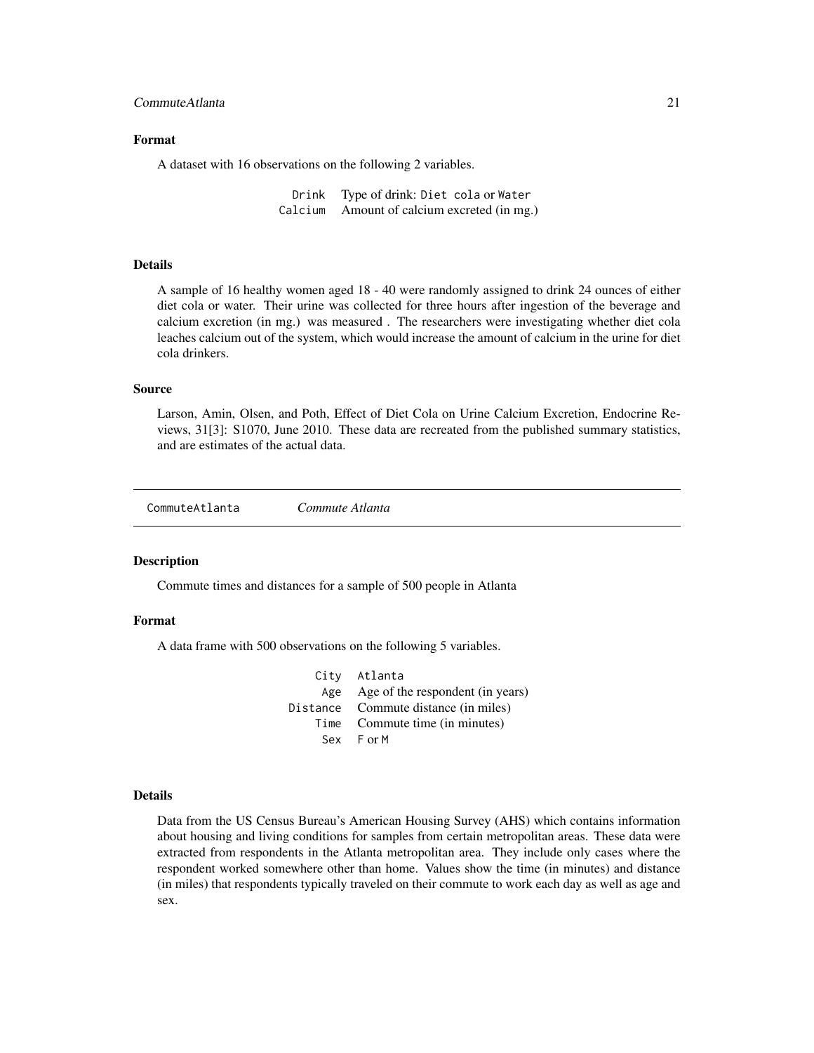## <span id="page-20-0"></span>Format

A dataset with 16 observations on the following 2 variables.

Drink Type of drink: Diet cola or Water Calcium Amount of calcium excreted (in mg.)

## Details

A sample of 16 healthy women aged 18 - 40 were randomly assigned to drink 24 ounces of either diet cola or water. Their urine was collected for three hours after ingestion of the beverage and calcium excretion (in mg.) was measured . The researchers were investigating whether diet cola leaches calcium out of the system, which would increase the amount of calcium in the urine for diet cola drinkers.

### Source

Larson, Amin, Olsen, and Poth, Effect of Diet Cola on Urine Calcium Excretion, Endocrine Reviews, 31[3]: S1070, June 2010. These data are recreated from the published summary statistics, and are estimates of the actual data.

CommuteAtlanta *Commute Atlanta*

#### Description

Commute times and distances for a sample of 500 people in Atlanta

#### Format

A data frame with 500 observations on the following 5 variables.

| City Atlanta                         |
|--------------------------------------|
| Age Age of the respondent (in years) |
| Distance Commute distance (in miles) |
| Time Commute time (in minutes)       |
| Sex For M                            |

#### Details

Data from the US Census Bureau's American Housing Survey (AHS) which contains information about housing and living conditions for samples from certain metropolitan areas. These data were extracted from respondents in the Atlanta metropolitan area. They include only cases where the respondent worked somewhere other than home. Values show the time (in minutes) and distance (in miles) that respondents typically traveled on their commute to work each day as well as age and sex.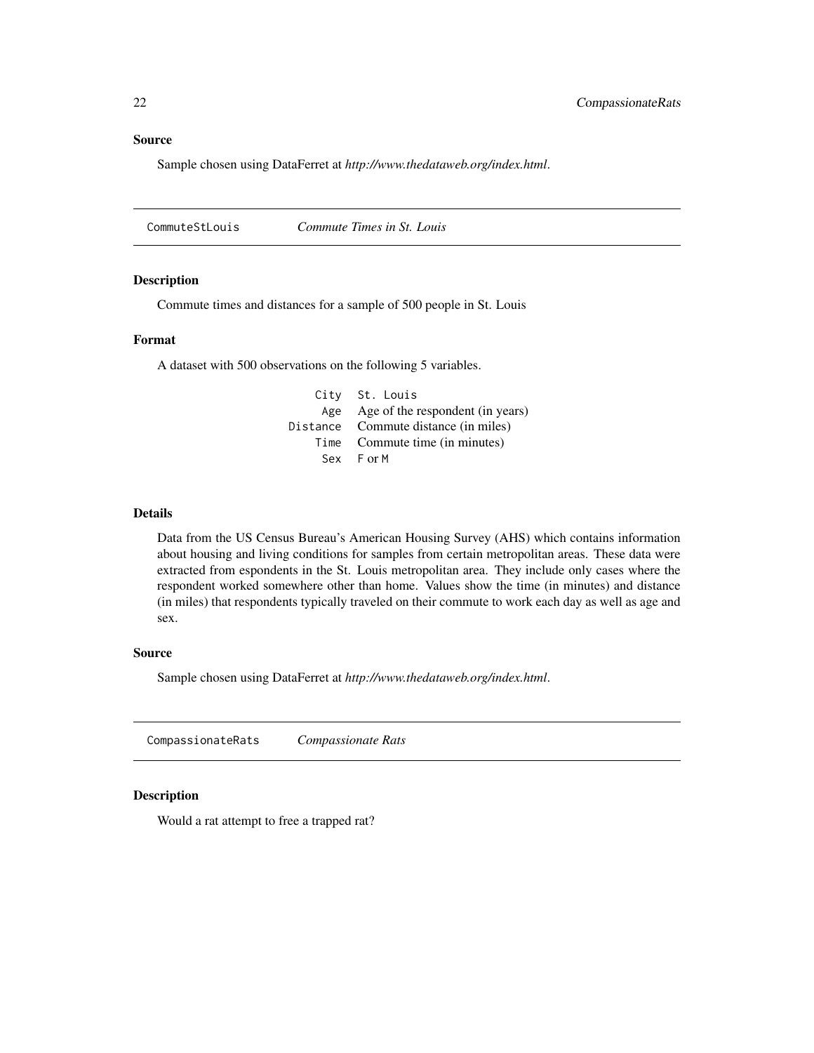<span id="page-21-0"></span>Source

Sample chosen using DataFerret at *http://www.thedataweb.org/index.html*.

CommuteStLouis *Commute Times in St. Louis*

#### **Description**

Commute times and distances for a sample of 500 people in St. Louis

#### Format

A dataset with 500 observations on the following 5 variables.

City St. Louis Age Age of the respondent (in years) Distance Commute distance (in miles) Time Commute time (in minutes) Sex F or M

### Details

Data from the US Census Bureau's American Housing Survey (AHS) which contains information about housing and living conditions for samples from certain metropolitan areas. These data were extracted from espondents in the St. Louis metropolitan area. They include only cases where the respondent worked somewhere other than home. Values show the time (in minutes) and distance (in miles) that respondents typically traveled on their commute to work each day as well as age and sex.

#### Source

Sample chosen using DataFerret at *http://www.thedataweb.org/index.html*.

CompassionateRats *Compassionate Rats*

#### Description

Would a rat attempt to free a trapped rat?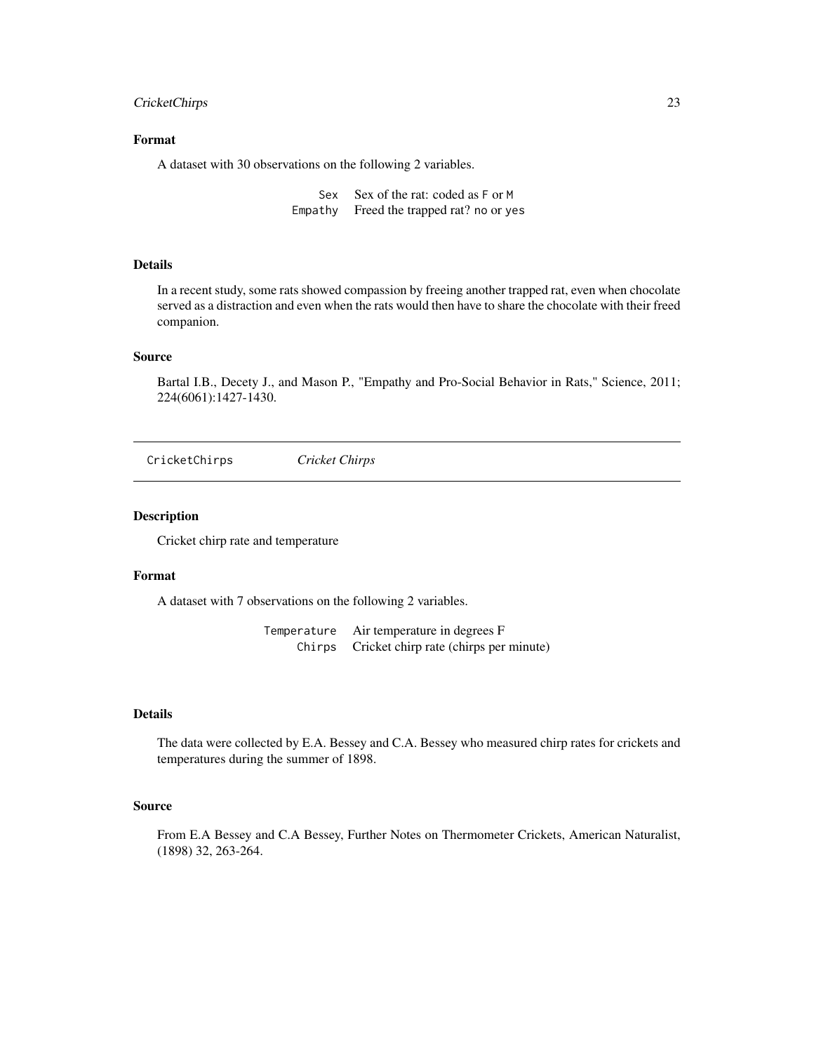## <span id="page-22-0"></span>CricketChirps 23

## Format

A dataset with 30 observations on the following 2 variables.

Sex Sex of the rat: coded as F or M Empathy Freed the trapped rat? no or yes

## Details

In a recent study, some rats showed compassion by freeing another trapped rat, even when chocolate served as a distraction and even when the rats would then have to share the chocolate with their freed companion.

#### Source

Bartal I.B., Decety J., and Mason P., "Empathy and Pro-Social Behavior in Rats," Science, 2011; 224(6061):1427-1430.

CricketChirps *Cricket Chirps*

#### Description

Cricket chirp rate and temperature

## Format

A dataset with 7 observations on the following 2 variables.

Temperature Air temperature in degrees F Chirps Cricket chirp rate (chirps per minute)

## Details

The data were collected by E.A. Bessey and C.A. Bessey who measured chirp rates for crickets and temperatures during the summer of 1898.

#### Source

From E.A Bessey and C.A Bessey, Further Notes on Thermometer Crickets, American Naturalist, (1898) 32, 263-264.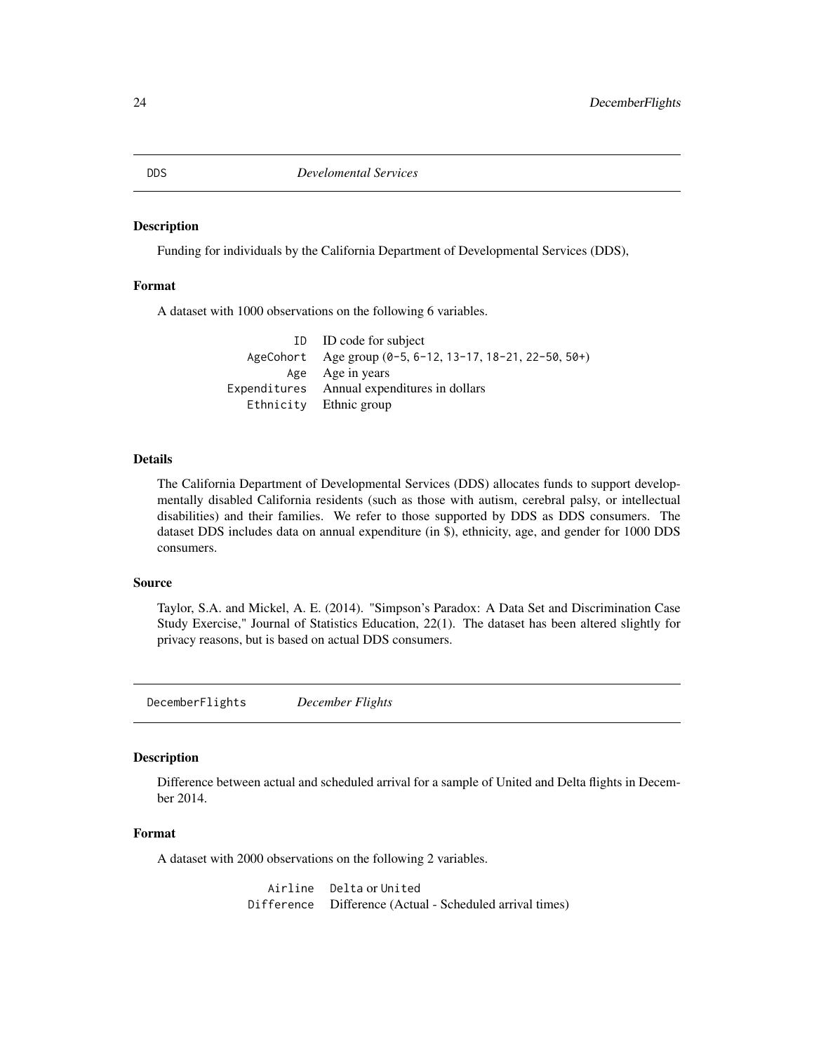Funding for individuals by the California Department of Developmental Services (DDS),

## Format

A dataset with 1000 observations on the following 6 variables.

ID ID code for subject AgeCohort Age group (0-5, 6-12, 13-17, 18-21, 22-50, 50+) Age Age in years Expenditures Annual expenditures in dollars Ethnicity Ethnic group

## Details

The California Department of Developmental Services (DDS) allocates funds to support developmentally disabled California residents (such as those with autism, cerebral palsy, or intellectual disabilities) and their families. We refer to those supported by DDS as DDS consumers. The dataset DDS includes data on annual expenditure (in \$), ethnicity, age, and gender for 1000 DDS consumers.

#### Source

Taylor, S.A. and Mickel, A. E. (2014). "Simpson's Paradox: A Data Set and Discrimination Case Study Exercise," Journal of Statistics Education, 22(1). The dataset has been altered slightly for privacy reasons, but is based on actual DDS consumers.

DecemberFlights *December Flights*

#### Description

Difference between actual and scheduled arrival for a sample of United and Delta flights in December 2014.

## Format

A dataset with 2000 observations on the following 2 variables.

Airline Delta or United Difference Difference (Actual - Scheduled arrival times)

<span id="page-23-0"></span>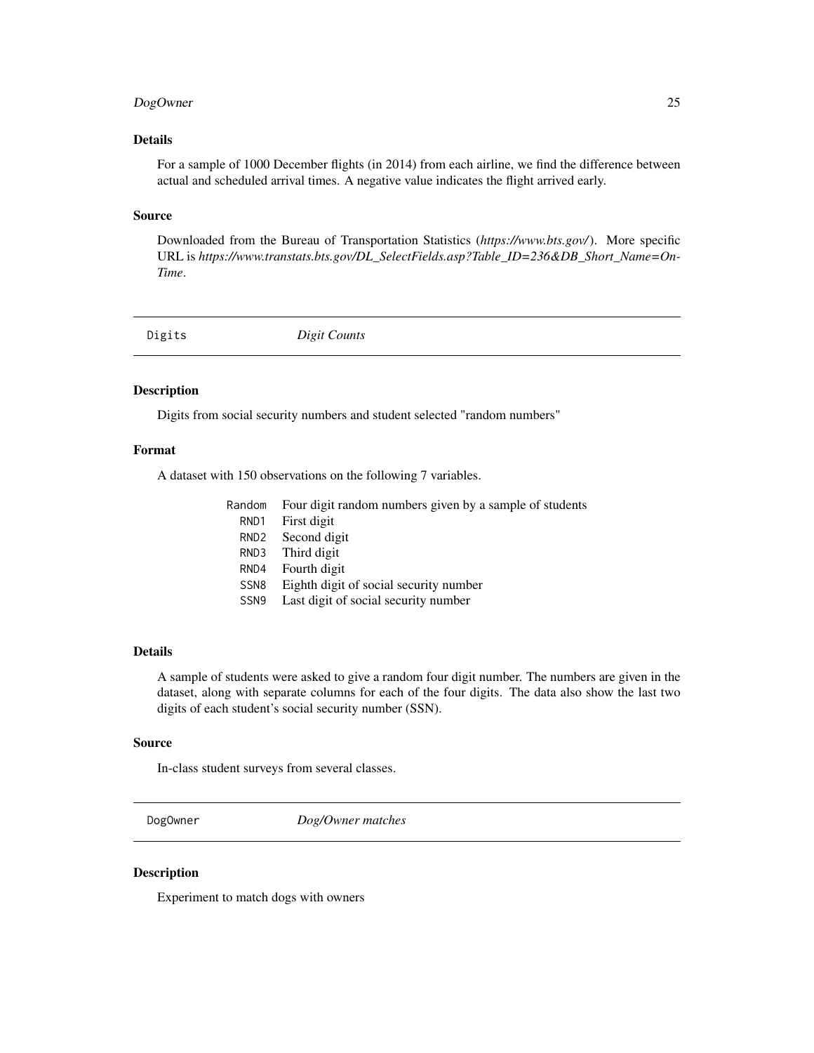## <span id="page-24-0"></span>DogOwner 25

## Details

For a sample of 1000 December flights (in 2014) from each airline, we find the difference between actual and scheduled arrival times. A negative value indicates the flight arrived early.

#### Source

Downloaded from the Bureau of Transportation Statistics (*https://www.bts.gov/*). More specific URL is *https://www.transtats.bts.gov/DL\_SelectFields.asp?Table\_ID=236&DB\_Short\_Name=On-Time*.

| Digit Counts<br>Digits |  |
|------------------------|--|
|------------------------|--|

#### Description

Digits from social security numbers and student selected "random numbers"

## Format

A dataset with 150 observations on the following 7 variables.

|                  | Random Four digit random numbers given by a sample of students |
|------------------|----------------------------------------------------------------|
| RND1             | First digit                                                    |
| RND <sub>2</sub> | Second digit                                                   |
| RND3             | Third digit                                                    |
| RND4             | Fourth digit                                                   |
| SSN <sub>8</sub> | Eighth digit of social security number                         |
| SSN <sub>9</sub> | Last digit of social security number                           |
|                  |                                                                |

## Details

A sample of students were asked to give a random four digit number. The numbers are given in the dataset, along with separate columns for each of the four digits. The data also show the last two digits of each student's social security number (SSN).

#### Source

In-class student surveys from several classes.

DogOwner *Dog/Owner matches*

## Description

Experiment to match dogs with owners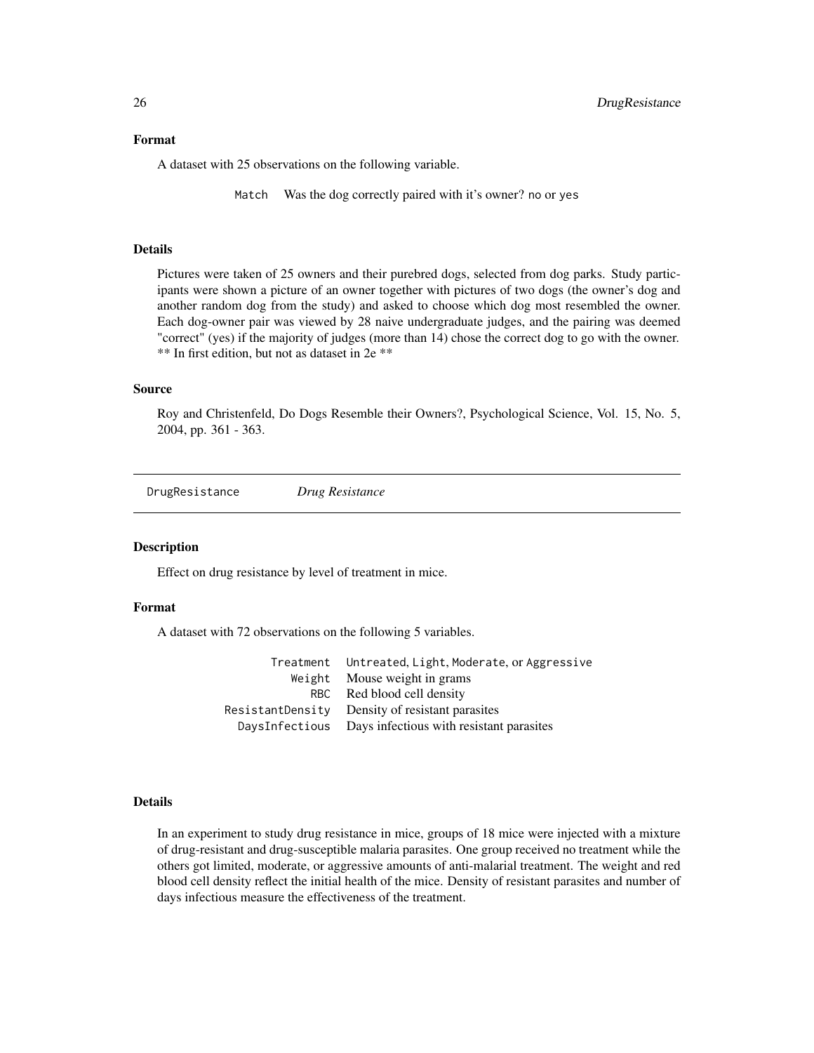#### <span id="page-25-0"></span>Format

A dataset with 25 observations on the following variable.

Match Was the dog correctly paired with it's owner? no or yes

#### Details

Pictures were taken of 25 owners and their purebred dogs, selected from dog parks. Study participants were shown a picture of an owner together with pictures of two dogs (the owner's dog and another random dog from the study) and asked to choose which dog most resembled the owner. Each dog-owner pair was viewed by 28 naive undergraduate judges, and the pairing was deemed "correct" (yes) if the majority of judges (more than 14) chose the correct dog to go with the owner. \*\* In first edition, but not as dataset in 2e \*\*

#### Source

Roy and Christenfeld, Do Dogs Resemble their Owners?, Psychological Science, Vol. 15, No. 5, 2004, pp. 361 - 363.

DrugResistance *Drug Resistance*

#### Description

Effect on drug resistance by level of treatment in mice.

## Format

A dataset with 72 observations on the following 5 variables.

| Treatment Untreated, Light, Moderate, or Aggressive     |
|---------------------------------------------------------|
| Weight Mouse weight in grams                            |
| RBC Red blood cell density                              |
| ResistantDensity Density of resistant parasites         |
| DaysInfectious Days infectious with resistant parasites |

#### Details

In an experiment to study drug resistance in mice, groups of 18 mice were injected with a mixture of drug-resistant and drug-susceptible malaria parasites. One group received no treatment while the others got limited, moderate, or aggressive amounts of anti-malarial treatment. The weight and red blood cell density reflect the initial health of the mice. Density of resistant parasites and number of days infectious measure the effectiveness of the treatment.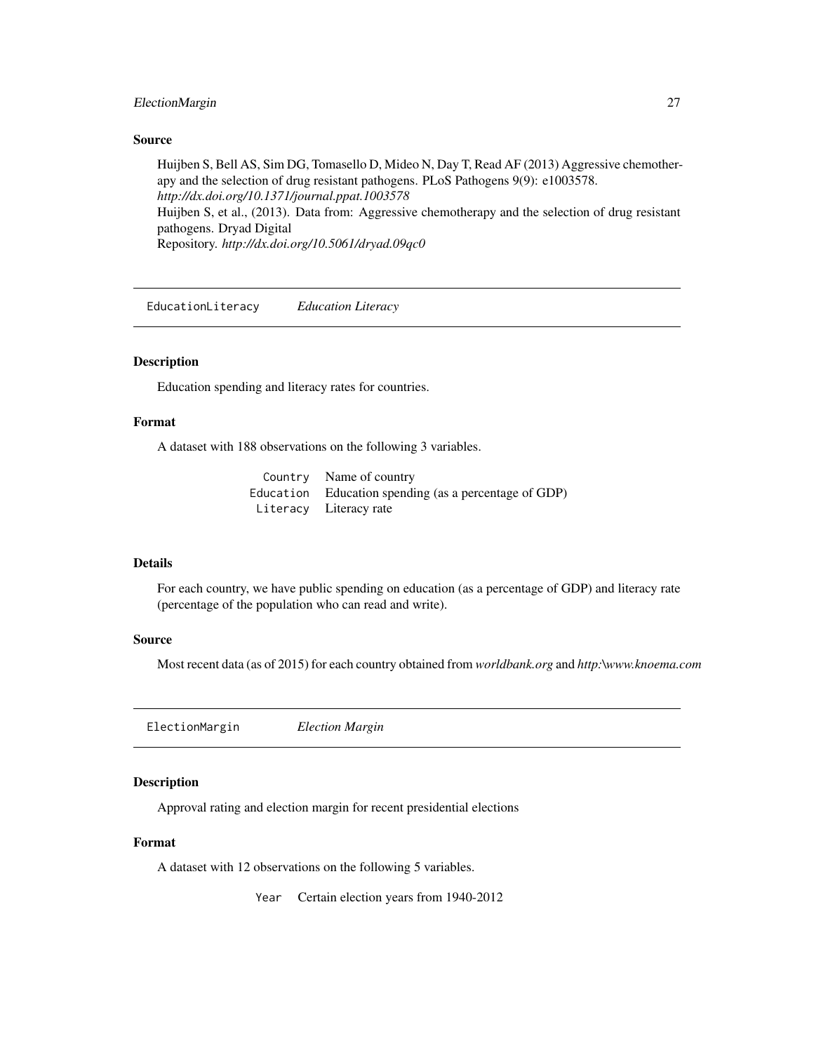## <span id="page-26-0"></span>ElectionMargin 27

#### Source

Huijben S, Bell AS, Sim DG, Tomasello D, Mideo N, Day T, Read AF (2013) Aggressive chemotherapy and the selection of drug resistant pathogens. PLoS Pathogens 9(9): e1003578. *http://dx.doi.org/10.1371/journal.ppat.1003578* Huijben S, et al., (2013). Data from: Aggressive chemotherapy and the selection of drug resistant pathogens. Dryad Digital Repository. *http://dx.doi.org/10.5061/dryad.09qc0*

EducationLiteracy *Education Literacy*

## Description

Education spending and literacy rates for countries.

#### Format

A dataset with 188 observations on the following 3 variables.

Country Name of country Education Education spending (as a percentage of GDP) Literacy Literacy rate

## Details

For each country, we have public spending on education (as a percentage of GDP) and literacy rate (percentage of the population who can read and write).

#### Source

Most recent data (as of 2015) for each country obtained from *worldbank.org* and *http:\www.knoema.com*

ElectionMargin *Election Margin*

#### Description

Approval rating and election margin for recent presidential elections

#### Format

A dataset with 12 observations on the following 5 variables.

Year Certain election years from 1940-2012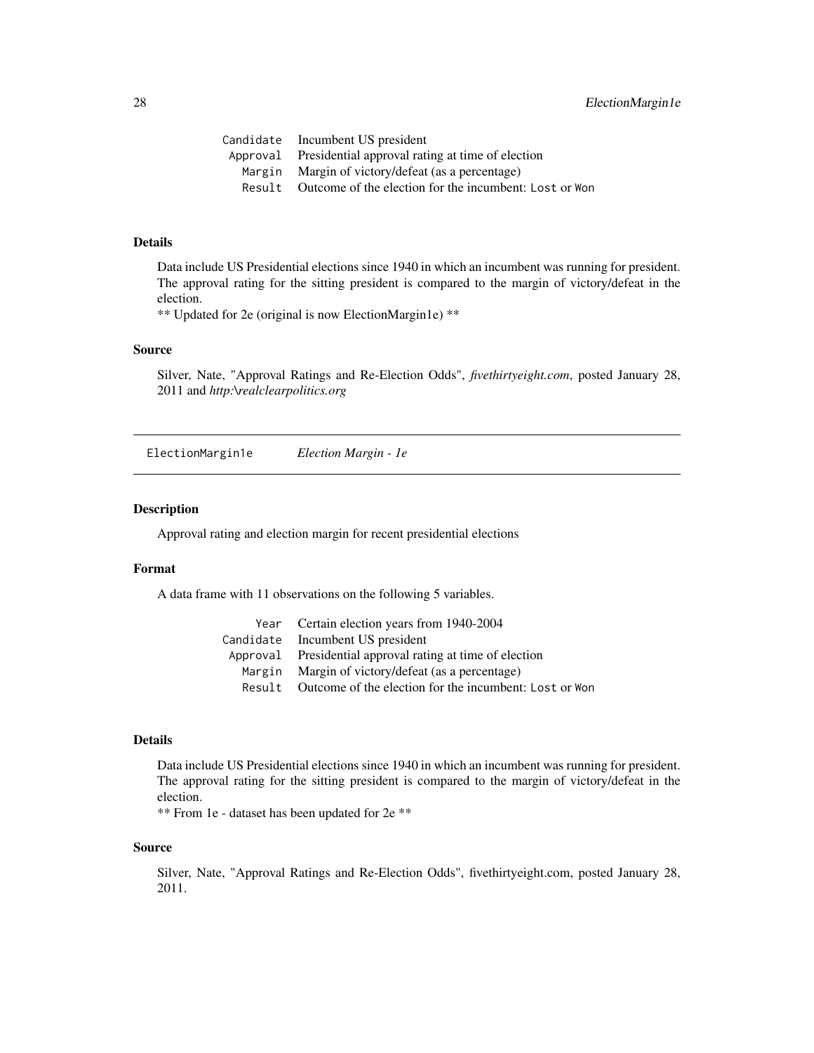<span id="page-27-0"></span>

| Outcome of the election for the incumbent: Lost or Won |
|--------------------------------------------------------|
|                                                        |

## Details

Data include US Presidential elections since 1940 in which an incumbent was running for president. The approval rating for the sitting president is compared to the margin of victory/defeat in the election.

\*\* Updated for 2e (original is now ElectionMargin1e) \*\*

## Source

Silver, Nate, "Approval Ratings and Re-Election Odds", *fivethirtyeight.com*, posted January 28, 2011 and *http:\realclearpolitics.org*

ElectionMargin1e *Election Margin - 1e*

#### Description

Approval rating and election margin for recent presidential elections

#### Format

A data frame with 11 observations on the following 5 variables.

|        | Year Certain election years from 1940-2004                |
|--------|-----------------------------------------------------------|
|        | Candidate Incumbent US president                          |
|        | Approval Presidential approval rating at time of election |
|        | Margin Margin of victory/defeat (as a percentage)         |
| Result | Outcome of the election for the incumbent: Lost or Won    |

## Details

Data include US Presidential elections since 1940 in which an incumbent was running for president. The approval rating for the sitting president is compared to the margin of victory/defeat in the election.

\*\* From 1e - dataset has been updated for 2e \*\*

#### Source

Silver, Nate, "Approval Ratings and Re-Election Odds", fivethirtyeight.com, posted January 28, 2011.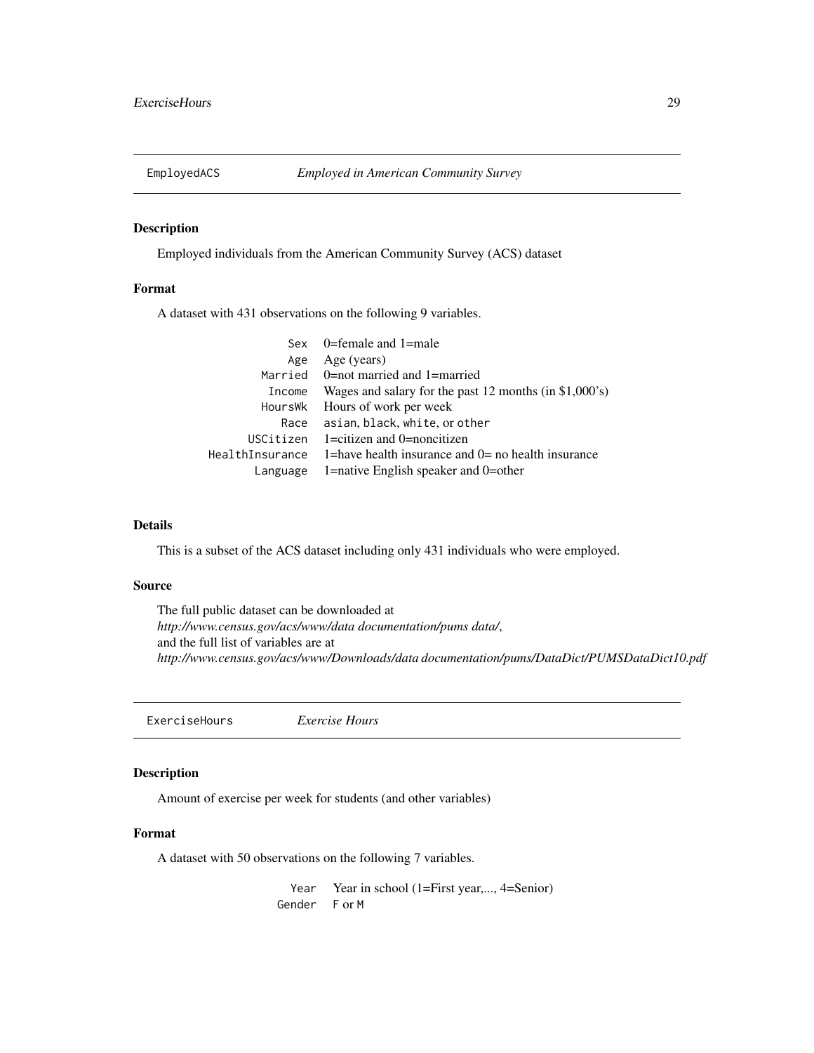<span id="page-28-0"></span>

Employed individuals from the American Community Survey (ACS) dataset

## Format

A dataset with 431 observations on the following 9 variables.

|                 | Sex $0$ =female and 1=male                               |
|-----------------|----------------------------------------------------------|
| Age             | Age (years)                                              |
|                 | Married 0=not married and 1=married                      |
| Income          | Wages and salary for the past 12 months (in $$1,000$ 's) |
| HoursWk         | Hours of work per week                                   |
| Race            | asian, black, white, or other                            |
| USCitizen       | $1 =$ citizen and $0 =$ noncitizen                       |
| HealthInsurance | 1=have health insurance and $0=$ no health insurance     |
| Language        | 1=native English speaker and $0$ =other                  |
|                 |                                                          |

## Details

This is a subset of the ACS dataset including only 431 individuals who were employed.

#### Source

The full public dataset can be downloaded at *http://www.census.gov/acs/www/data documentation/pums data/*, and the full list of variables are at *http://www.census.gov/acs/www/Downloads/data documentation/pums/DataDict/PUMSDataDict10.pdf*

ExerciseHours *Exercise Hours*

#### Description

Amount of exercise per week for students (and other variables)

## Format

A dataset with 50 observations on the following 7 variables.

Year Year in school (1=First year,..., 4=Senior) Gender F or M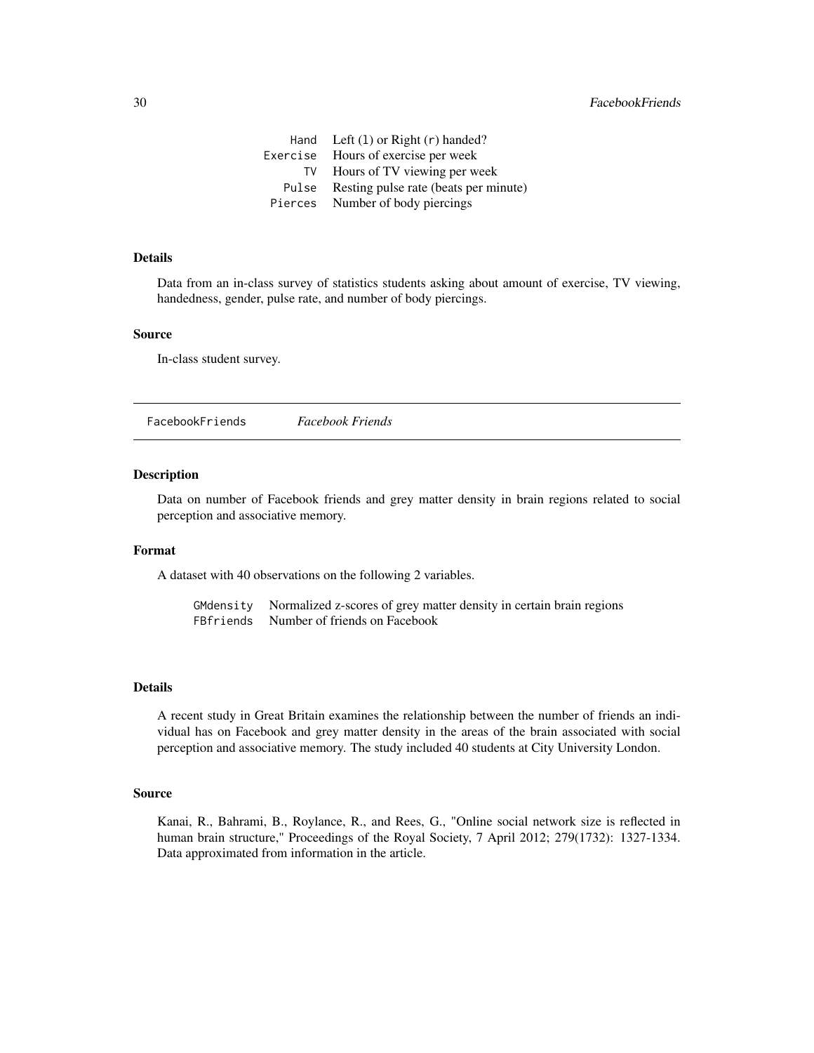<span id="page-29-0"></span>

|          | Hand Left $(1)$ or Right $(r)$ handed? |
|----------|----------------------------------------|
| Exercise | Hours of exercise per week             |
| TV       | Hours of TV viewing per week           |
| Pulse    | Resting pulse rate (beats per minute)  |
| Pierces  | Number of body piercings               |

## Details

Data from an in-class survey of statistics students asking about amount of exercise, TV viewing, handedness, gender, pulse rate, and number of body piercings.

#### Source

In-class student survey.

FacebookFriends *Facebook Friends*

## Description

Data on number of Facebook friends and grey matter density in brain regions related to social perception and associative memory.

#### Format

A dataset with 40 observations on the following 2 variables.

GMdensity Normalized z-scores of grey matter density in certain brain regions FBfriends Number of friends on Facebook

#### Details

A recent study in Great Britain examines the relationship between the number of friends an individual has on Facebook and grey matter density in the areas of the brain associated with social perception and associative memory. The study included 40 students at City University London.

#### Source

Kanai, R., Bahrami, B., Roylance, R., and Rees, G., "Online social network size is reflected in human brain structure," Proceedings of the Royal Society, 7 April 2012; 279(1732): 1327-1334. Data approximated from information in the article.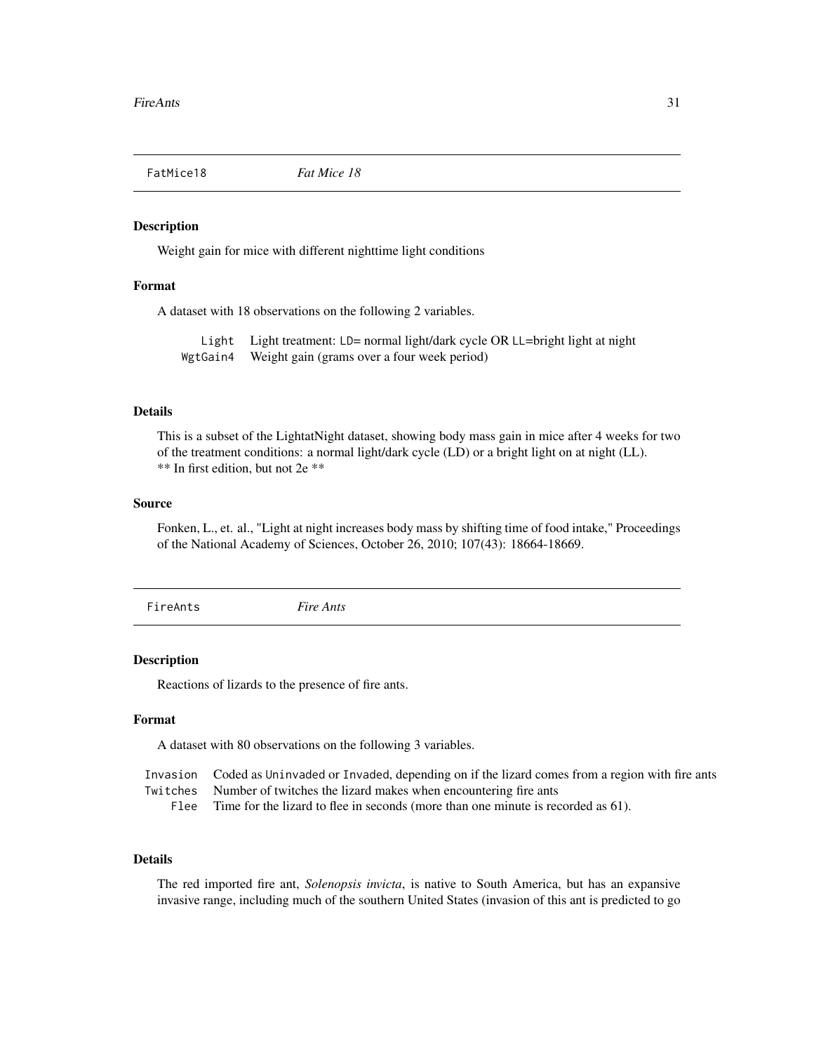<span id="page-30-0"></span>

Weight gain for mice with different nighttime light conditions

## Format

A dataset with 18 observations on the following 2 variables.

Light Light treatment: LD= normal light/dark cycle OR LL=bright light at night WgtGain4 Weight gain (grams over a four week period)

## Details

This is a subset of the LightatNight dataset, showing body mass gain in mice after 4 weeks for two of the treatment conditions: a normal light/dark cycle (LD) or a bright light on at night (LL). \*\* In first edition, but not 2e \*\*

## Source

Fonken, L., et. al., "Light at night increases body mass by shifting time of food intake," Proceedings of the National Academy of Sciences, October 26, 2010; 107(43): 18664-18669.

FireAnts *Fire Ants*

#### Description

Reactions of lizards to the presence of fire ants.

#### Format

A dataset with 80 observations on the following 3 variables.

|      | Invasion Coded as Uninvaded or Invaded, depending on if the lizard comes from a region with fire ants |
|------|-------------------------------------------------------------------------------------------------------|
|      | Twitches Number of twitches the lizard makes when encountering fire ants                              |
| Flee | Time for the lizard to flee in seconds (more than one minute is recorded as 61).                      |

#### Details

The red imported fire ant, *Solenopsis invicta*, is native to South America, but has an expansive invasive range, including much of the southern United States (invasion of this ant is predicted to go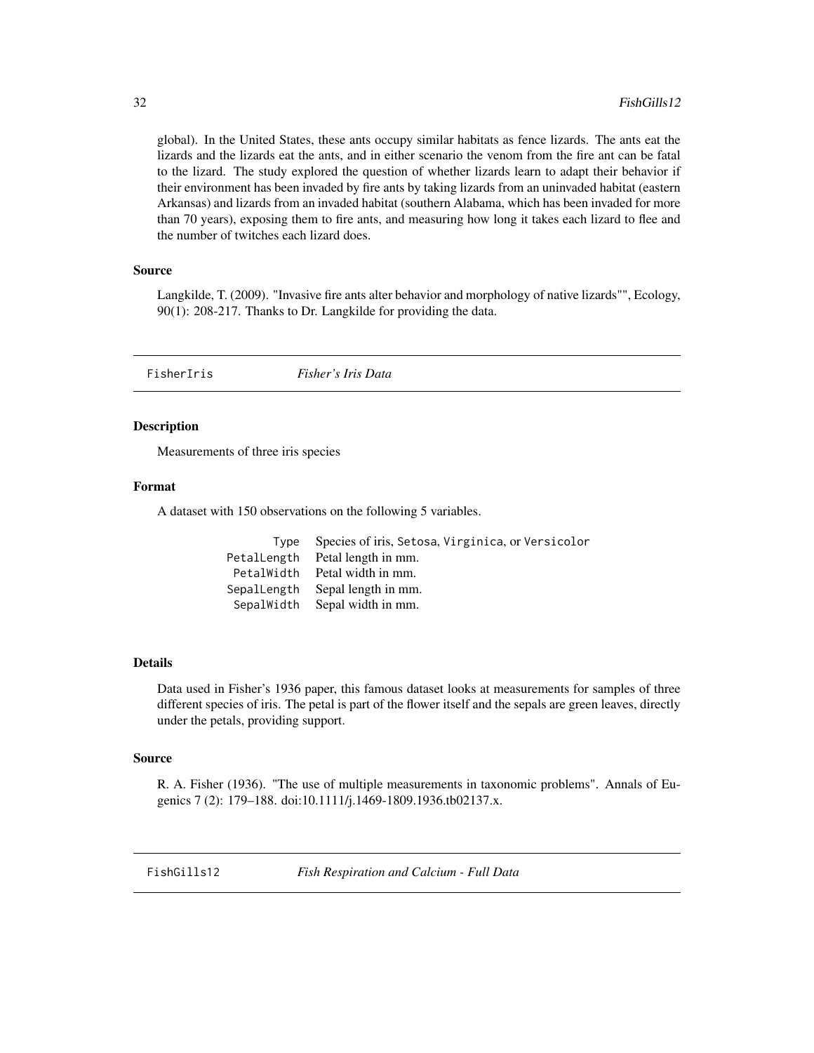global). In the United States, these ants occupy similar habitats as fence lizards. The ants eat the lizards and the lizards eat the ants, and in either scenario the venom from the fire ant can be fatal to the lizard. The study explored the question of whether lizards learn to adapt their behavior if their environment has been invaded by fire ants by taking lizards from an uninvaded habitat (eastern Arkansas) and lizards from an invaded habitat (southern Alabama, which has been invaded for more than 70 years), exposing them to fire ants, and measuring how long it takes each lizard to flee and the number of twitches each lizard does.

#### Source

Langkilde, T. (2009). "Invasive fire ants alter behavior and morphology of native lizards"", Ecology, 90(1): 208-217. Thanks to Dr. Langkilde for providing the data.

FisherIris *Fisher's Iris Data*

## **Description**

Measurements of three iris species

## Format

A dataset with 150 observations on the following 5 variables.

|             | Type Species of iris, Setosa, Virginica, or Versicolor |
|-------------|--------------------------------------------------------|
| PetalLength | Petal length in mm.                                    |
|             | PetalWidth Petal width in mm.                          |
|             | SepalLength Sepal length in mm.                        |
| SepalWidth  | Sepal width in mm.                                     |

#### Details

Data used in Fisher's 1936 paper, this famous dataset looks at measurements for samples of three different species of iris. The petal is part of the flower itself and the sepals are green leaves, directly under the petals, providing support.

#### Source

R. A. Fisher (1936). "The use of multiple measurements in taxonomic problems". Annals of Eugenics 7 (2): 179–188. doi:10.1111/j.1469-1809.1936.tb02137.x.

FishGills12 *Fish Respiration and Calcium - Full Data*

<span id="page-31-0"></span>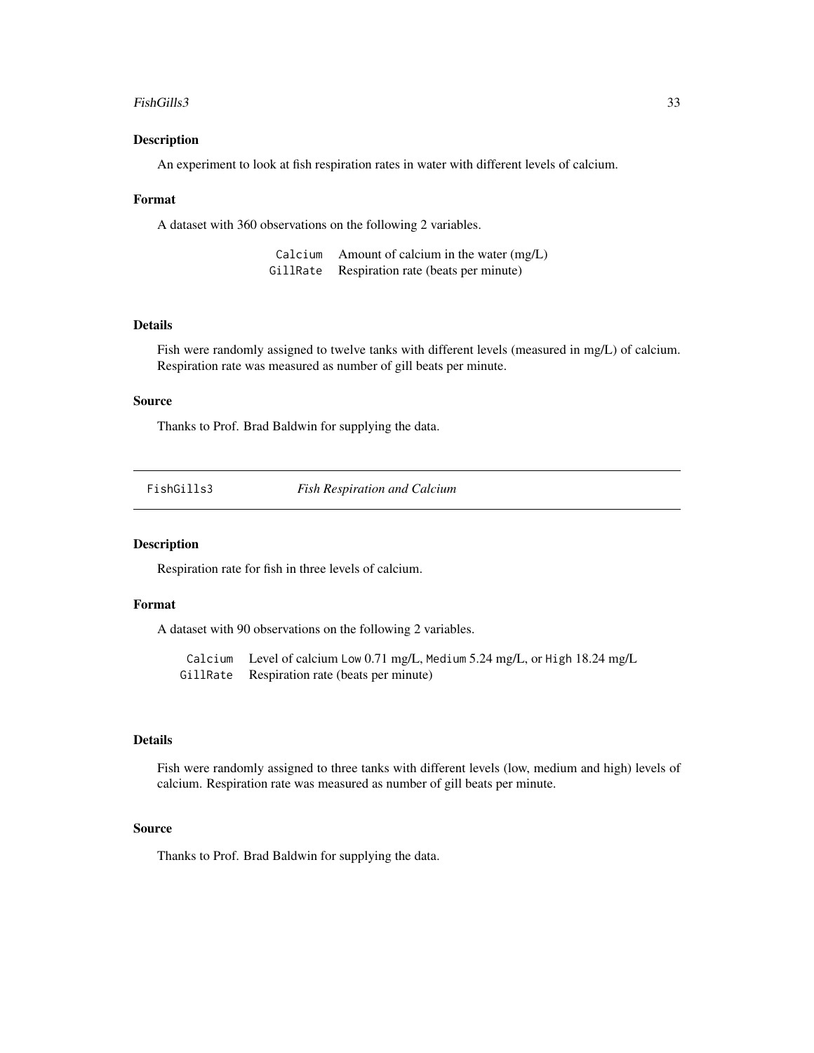#### <span id="page-32-0"></span>FishGills3 33

#### Description

An experiment to look at fish respiration rates in water with different levels of calcium.

#### Format

A dataset with 360 observations on the following 2 variables.

| Calcium  | Amount of calcium in the water (mg/L) |
|----------|---------------------------------------|
| GillRate | Respiration rate (beats per minute)   |

#### Details

Fish were randomly assigned to twelve tanks with different levels (measured in mg/L) of calcium. Respiration rate was measured as number of gill beats per minute.

## Source

Thanks to Prof. Brad Baldwin for supplying the data.

|  | FishGills3 |
|--|------------|
|  |            |
|  |            |

**Fish Respiration and Calcium** 

#### Description

Respiration rate for fish in three levels of calcium.

#### Format

A dataset with 90 observations on the following 2 variables.

Calcium Level of calcium Low 0.71 mg/L, Medium 5.24 mg/L, or High 18.24 mg/L GillRate Respiration rate (beats per minute)

## Details

Fish were randomly assigned to three tanks with different levels (low, medium and high) levels of calcium. Respiration rate was measured as number of gill beats per minute.

#### Source

Thanks to Prof. Brad Baldwin for supplying the data.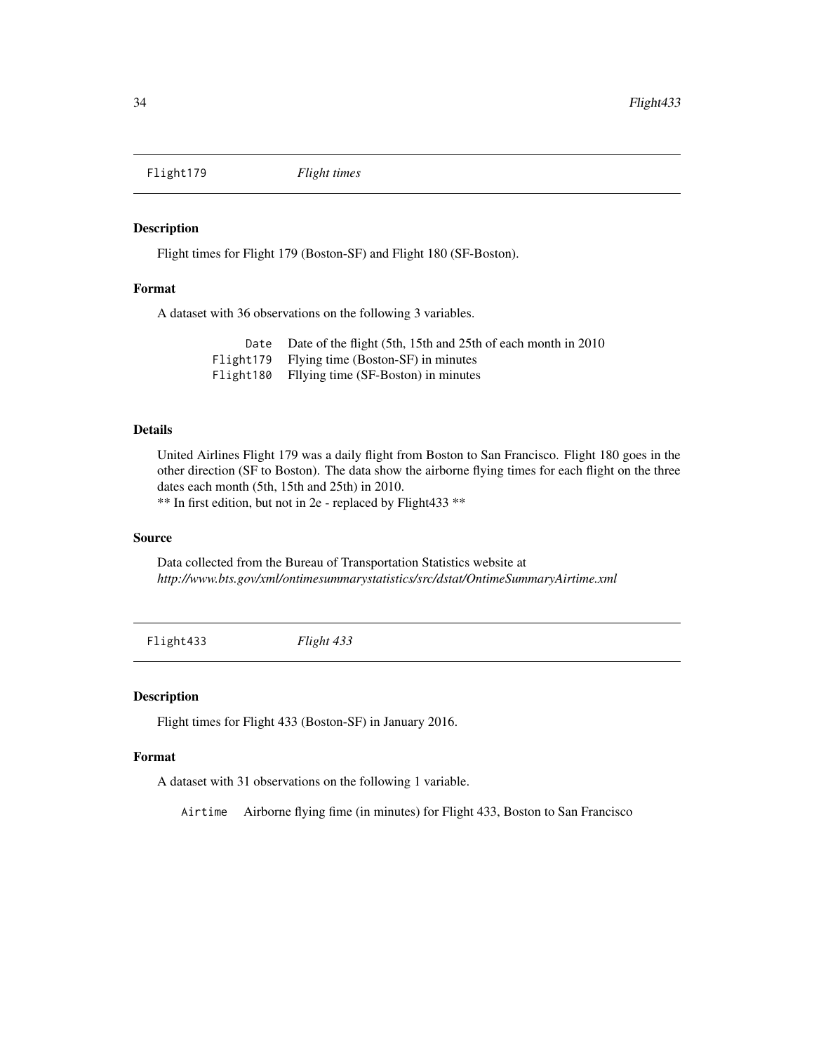<span id="page-33-0"></span>

Flight times for Flight 179 (Boston-SF) and Flight 180 (SF-Boston).

## Format

A dataset with 36 observations on the following 3 variables.

Date Date of the flight (5th, 15th and 25th of each month in 2010 Flight179 Flying time (Boston-SF) in minutes Flight180 Fllying time (SF-Boston) in minutes

## Details

United Airlines Flight 179 was a daily flight from Boston to San Francisco. Flight 180 goes in the other direction (SF to Boston). The data show the airborne flying times for each flight on the three dates each month (5th, 15th and 25th) in 2010. \*\* In first edition, but not in 2e - replaced by Flight433 \*\*

#### Source

Data collected from the Bureau of Transportation Statistics website at *http://www.bts.gov/xml/ontimesummarystatistics/src/dstat/OntimeSummaryAirtime.xml*

Flight433 *Flight 433*

#### Description

Flight times for Flight 433 (Boston-SF) in January 2016.

#### Format

A dataset with 31 observations on the following 1 variable.

Airtime Airborne flying fime (in minutes) for Flight 433, Boston to San Francisco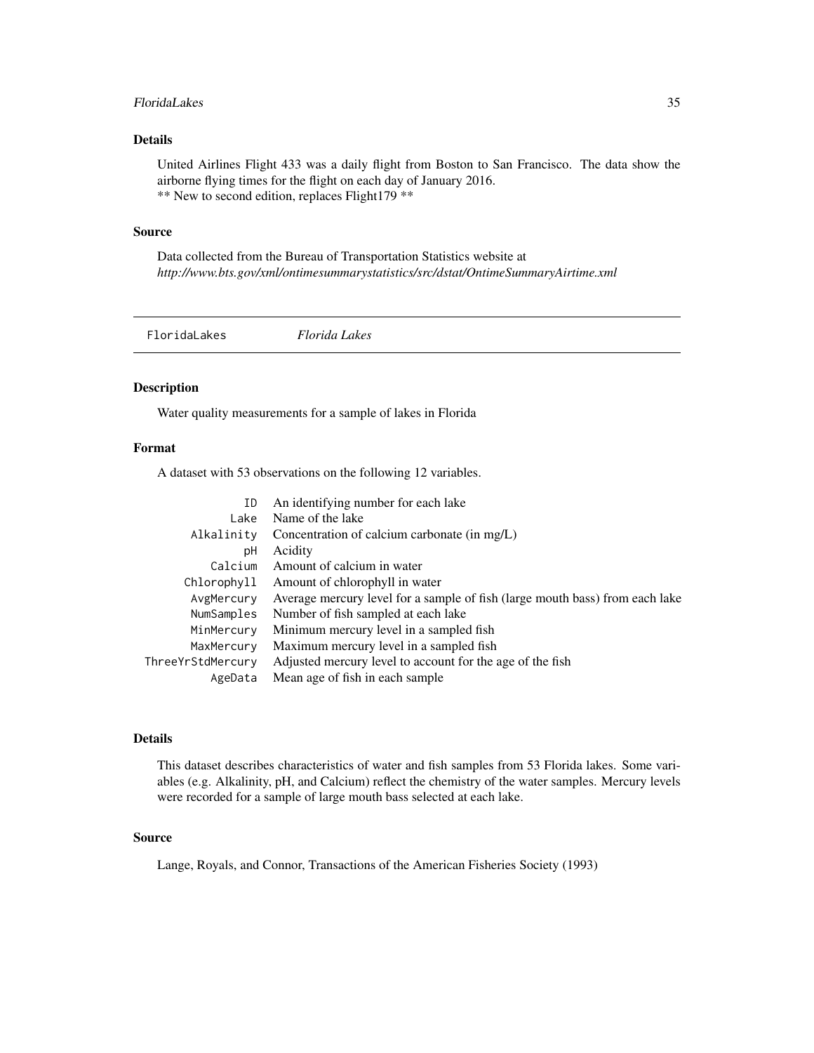#### <span id="page-34-0"></span>FloridaLakes 35

## Details

United Airlines Flight 433 was a daily flight from Boston to San Francisco. The data show the airborne flying times for the flight on each day of January 2016. \*\* New to second edition, replaces Flight179 \*\*

#### Source

Data collected from the Bureau of Transportation Statistics website at *http://www.bts.gov/xml/ontimesummarystatistics/src/dstat/OntimeSummaryAirtime.xml*

FloridaLakes *Florida Lakes*

## Description

Water quality measurements for a sample of lakes in Florida

## Format

A dataset with 53 observations on the following 12 variables.

| An identifying number for each lake                                          |
|------------------------------------------------------------------------------|
| Name of the lake                                                             |
| Concentration of calcium carbonate (in mg/L)                                 |
| Acidity                                                                      |
| Amount of calcium in water                                                   |
| Amount of chlorophyll in water                                               |
| Average mercury level for a sample of fish (large mouth bass) from each lake |
| Number of fish sampled at each lake                                          |
| Minimum mercury level in a sampled fish                                      |
| Maximum mercury level in a sampled fish                                      |
| Adjusted mercury level to account for the age of the fish                    |
| Mean age of fish in each sample                                              |
|                                                                              |

## Details

This dataset describes characteristics of water and fish samples from 53 Florida lakes. Some variables (e.g. Alkalinity, pH, and Calcium) reflect the chemistry of the water samples. Mercury levels were recorded for a sample of large mouth bass selected at each lake.

#### Source

Lange, Royals, and Connor, Transactions of the American Fisheries Society (1993)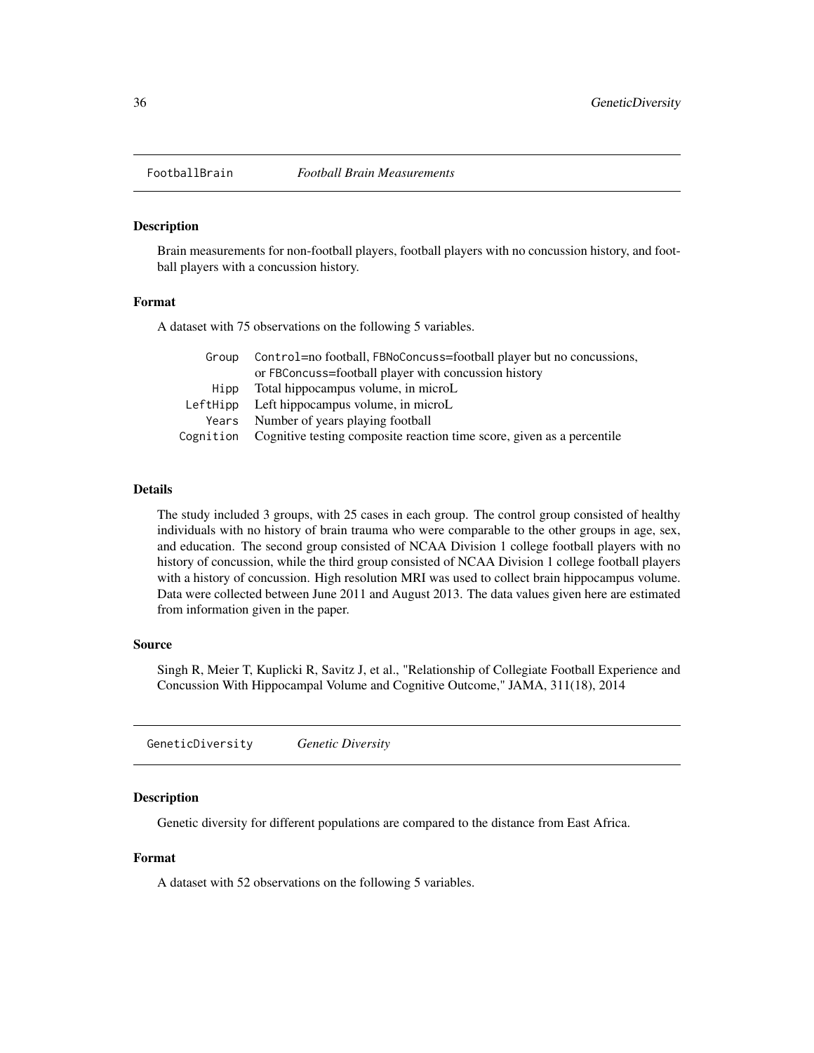<span id="page-35-0"></span>

Brain measurements for non-football players, football players with no concussion history, and football players with a concussion history.

#### Format

A dataset with 75 observations on the following 5 variables.

| Group | Control=no football, FBNoConcuss=football player but no concussions,             |  |
|-------|----------------------------------------------------------------------------------|--|
|       | or FBConcuss=football player with concussion history                             |  |
| Hipp  | Total hippocampus volume, in microL                                              |  |
|       | LeftHipp Left hippocampus volume, in microL                                      |  |
|       | Years Number of years playing football                                           |  |
|       | Cognition Cognitive testing composite reaction time score, given as a percentile |  |

## Details

The study included 3 groups, with 25 cases in each group. The control group consisted of healthy individuals with no history of brain trauma who were comparable to the other groups in age, sex, and education. The second group consisted of NCAA Division 1 college football players with no history of concussion, while the third group consisted of NCAA Division 1 college football players with a history of concussion. High resolution MRI was used to collect brain hippocampus volume. Data were collected between June 2011 and August 2013. The data values given here are estimated from information given in the paper.

#### Source

Singh R, Meier T, Kuplicki R, Savitz J, et al., "Relationship of Collegiate Football Experience and Concussion With Hippocampal Volume and Cognitive Outcome," JAMA, 311(18), 2014

GeneticDiversity *Genetic Diversity*

## Description

Genetic diversity for different populations are compared to the distance from East Africa.

#### Format

A dataset with 52 observations on the following 5 variables.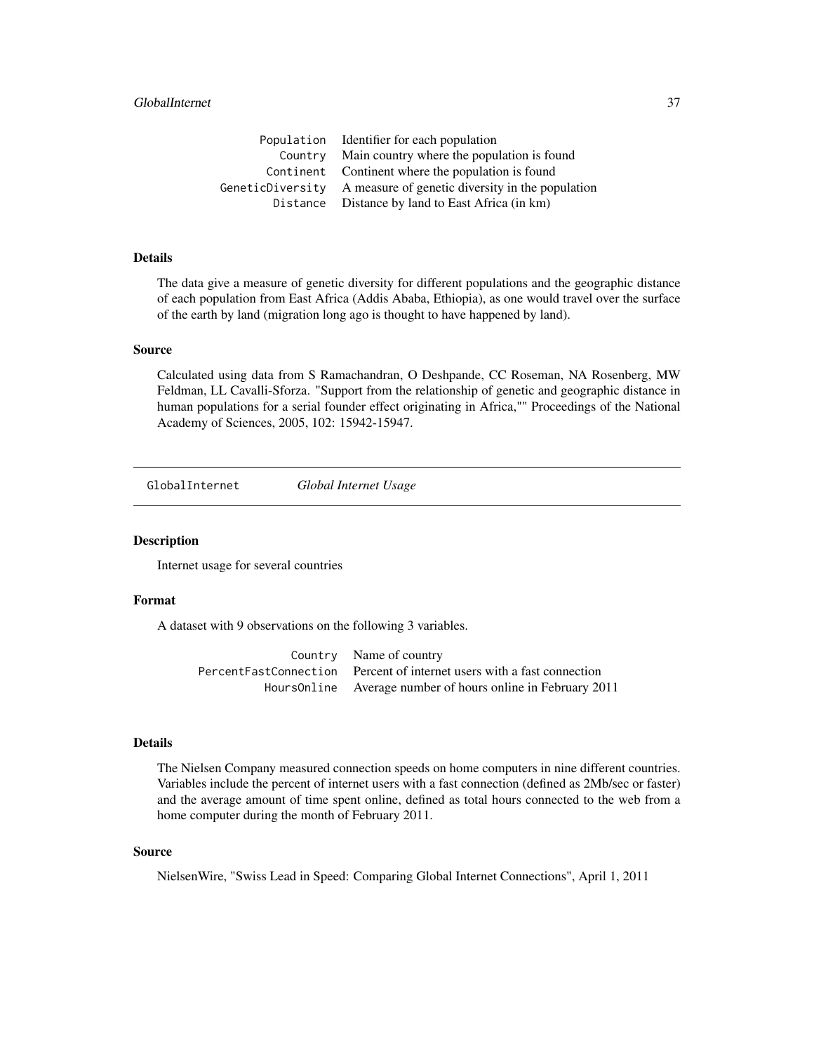# GlobalInternet 37

| Population Identifier for each population                         |
|-------------------------------------------------------------------|
| Country Main country where the population is found                |
| Continent Continent where the population is found                 |
| GeneticDiversity A measure of genetic diversity in the population |
| Distance Distance by land to East Africa (in km)                  |

# Details

The data give a measure of genetic diversity for different populations and the geographic distance of each population from East Africa (Addis Ababa, Ethiopia), as one would travel over the surface of the earth by land (migration long ago is thought to have happened by land).

## Source

Calculated using data from S Ramachandran, O Deshpande, CC Roseman, NA Rosenberg, MW Feldman, LL Cavalli-Sforza. "Support from the relationship of genetic and geographic distance in human populations for a serial founder effect originating in Africa,"" Proceedings of the National Academy of Sciences, 2005, 102: 15942-15947.

GlobalInternet *Global Internet Usage*

## Description

Internet usage for several countries

# Format

A dataset with 9 observations on the following 3 variables.

| Country Name of country                                                  |
|--------------------------------------------------------------------------|
| Percent Fast Connection Percent of internet users with a fast connection |
| Hours0nline Average number of hours online in February 2011              |

### Details

The Nielsen Company measured connection speeds on home computers in nine different countries. Variables include the percent of internet users with a fast connection (defined as 2Mb/sec or faster) and the average amount of time spent online, defined as total hours connected to the web from a home computer during the month of February 2011.

# Source

NielsenWire, "Swiss Lead in Speed: Comparing Global Internet Connections", April 1, 2011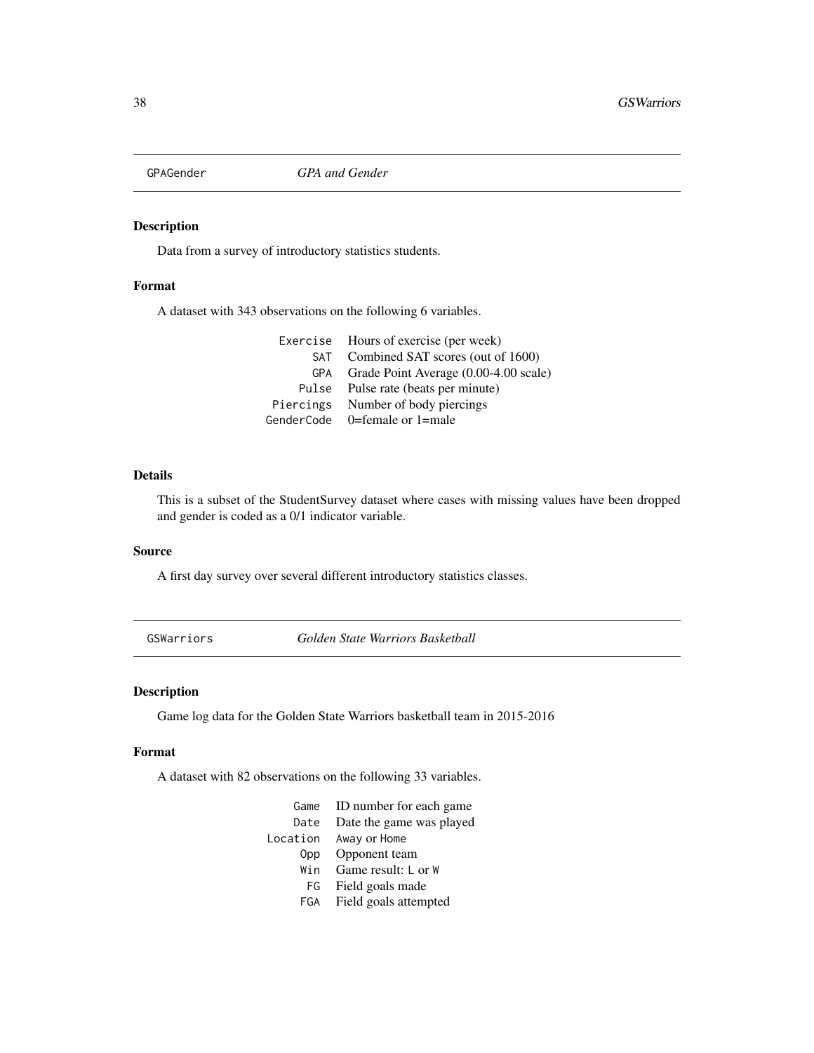# Description

Data from a survey of introductory statistics students.

## Format

A dataset with 343 observations on the following 6 variables.

Exercise Hours of exercise (per week) SAT Combined SAT scores (out of 1600) GPA Grade Point Average (0.00-4.00 scale) Pulse Pulse rate (beats per minute) Piercings Number of body piercings GenderCode 0=female or 1=male

# Details

This is a subset of the StudentSurvey dataset where cases with missing values have been dropped and gender is coded as a 0/1 indicator variable.

#### Source

A first day survey over several different introductory statistics classes.

GSWarriors *Golden State Warriors Basketball*

#### Description

Game log data for the Golden State Warriors basketball team in 2015-2016

#### Format

A dataset with 82 observations on the following 33 variables.

| Game     | ID number for each game  |
|----------|--------------------------|
| Date     | Date the game was played |
| Location | Away or Home             |
|          | Opp Opponent team        |
| Win      | Game result: $L$ or $W$  |
| FG       | Field goals made         |
| FGA      | Field goals attempted    |
|          |                          |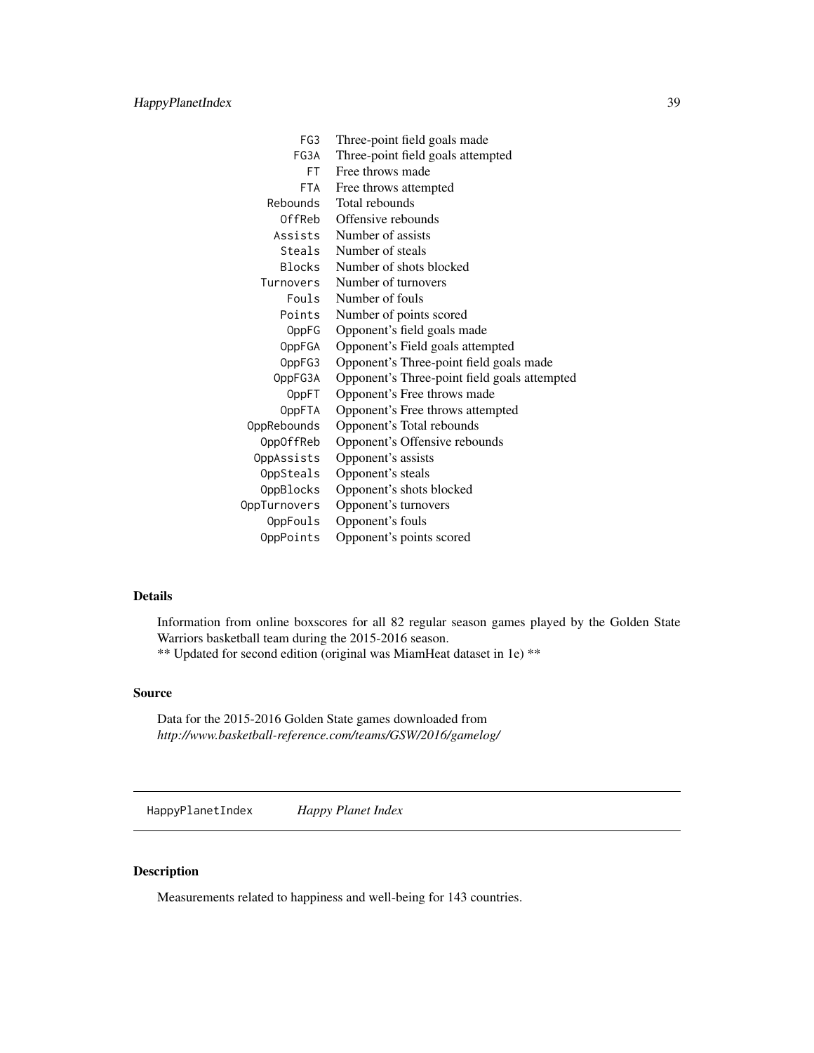| FG <sub>3</sub>    | Three-point field goals made                 |
|--------------------|----------------------------------------------|
| FG3A               | Three-point field goals attempted            |
| FT.                | Free throws made                             |
| <b>FTA</b>         | Free throws attempted                        |
| Rebounds           | Total rebounds                               |
| OffReb             | Offensive rebounds                           |
| Assists            | Number of assists                            |
| Steals             | Number of steals                             |
| Blocks             | Number of shots blocked                      |
| Turnovers          | Number of turnovers                          |
| Fouls              | Number of fouls                              |
| Points             | Number of points scored                      |
| OppFG              | Opponent's field goals made                  |
| OppFGA             | Opponent's Field goals attempted             |
| OppFG3             | Opponent's Three-point field goals made      |
| OppFG3A            | Opponent's Three-point field goals attempted |
| 0ppFT              | Opponent's Free throws made                  |
| <b>OppFTA</b>      | Opponent's Free throws attempted             |
| <b>OppRebounds</b> | Opponent's Total rebounds                    |
| OppOffReb          | Opponent's Offensive rebounds                |
| OppAssists         | Opponent's assists                           |
| OppSteals          | Opponent's steals                            |
| OppBlocks          | Opponent's shots blocked                     |
| OppTurnovers       | Opponent's turnovers                         |
| OppFouls           | Opponent's fouls                             |
| OppPoints          | Opponent's points scored                     |

Information from online boxscores for all 82 regular season games played by the Golden State Warriors basketball team during the 2015-2016 season. \*\* Updated for second edition (original was MiamHeat dataset in 1e) \*\*

## Source

Data for the 2015-2016 Golden State games downloaded from *http://www.basketball-reference.com/teams/GSW/2016/gamelog/*

HappyPlanetIndex *Happy Planet Index*

# Description

Measurements related to happiness and well-being for 143 countries.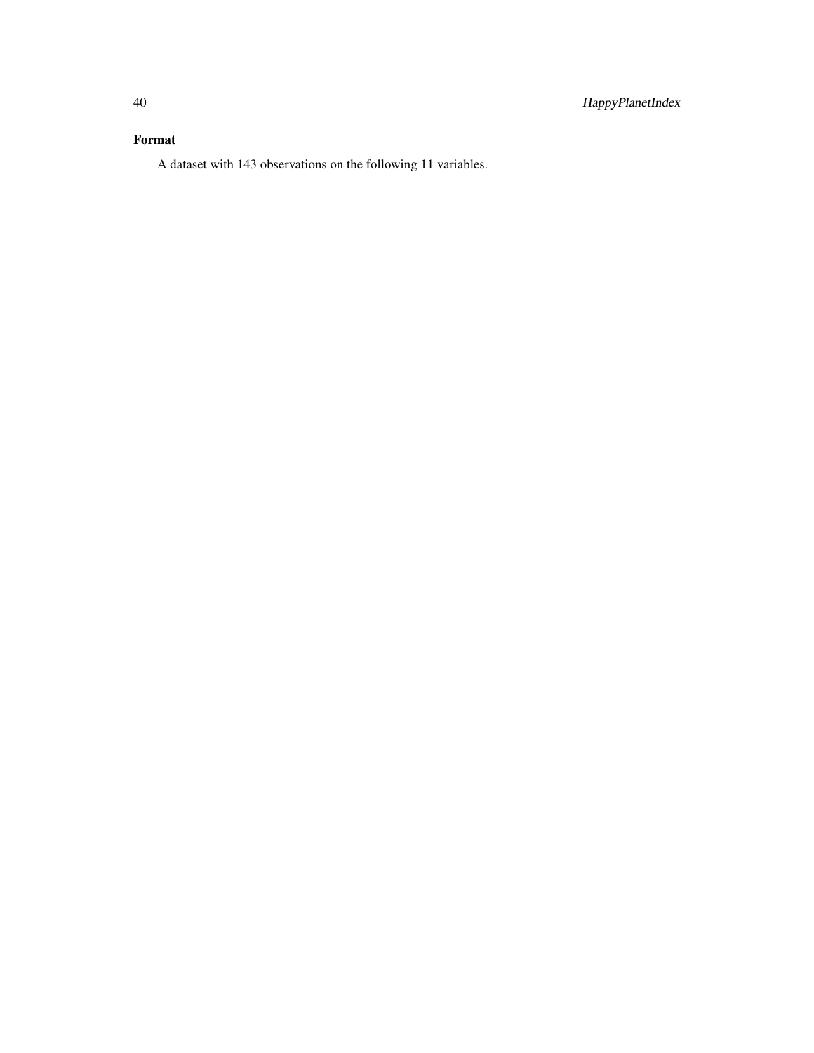# Format

A dataset with 143 observations on the following 11 variables.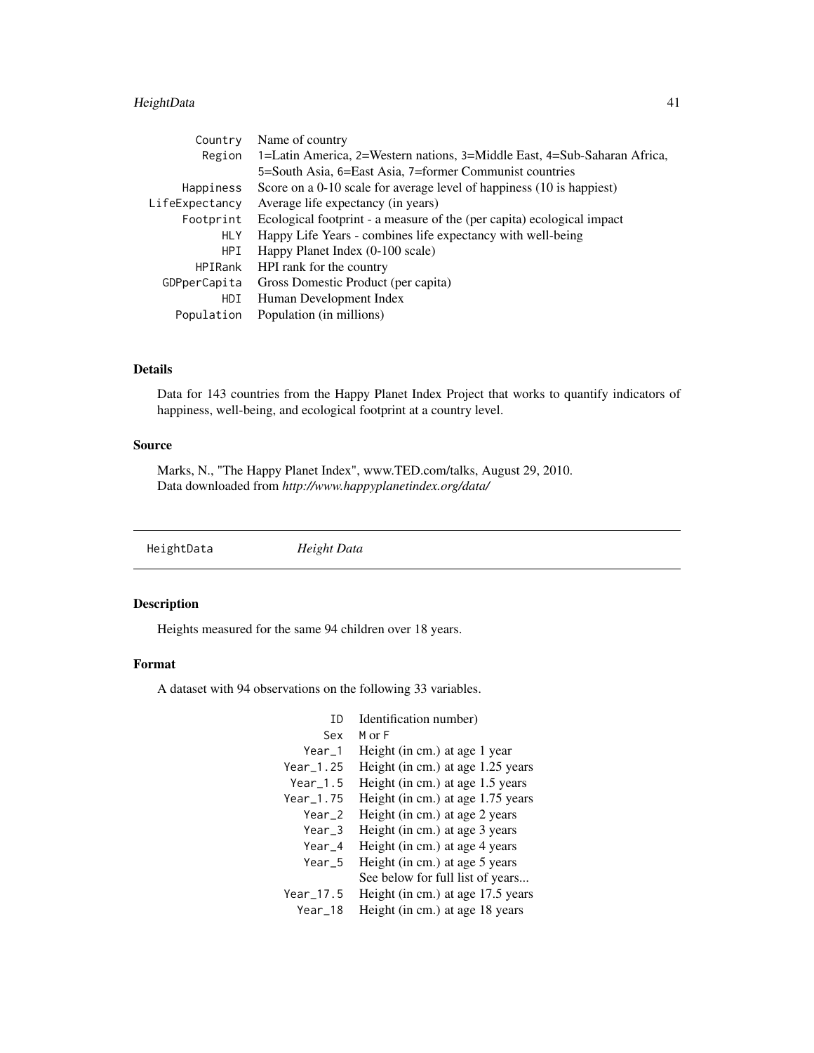# HeightData 41

| Country        | Name of country                                                          |
|----------------|--------------------------------------------------------------------------|
| Region         | 1=Latin America, 2=Western nations, 3=Middle East, 4=Sub-Saharan Africa, |
|                | 5=South Asia, 6=East Asia, 7=former Communist countries                  |
| Happiness      | Score on a 0-10 scale for average level of happiness (10 is happiest)    |
| LifeExpectancy | Average life expectancy (in years)                                       |
| Footprint      | Ecological footprint - a measure of the (per capita) ecological impact   |
| <b>HLY</b>     | Happy Life Years - combines life expectancy with well-being              |
| HPI            | Happy Planet Index (0-100 scale)                                         |
| <b>HPIRank</b> | HPI rank for the country                                                 |
| GDPperCapita   | Gross Domestic Product (per capita)                                      |
| HDI            | Human Development Index                                                  |
| Population     | Population (in millions)                                                 |

# Details

Data for 143 countries from the Happy Planet Index Project that works to quantify indicators of happiness, well-being, and ecological footprint at a country level.

# Source

Marks, N., "The Happy Planet Index", www.TED.com/talks, August 29, 2010. Data downloaded from *http://www.happyplanetindex.org/data/*

HeightData *Height Data*

# Description

Heights measured for the same 94 children over 18 years.

## Format

A dataset with 94 observations on the following 33 variables.

| TD          | Identification number)            |
|-------------|-----------------------------------|
| Sex         | $M$ or $F$                        |
| Year 1      | Height (in cm.) at age 1 year     |
| Year_1.25   | Height (in cm.) at age 1.25 years |
| Year $1.5$  | Height (in cm.) at age 1.5 years  |
| $Year_1.75$ | Height (in cm.) at age 1.75 years |
| $Year_2$    | Height (in cm.) at age 2 years    |
| Year_3      | Height (in cm.) at age 3 years    |
| $Year_4$    | Height (in cm.) at age 4 years    |
| Year 5      | Height (in cm.) at age 5 years    |
|             | See below for full list of years  |
| Year_17.5   | Height (in cm.) at age 17.5 years |
| Year 18     | Height (in cm.) at age 18 years   |
|             |                                   |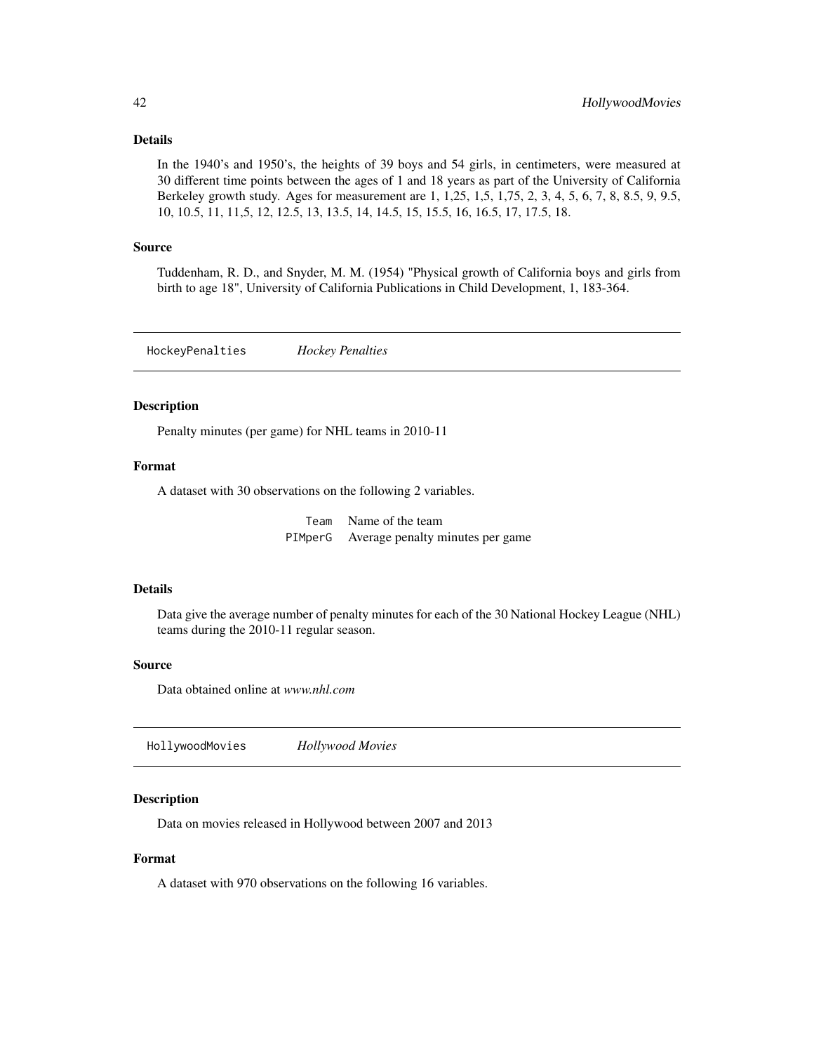In the 1940's and 1950's, the heights of 39 boys and 54 girls, in centimeters, were measured at 30 different time points between the ages of 1 and 18 years as part of the University of California Berkeley growth study. Ages for measurement are 1, 1,25, 1,5, 1,75, 2, 3, 4, 5, 6, 7, 8, 8.5, 9, 9.5, 10, 10.5, 11, 11,5, 12, 12.5, 13, 13.5, 14, 14.5, 15, 15.5, 16, 16.5, 17, 17.5, 18.

## Source

Tuddenham, R. D., and Snyder, M. M. (1954) "Physical growth of California boys and girls from birth to age 18", University of California Publications in Child Development, 1, 183-364.

HockeyPenalties *Hockey Penalties*

# Description

Penalty minutes (per game) for NHL teams in 2010-11

## Format

A dataset with 30 observations on the following 2 variables.

Team Name of the team PIMperG Average penalty minutes per game

#### Details

Data give the average number of penalty minutes for each of the 30 National Hockey League (NHL) teams during the 2010-11 regular season.

# Source

Data obtained online at *www.nhl.com*

HollywoodMovies *Hollywood Movies*

## Description

Data on movies released in Hollywood between 2007 and 2013

## Format

A dataset with 970 observations on the following 16 variables.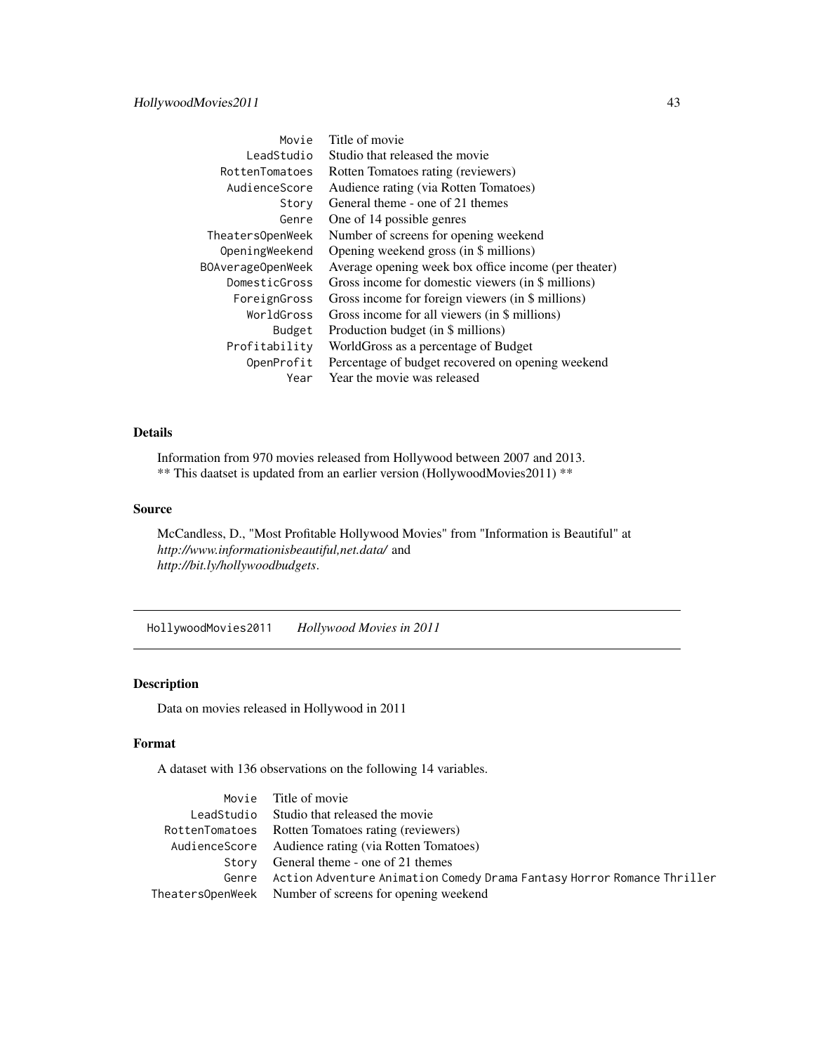| Movie             | Title of movie                                       |
|-------------------|------------------------------------------------------|
| LeadStudio        | Studio that released the movie                       |
| RottenTomatoes    | Rotten Tomatoes rating (reviewers)                   |
| AudienceScore     | Audience rating (via Rotten Tomatoes)                |
| Story             | General theme - one of 21 themes                     |
| Genre             | One of 14 possible genres                            |
| TheatersOpenWeek  | Number of screens for opening weekend                |
| OpeningWeekend    | Opening weekend gross (in \$ millions)               |
| BOAverageOpenWeek | Average opening week box office income (per theater) |
| DomesticGross     | Gross income for domestic viewers (in \$ millions)   |
| ForeignGross      | Gross income for foreign viewers (in \$ millions)    |
| WorldGross        | Gross income for all viewers (in \$ millions)        |
| Budget            | Production budget (in \$ millions)                   |
| Profitability     | WorldGross as a percentage of Budget                 |
| OpenProfit        | Percentage of budget recovered on opening weekend    |
| Year              | Year the movie was released                          |

Information from 970 movies released from Hollywood between 2007 and 2013. \*\* This daatset is updated from an earlier version (HollywoodMovies2011) \*\*

#### Source

McCandless, D., "Most Profitable Hollywood Movies" from "Information is Beautiful" at *http://www.informationisbeautiful,net.data/* and *http://bit.ly/hollywoodbudgets*.

HollywoodMovies2011 *Hollywood Movies in 2011*

# Description

Data on movies released in Hollywood in 2011

#### Format

A dataset with 136 observations on the following 14 variables.

| Movie Title of movie                                                          |
|-------------------------------------------------------------------------------|
| LeadStudio Studio that released the movie                                     |
| RottenTomatoes Rotten Tomatoes rating (reviewers)                             |
| AudienceScore Audience rating (via Rotten Tomatoes)                           |
| Story General theme - one of 21 themes                                        |
| Genre Action Adventure Animation Comedy Drama Fantasy Horror Romance Thriller |
| Theaters0penWeek Number of screens for opening weekend                        |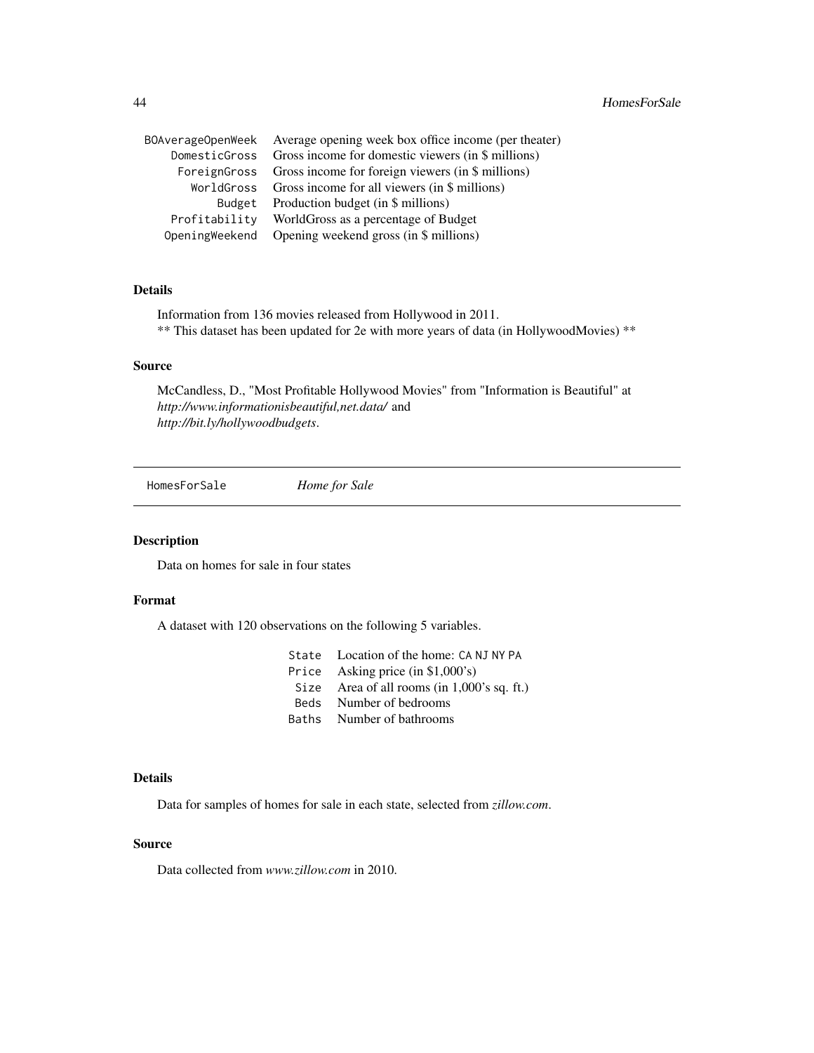|                | BOAverageOpenWeek Average opening week box office income (per theater) |
|----------------|------------------------------------------------------------------------|
|                | DomesticGross Gross income for domestic viewers (in \$ millions)       |
|                | ForeignGross Gross income for foreign viewers (in \$ millions)         |
|                | WorldGross Gross income for all viewers (in \$ millions)               |
| Budget         | Production budget (in \$ millions)                                     |
| Profitability  | WorldGross as a percentage of Budget                                   |
| OpeningWeekend | Opening weekend gross (in \$ millions)                                 |
|                |                                                                        |

Information from 136 movies released from Hollywood in 2011. \*\* This dataset has been updated for 2e with more years of data (in HollywoodMovies) \*\*

# Source

McCandless, D., "Most Profitable Hollywood Movies" from "Information is Beautiful" at *http://www.informationisbeautiful,net.data/* and *http://bit.ly/hollywoodbudgets*.

HomesForSale *Home for Sale*

# Description

Data on homes for sale in four states

# Format

A dataset with 120 observations on the following 5 variables.

- State Location of the home: CA NJ NY PA
- Price Asking price (in \$1,000's)
- Size Area of all rooms (in 1,000's sq. ft.)
- Beds Number of bedrooms
- Baths Number of bathrooms

#### Details

Data for samples of homes for sale in each state, selected from *zillow.com*.

## Source

Data collected from *www.zillow.com* in 2010.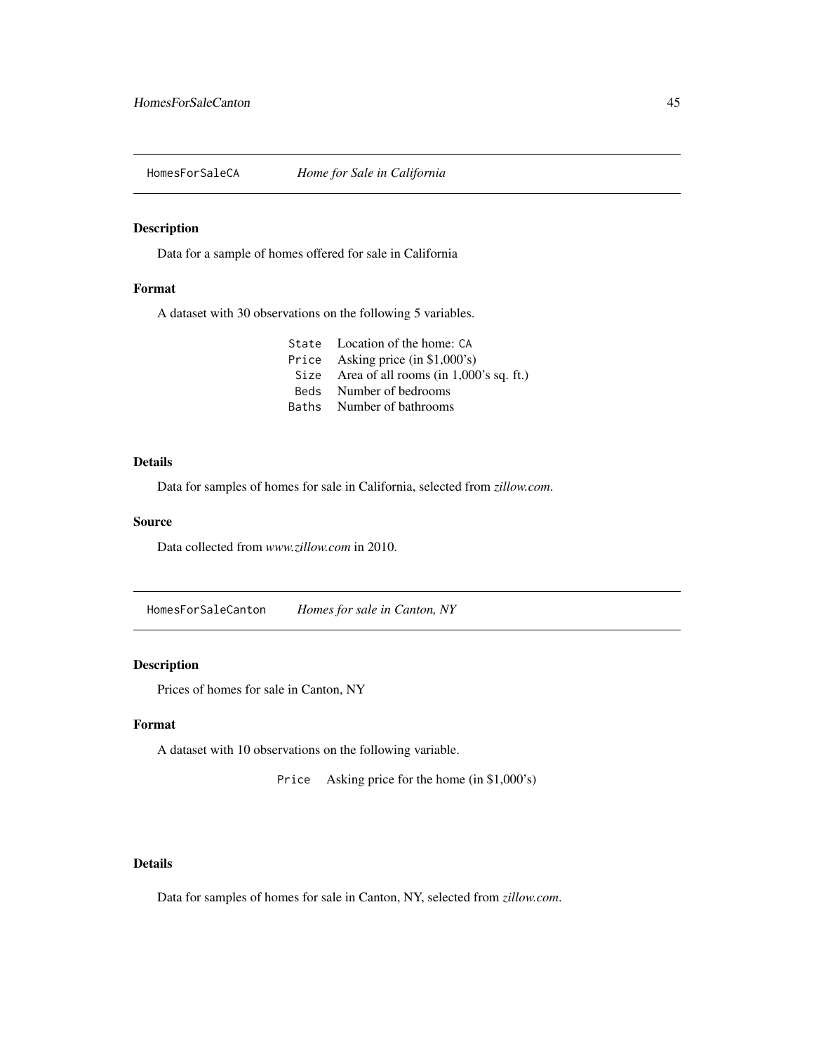# Description

Data for a sample of homes offered for sale in California

## Format

A dataset with 30 observations on the following 5 variables.

| Size Area of all rooms (in $1,000$ 's sq. ft.) |
|------------------------------------------------|
|                                                |
|                                                |
|                                                |

# Details

Data for samples of homes for sale in California, selected from *zillow.com*.

#### Source

Data collected from *www.zillow.com* in 2010.

HomesForSaleCanton *Homes for sale in Canton, NY*

# Description

Prices of homes for sale in Canton, NY

## Format

A dataset with 10 observations on the following variable.

Price Asking price for the home (in \$1,000's)

## Details

Data for samples of homes for sale in Canton, NY, selected from *zillow.com*.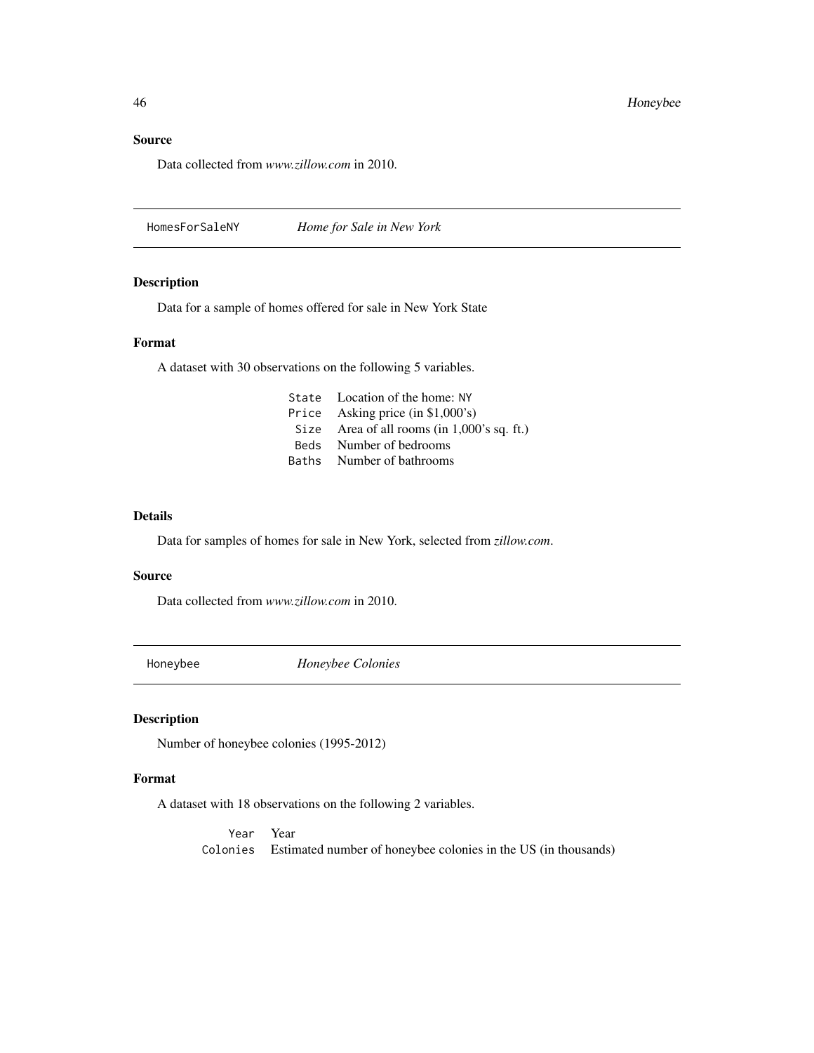# Source

Data collected from *www.zillow.com* in 2010.

HomesForSaleNY *Home for Sale in New York*

# Description

Data for a sample of homes offered for sale in New York State

## Format

A dataset with 30 observations on the following 5 variables.

| State Location of the home: NY                 |
|------------------------------------------------|
| Price Asking price $(in $1,000's)$             |
| Size Area of all rooms (in $1,000$ 's sq. ft.) |
| Beds Number of bedrooms                        |
| Baths Number of bathrooms                      |
|                                                |

#### Details

Data for samples of homes for sale in New York, selected from *zillow.com*.

#### Source

Data collected from *www.zillow.com* in 2010.

Honeybee *Honeybee Colonies*

## Description

Number of honeybee colonies (1995-2012)

#### Format

A dataset with 18 observations on the following 2 variables.

Year Year Colonies Estimated number of honeybee colonies in the US (in thousands)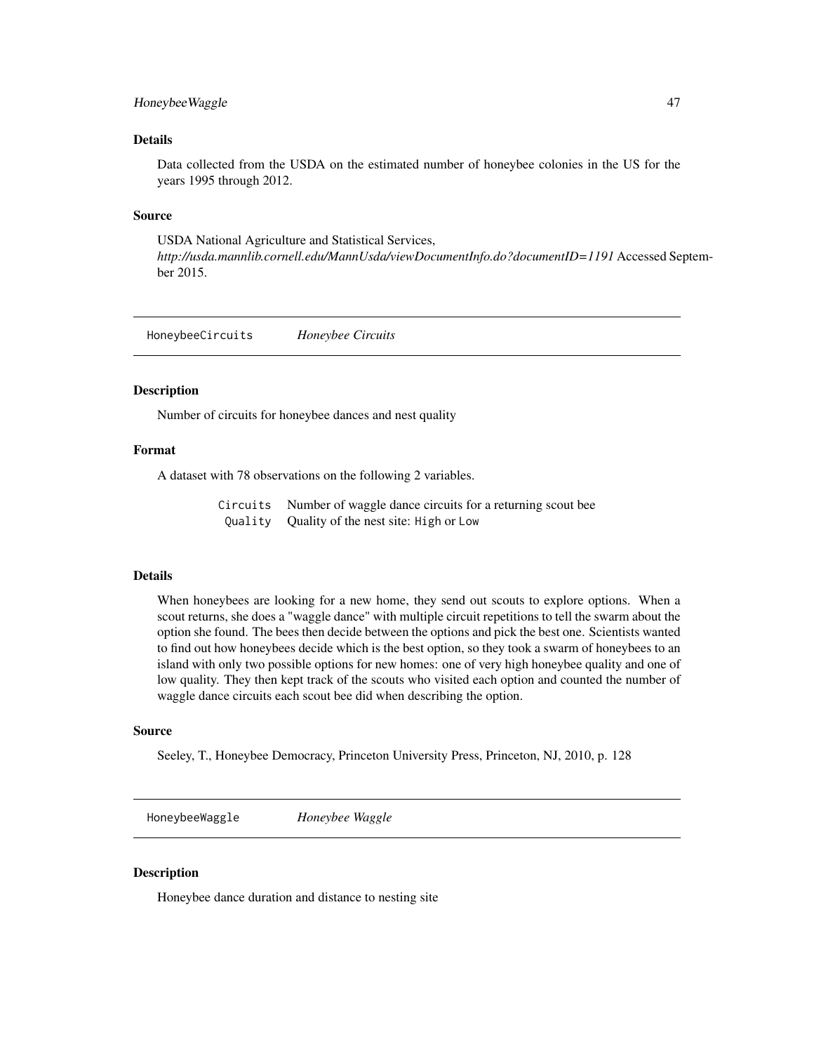# Honeybee Waggle 47

# Details

Data collected from the USDA on the estimated number of honeybee colonies in the US for the years 1995 through 2012.

#### Source

USDA National Agriculture and Statistical Services, *http://usda.mannlib.cornell.edu/MannUsda/viewDocumentInfo.do?documentID=1191* Accessed September 2015.

HoneybeeCircuits *Honeybee Circuits*

#### **Description**

Number of circuits for honeybee dances and nest quality

#### Format

A dataset with 78 observations on the following 2 variables.

Circuits Number of waggle dance circuits for a returning scout bee Quality Quality of the nest site: High or Low

## Details

When honeybees are looking for a new home, they send out scouts to explore options. When a scout returns, she does a "waggle dance" with multiple circuit repetitions to tell the swarm about the option she found. The bees then decide between the options and pick the best one. Scientists wanted to find out how honeybees decide which is the best option, so they took a swarm of honeybees to an island with only two possible options for new homes: one of very high honeybee quality and one of low quality. They then kept track of the scouts who visited each option and counted the number of waggle dance circuits each scout bee did when describing the option.

## Source

Seeley, T., Honeybee Democracy, Princeton University Press, Princeton, NJ, 2010, p. 128

HoneybeeWaggle *Honeybee Waggle*

#### Description

Honeybee dance duration and distance to nesting site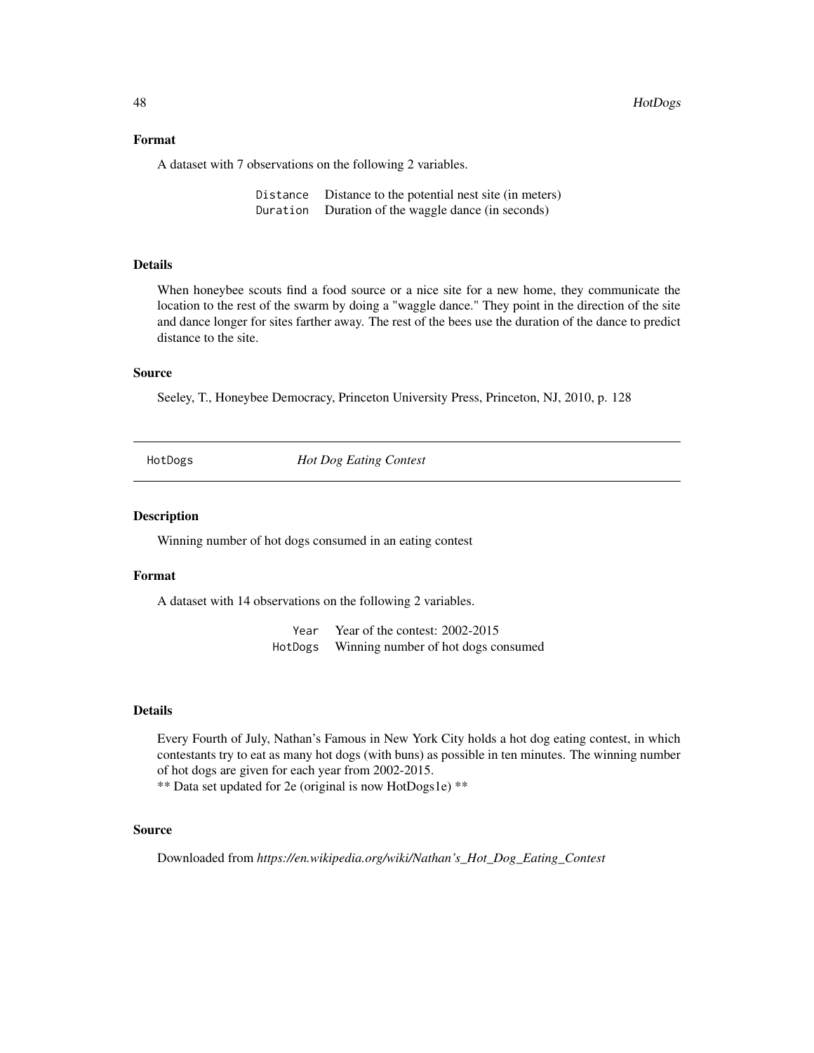48 HotDogs

#### Format

A dataset with 7 observations on the following 2 variables.

Distance Distance to the potential nest site (in meters) Duration Duration of the waggle dance (in seconds)

# Details

When honeybee scouts find a food source or a nice site for a new home, they communicate the location to the rest of the swarm by doing a "waggle dance." They point in the direction of the site and dance longer for sites farther away. The rest of the bees use the duration of the dance to predict distance to the site.

# Source

Seeley, T., Honeybee Democracy, Princeton University Press, Princeton, NJ, 2010, p. 128

HotDogs *Hot Dog Eating Contest*

#### Description

Winning number of hot dogs consumed in an eating contest

#### Format

A dataset with 14 observations on the following 2 variables.

Year Year of the contest: 2002-2015 HotDogs Winning number of hot dogs consumed

## Details

Every Fourth of July, Nathan's Famous in New York City holds a hot dog eating contest, in which contestants try to eat as many hot dogs (with buns) as possible in ten minutes. The winning number of hot dogs are given for each year from 2002-2015.

\*\* Data set updated for 2e (original is now HotDogs1e) \*\*

#### Source

Downloaded from *https://en.wikipedia.org/wiki/Nathan's\_Hot\_Dog\_Eating\_Contest*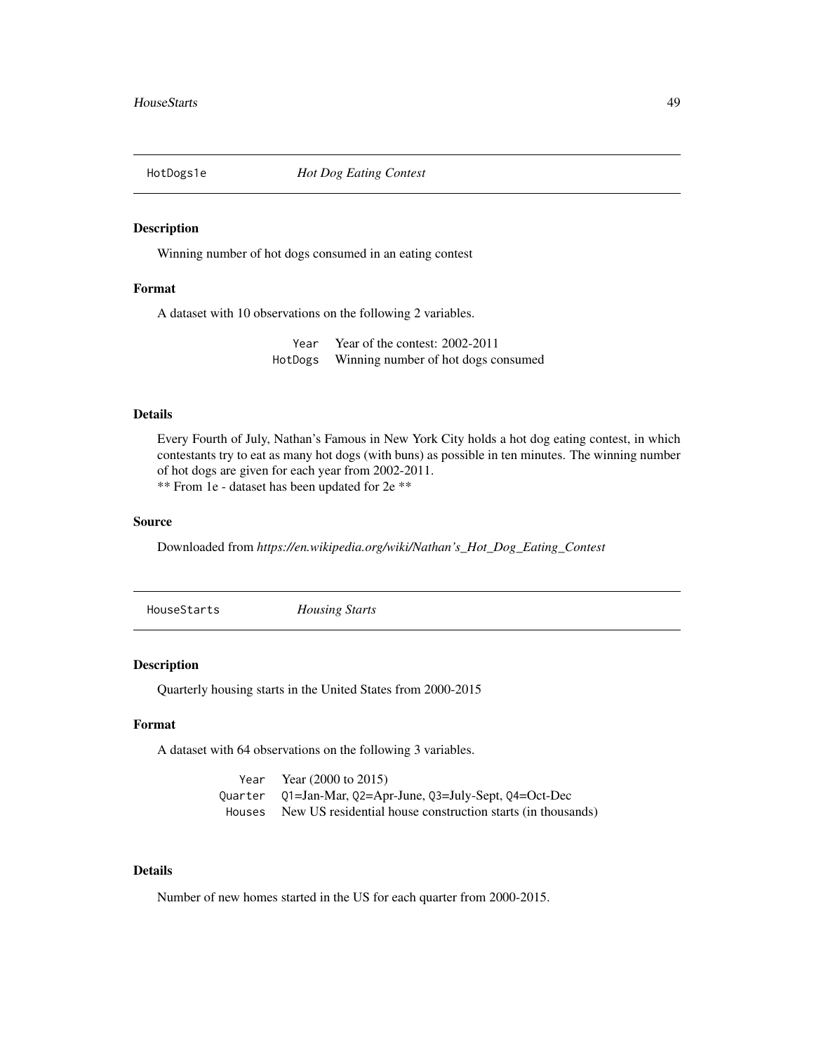#### Description

Winning number of hot dogs consumed in an eating contest

## Format

A dataset with 10 observations on the following 2 variables.

Year Year of the contest: 2002-2011 HotDogs Winning number of hot dogs consumed

#### Details

Every Fourth of July, Nathan's Famous in New York City holds a hot dog eating contest, in which contestants try to eat as many hot dogs (with buns) as possible in ten minutes. The winning number of hot dogs are given for each year from 2002-2011. \*\* From 1e - dataset has been updated for 2e \*\*

#### Source

Downloaded from *https://en.wikipedia.org/wiki/Nathan's\_Hot\_Dog\_Eating\_Contest*

HouseStarts *Housing Starts*

# Description

Quarterly housing starts in the United States from 2000-2015

## Format

A dataset with 64 observations on the following 3 variables.

Year Year (2000 to 2015) Quarter Q1=Jan-Mar, Q2=Apr-June, Q3=July-Sept, Q4=Oct-Dec Houses New US residential house construction starts (in thousands)

# Details

Number of new homes started in the US for each quarter from 2000-2015.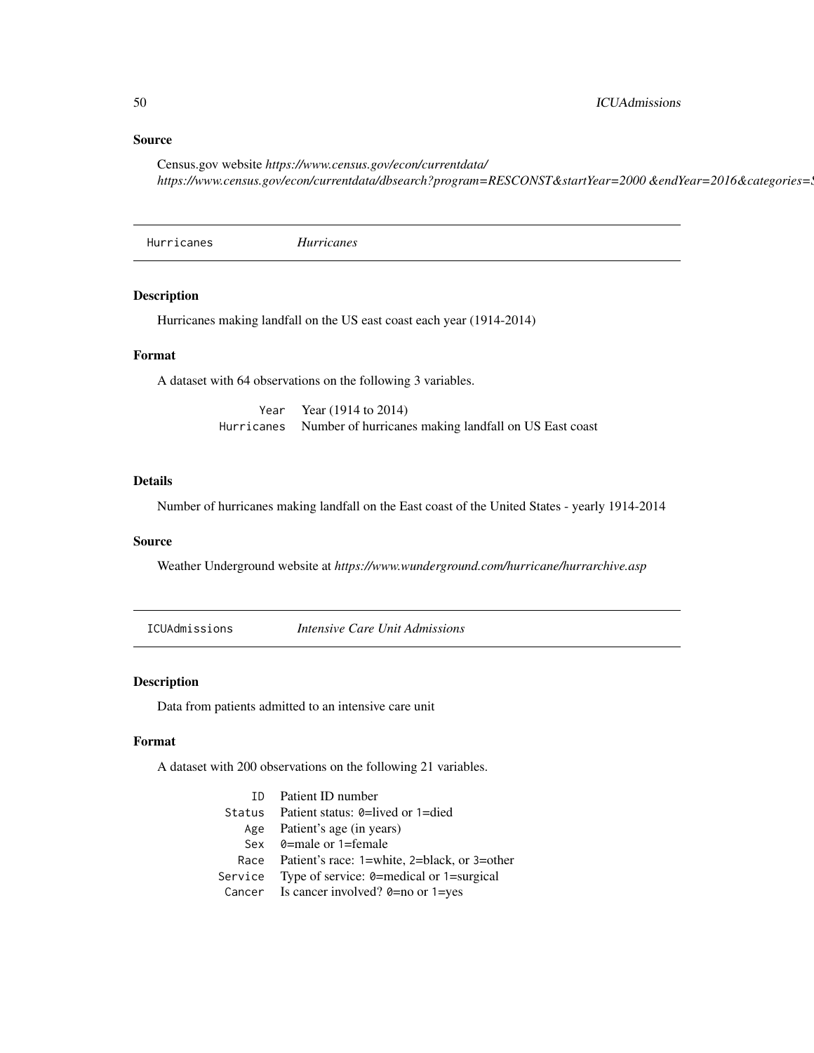## Source

Census.gov website *https://www.census.gov/econ/currentdata/* https://www.census.gov/econ/currentdata/dbsearch?program=RESCONST&startYear=2000 &endYear=2016&categories=.

Hurricanes *Hurricanes*

# Description

Hurricanes making landfall on the US east coast each year (1914-2014)

# Format

A dataset with 64 observations on the following 3 variables.

Year Year (1914 to 2014) Hurricanes Number of hurricanes making landfall on US East coast

## Details

Number of hurricanes making landfall on the East coast of the United States - yearly 1914-2014

## Source

Weather Underground website at *https://www.wunderground.com/hurricane/hurrarchive.asp*

ICUAdmissions *Intensive Care Unit Admissions*

# Description

Data from patients admitted to an intensive care unit

## Format

A dataset with 200 observations on the following 21 variables.

| <b>ID</b> Patient <b>ID</b> number                |
|---------------------------------------------------|
| Status Patient status: $\theta$ =lived or 1=died  |
| Age Patient's age (in years)                      |
| Sex $\theta$ =male or 1=female                    |
| Race Patient's race: 1=white, 2=black, or 3=other |
| Service Type of service: 0=medical or 1=surgical  |
| Cancer Is cancer involved? $0=$ no or 1=yes       |
|                                                   |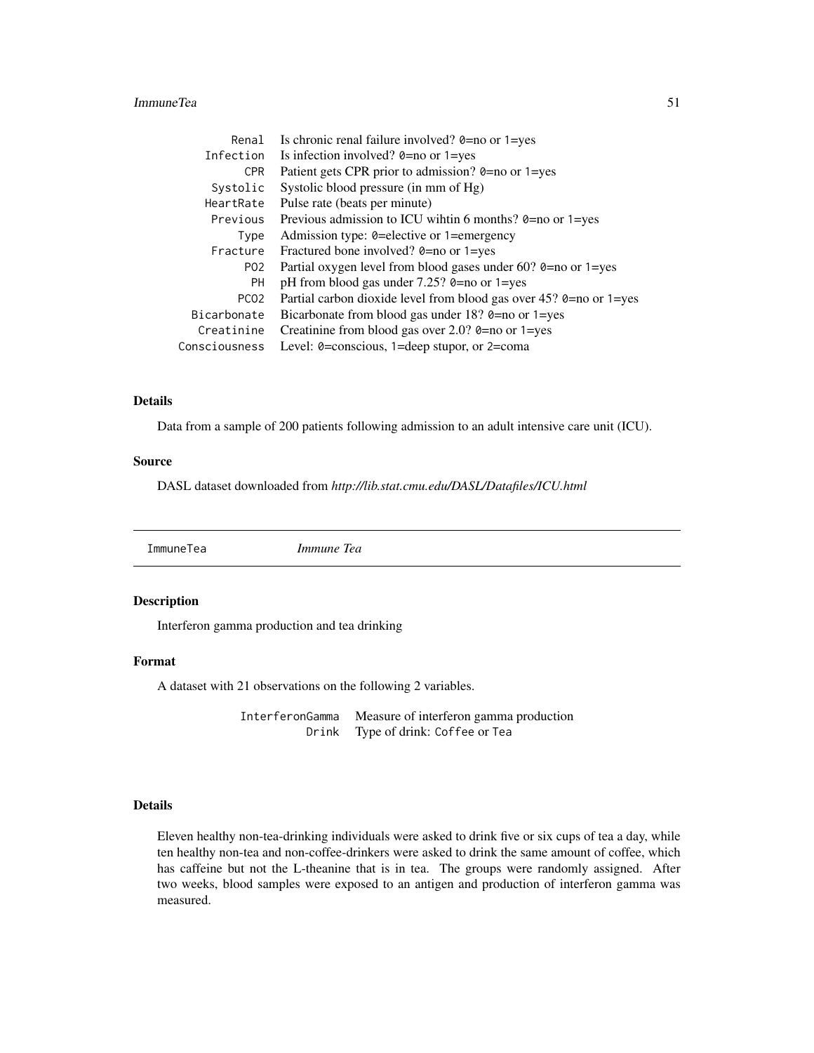#### ImmuneTea 51

| Renal            | Is chronic renal failure involved? $0=$ no or $1=$ yes                            |
|------------------|-----------------------------------------------------------------------------------|
| Infection        | Is infection involved? $0=$ no or $1=$ yes                                        |
| <b>CPR</b>       | Patient gets CPR prior to admission? 0=no or 1=yes                                |
| Systolic         | Systolic blood pressure (in mm of Hg)                                             |
| HeartRate        | Pulse rate (beats per minute)                                                     |
| Previous         | Previous admission to ICU wihtin 6 months? $0=$ no or $1=$ yes                    |
| Type             | Admission type: 0=elective or 1=emergency                                         |
| Fracture         | Fractured bone involved? $0=$ no or $1=$ yes                                      |
| P02              | Partial oxygen level from blood gases under 60? $\theta$ =no or 1=yes             |
| <b>PH</b>        | pH from blood gas under $7.25$ ? 0=no or 1=yes                                    |
| PC <sub>02</sub> | Partial carbon dioxide level from blood gas over 45? 0=no or 1=yes                |
| Bicarbonate      | Bicarbonate from blood gas under 18? $\theta$ =no or 1=yes                        |
| Creatinine       | Creatinine from blood gas over 2.0? $\theta$ =no or 1=yes                         |
| Consciousness    | Level: $0 = \text{conscious}, 1 = \text{deep stupor}, \text{or } 2 = \text{coma}$ |

# Details

Data from a sample of 200 patients following admission to an adult intensive care unit (ICU).

## Source

DASL dataset downloaded from *http://lib.stat.cmu.edu/DASL/Datafiles/ICU.html*

ImmuneTea *Immune Tea*

# Description

Interferon gamma production and tea drinking

#### Format

A dataset with 21 observations on the following 2 variables.

InterferonGamma Measure of interferon gamma production Drink Type of drink: Coffee or Tea

# Details

Eleven healthy non-tea-drinking individuals were asked to drink five or six cups of tea a day, while ten healthy non-tea and non-coffee-drinkers were asked to drink the same amount of coffee, which has caffeine but not the L-theanine that is in tea. The groups were randomly assigned. After two weeks, blood samples were exposed to an antigen and production of interferon gamma was measured.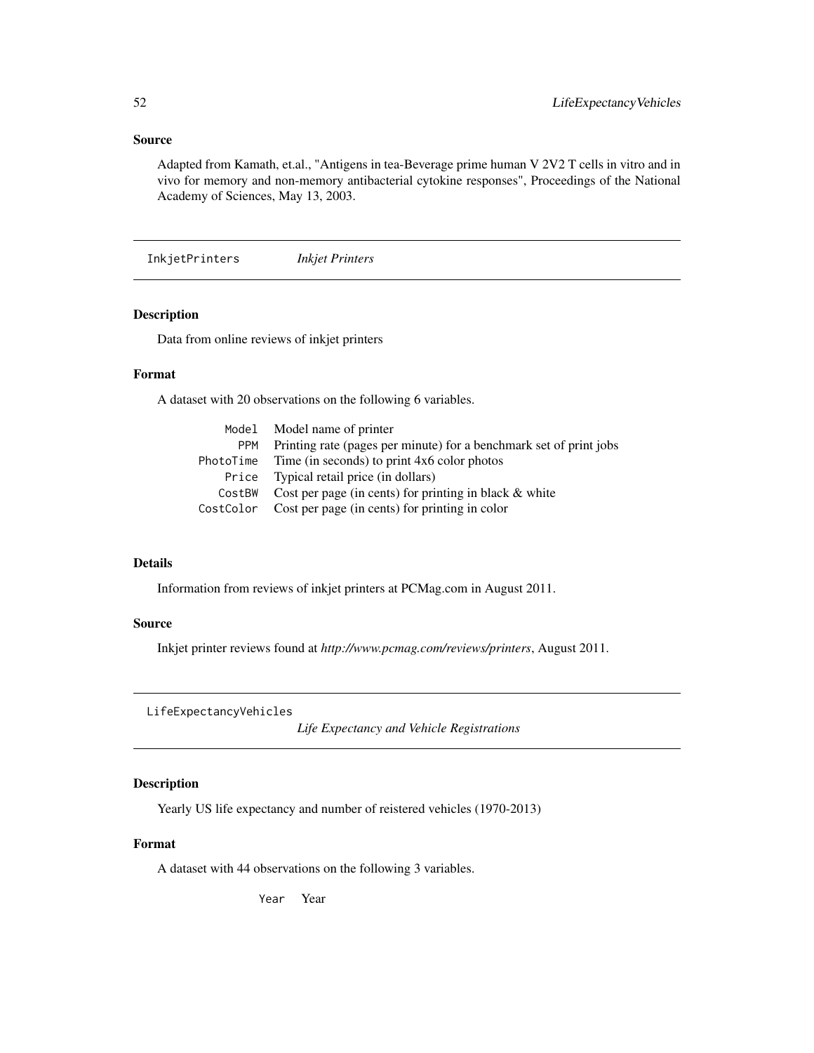# Source

Adapted from Kamath, et.al., "Antigens in tea-Beverage prime human V 2V2 T cells in vitro and in vivo for memory and non-memory antibacterial cytokine responses", Proceedings of the National Academy of Sciences, May 13, 2003.

InkjetPrinters *Inkjet Printers*

# Description

Data from online reviews of inkjet printers

## Format

A dataset with 20 observations on the following 6 variables.

|            | Model Model name of printer                                        |
|------------|--------------------------------------------------------------------|
| <b>PPM</b> | Printing rate (pages per minute) for a benchmark set of print jobs |
|            | PhotoTime Time (in seconds) to print $4x6$ color photos            |
|            | Price Typical retail price (in dollars)                            |
| CostBW     | Cost per page (in cents) for printing in black $\&$ white          |
|            | CostColor Cost per page (in cents) for printing in color           |

# Details

Information from reviews of inkjet printers at PCMag.com in August 2011.

#### Source

Inkjet printer reviews found at *http://www.pcmag.com/reviews/printers*, August 2011.

LifeExpectancyVehicles

*Life Expectancy and Vehicle Registrations*

# Description

Yearly US life expectancy and number of reistered vehicles (1970-2013)

## Format

A dataset with 44 observations on the following 3 variables.

Year Year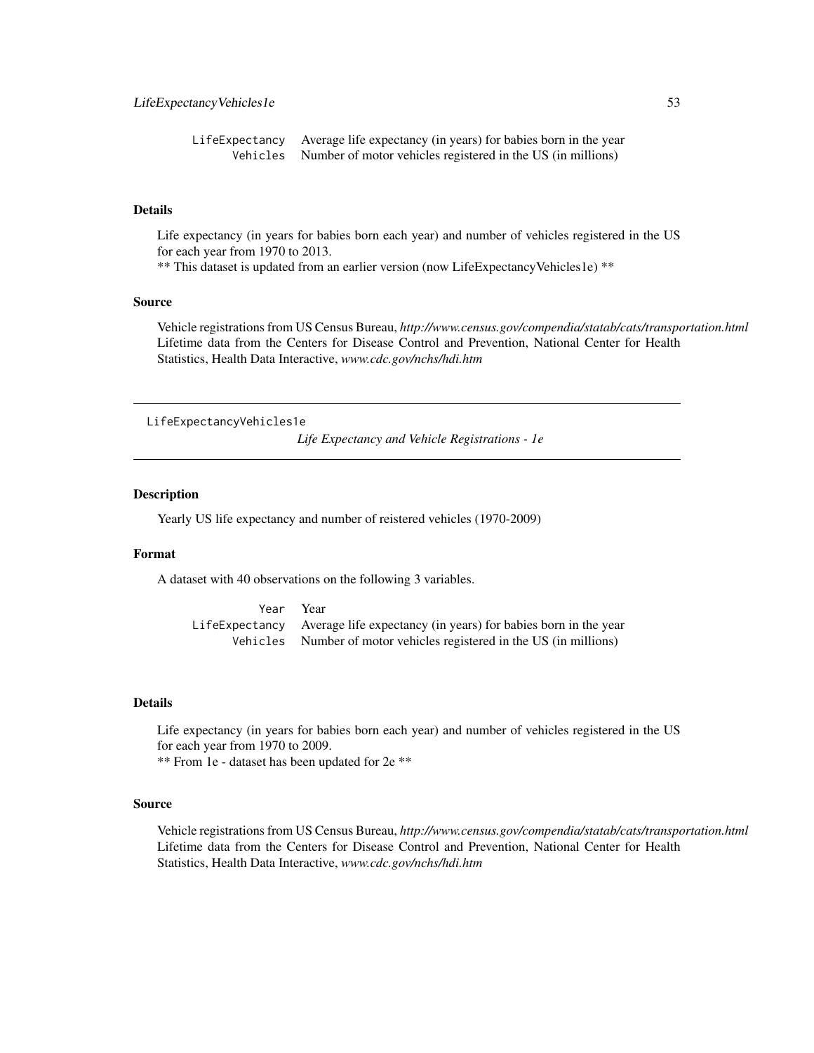```
LifeExpectancy Average life expectancy (in years) for babies born in the year
Vehicles Number of motor vehicles registered in the US (in millions)
```
Life expectancy (in years for babies born each year) and number of vehicles registered in the US for each year from 1970 to 2013.

\*\* This dataset is updated from an earlier version (now LifeExpectancyVehicles1e) \*\*

## Source

Vehicle registrations from US Census Bureau, *http://www.census.gov/compendia/statab/cats/transportation.html* Lifetime data from the Centers for Disease Control and Prevention, National Center for Health Statistics, Health Data Interactive, *www.cdc.gov/nchs/hdi.htm*

LifeExpectancyVehicles1e

*Life Expectancy and Vehicle Registrations - 1e*

## **Description**

Yearly US life expectancy and number of reistered vehicles (1970-2009)

#### Format

A dataset with 40 observations on the following 3 variables.

Year Year LifeExpectancy Average life expectancy (in years) for babies born in the year Vehicles Number of motor vehicles registered in the US (in millions)

## Details

Life expectancy (in years for babies born each year) and number of vehicles registered in the US for each year from 1970 to 2009.

\*\* From 1e - dataset has been updated for 2e \*\*

#### Source

Vehicle registrations from US Census Bureau, *http://www.census.gov/compendia/statab/cats/transportation.html* Lifetime data from the Centers for Disease Control and Prevention, National Center for Health Statistics, Health Data Interactive, *www.cdc.gov/nchs/hdi.htm*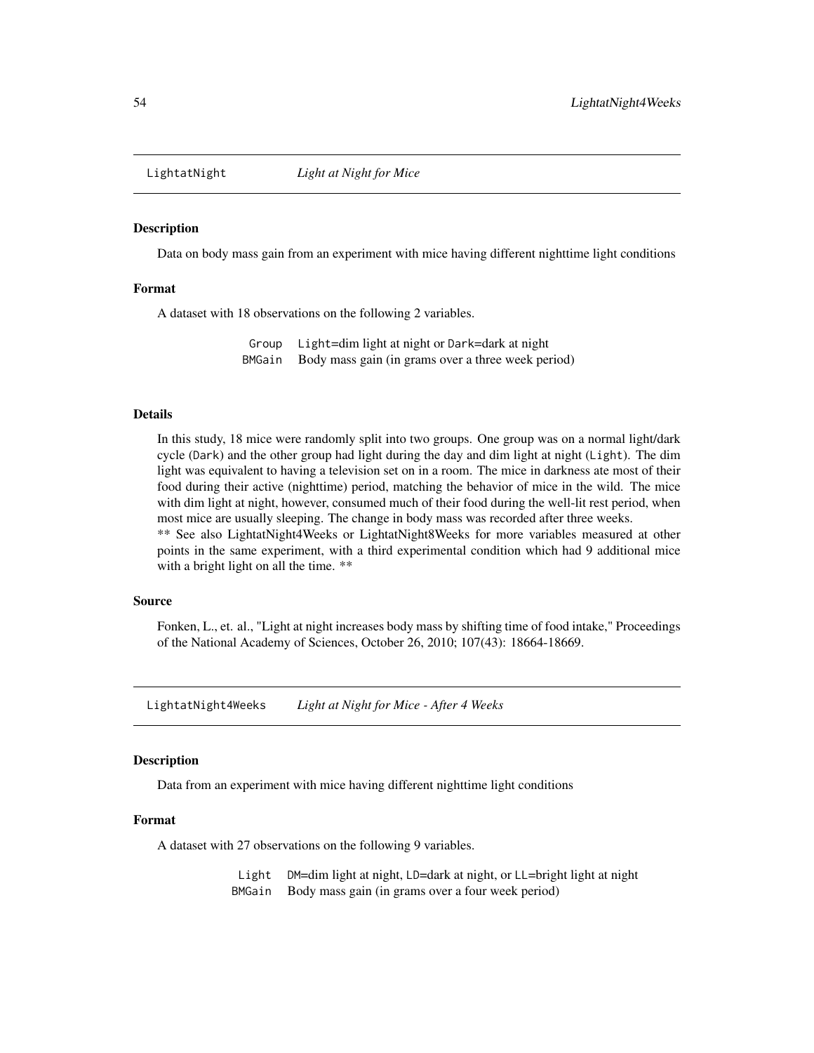#### Description

Data on body mass gain from an experiment with mice having different nighttime light conditions

#### Format

A dataset with 18 observations on the following 2 variables.

Group Light=dim light at night or Dark=dark at night BMGain Body mass gain (in grams over a three week period)

#### Details

In this study, 18 mice were randomly split into two groups. One group was on a normal light/dark cycle (Dark) and the other group had light during the day and dim light at night (Light). The dim light was equivalent to having a television set on in a room. The mice in darkness ate most of their food during their active (nighttime) period, matching the behavior of mice in the wild. The mice with dim light at night, however, consumed much of their food during the well-lit rest period, when most mice are usually sleeping. The change in body mass was recorded after three weeks.

\*\* See also LightatNight4Weeks or LightatNight8Weeks for more variables measured at other points in the same experiment, with a third experimental condition which had 9 additional mice with a bright light on all the time. \*\*

#### Source

Fonken, L., et. al., "Light at night increases body mass by shifting time of food intake," Proceedings of the National Academy of Sciences, October 26, 2010; 107(43): 18664-18669.

LightatNight4Weeks *Light at Night for Mice - After 4 Weeks*

#### **Description**

Data from an experiment with mice having different nighttime light conditions

#### Format

A dataset with 27 observations on the following 9 variables.

Light DM=dim light at night, LD=dark at night, or LL=bright light at night BMGain Body mass gain (in grams over a four week period)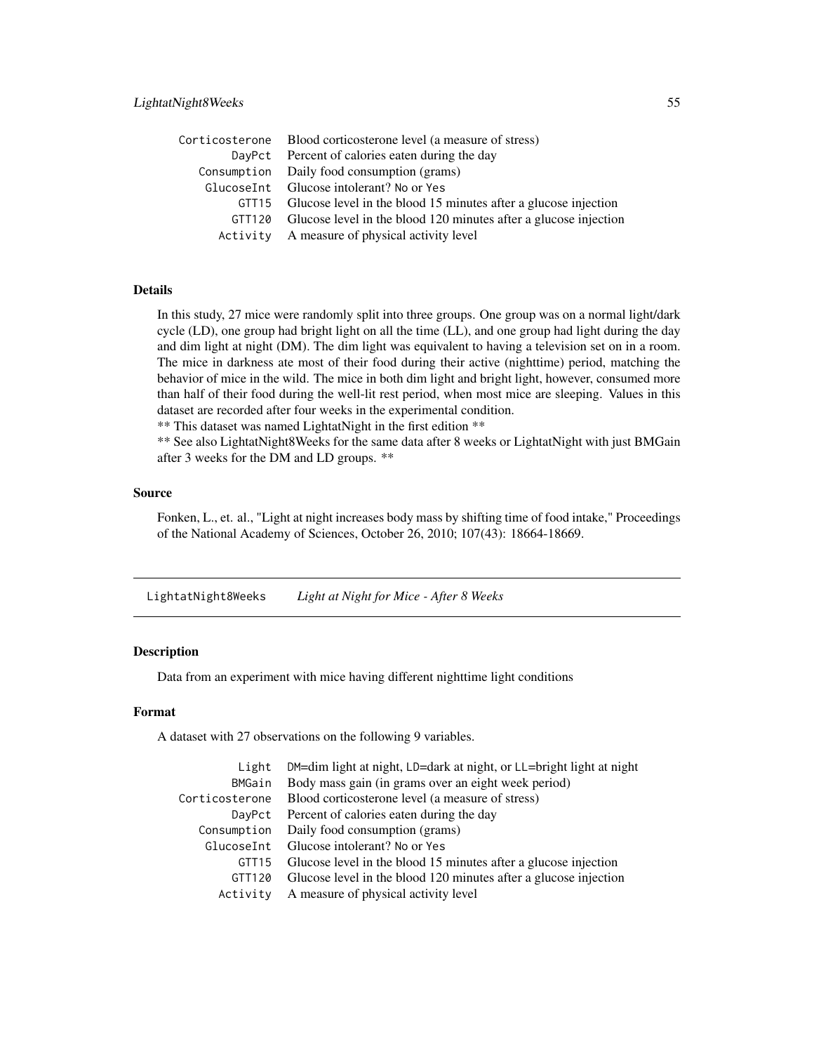# LightatNight8Weeks 55

|        | Corticosterone Blood corticosterone level (a measure of stress)       |
|--------|-----------------------------------------------------------------------|
|        | DayPct Percent of calories eaten during the day                       |
|        | Consumption Daily food consumption (grams)                            |
|        | GlucoseInt Glucose intolerant? No or Yes                              |
|        | GTT15 Glucose level in the blood 15 minutes after a glucose injection |
| GTT120 | Glucose level in the blood 120 minutes after a glucose injection      |
|        | Activity A measure of physical activity level                         |

# Details

In this study, 27 mice were randomly split into three groups. One group was on a normal light/dark cycle (LD), one group had bright light on all the time (LL), and one group had light during the day and dim light at night (DM). The dim light was equivalent to having a television set on in a room. The mice in darkness ate most of their food during their active (nighttime) period, matching the behavior of mice in the wild. The mice in both dim light and bright light, however, consumed more than half of their food during the well-lit rest period, when most mice are sleeping. Values in this dataset are recorded after four weeks in the experimental condition.

\*\* This dataset was named LightatNight in the first edition \*\*

\*\* See also LightatNight8Weeks for the same data after 8 weeks or LightatNight with just BMGain after 3 weeks for the DM and LD groups. \*\*

#### Source

Fonken, L., et. al., "Light at night increases body mass by shifting time of food intake," Proceedings of the National Academy of Sciences, October 26, 2010; 107(43): 18664-18669.

LightatNight8Weeks *Light at Night for Mice - After 8 Weeks*

#### **Description**

Data from an experiment with mice having different nighttime light conditions

## Format

A dataset with 27 observations on the following 9 variables.

| Light             | DM=dim light at night, LD=dark at night, or LL=bright light at night |
|-------------------|----------------------------------------------------------------------|
| BMGain            | Body mass gain (in grams over an eight week period)                  |
| Corticosterone    | Blood corticosterone level (a measure of stress)                     |
| DayPct            | Percent of calories eaten during the day                             |
| Consumption       | Daily food consumption (grams)                                       |
| GlucoseInt        | Glucose intolerant? No or Yes                                        |
| GTT <sub>15</sub> | Glucose level in the blood 15 minutes after a glucose injection      |
| GTT120            | Glucose level in the blood 120 minutes after a glucose injection     |
| Activity          | A measure of physical activity level                                 |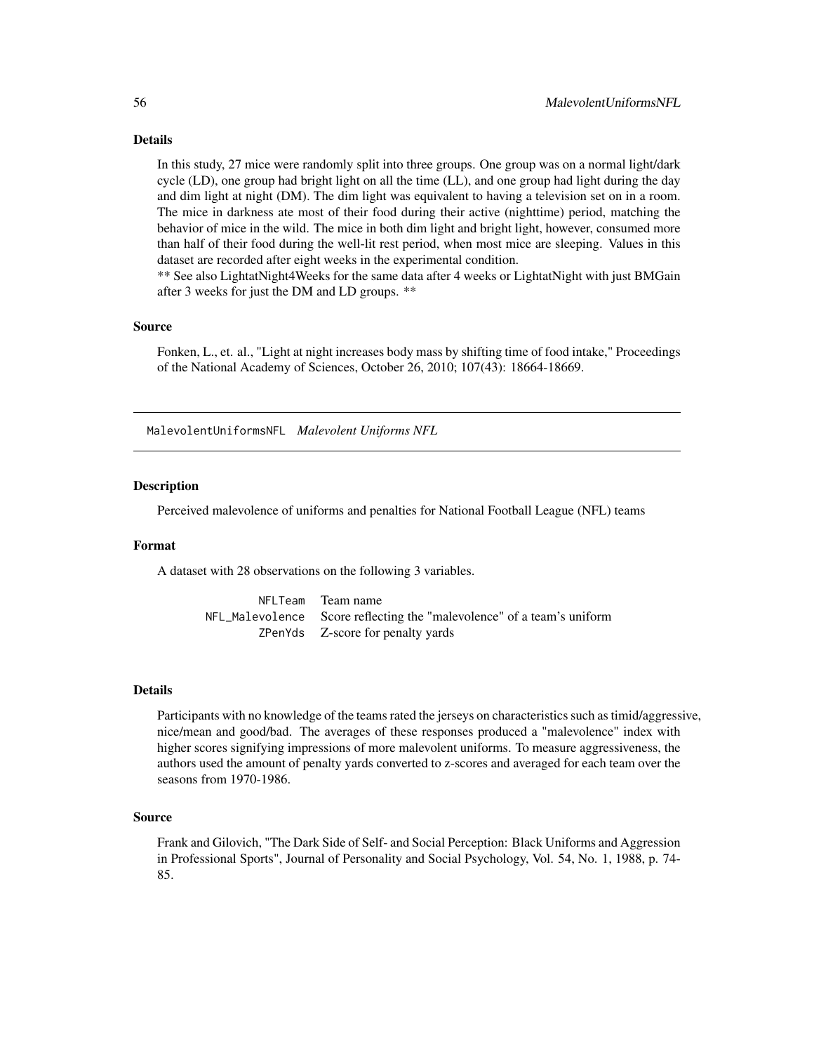In this study, 27 mice were randomly split into three groups. One group was on a normal light/dark cycle (LD), one group had bright light on all the time (LL), and one group had light during the day and dim light at night (DM). The dim light was equivalent to having a television set on in a room. The mice in darkness ate most of their food during their active (nighttime) period, matching the behavior of mice in the wild. The mice in both dim light and bright light, however, consumed more than half of their food during the well-lit rest period, when most mice are sleeping. Values in this dataset are recorded after eight weeks in the experimental condition.

\*\* See also LightatNight4Weeks for the same data after 4 weeks or LightatNight with just BMGain after 3 weeks for just the DM and LD groups. \*\*

## Source

Fonken, L., et. al., "Light at night increases body mass by shifting time of food intake," Proceedings of the National Academy of Sciences, October 26, 2010; 107(43): 18664-18669.

MalevolentUniformsNFL *Malevolent Uniforms NFL*

## Description

Perceived malevolence of uniforms and penalties for National Football League (NFL) teams

## Format

A dataset with 28 observations on the following 3 variables.

NFLTeam Team name NFL\_Malevolence Score reflecting the "malevolence" of a team's uniform ZPenYds Z-score for penalty yards

#### Details

Participants with no knowledge of the teams rated the jerseys on characteristics such as timid/aggressive, nice/mean and good/bad. The averages of these responses produced a "malevolence" index with higher scores signifying impressions of more malevolent uniforms. To measure aggressiveness, the authors used the amount of penalty yards converted to z-scores and averaged for each team over the seasons from 1970-1986.

## Source

Frank and Gilovich, "The Dark Side of Self- and Social Perception: Black Uniforms and Aggression in Professional Sports", Journal of Personality and Social Psychology, Vol. 54, No. 1, 1988, p. 74- 85.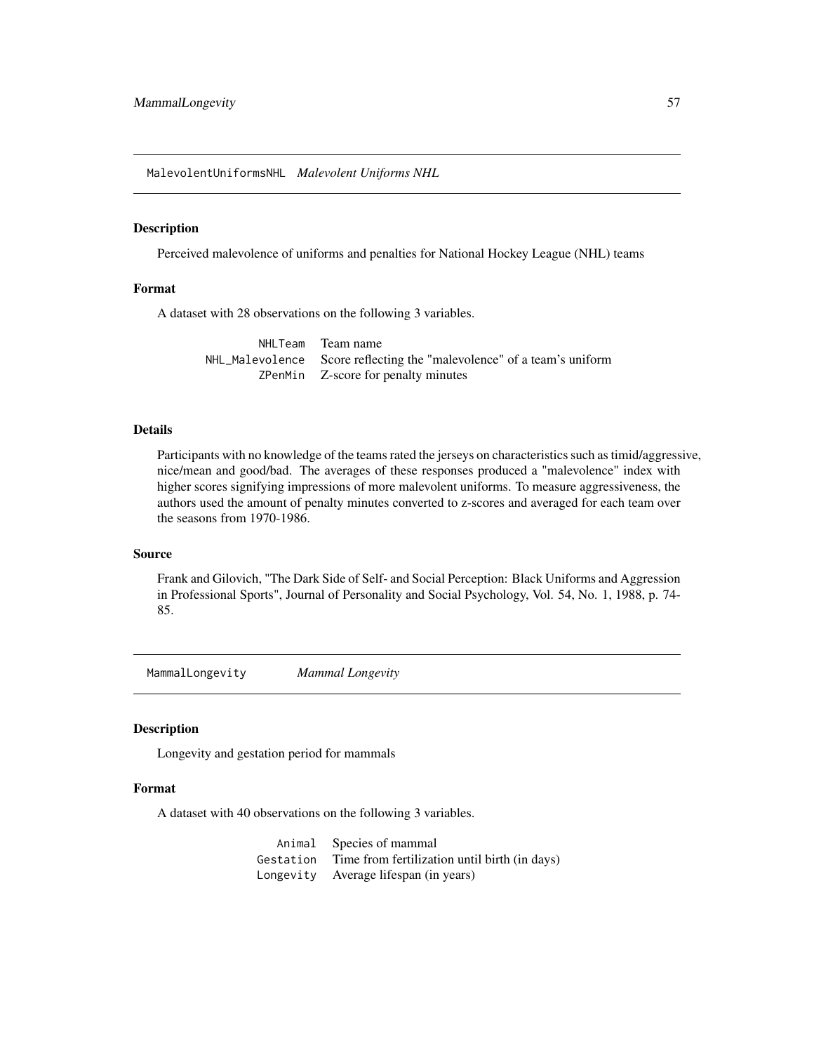MalevolentUniformsNHL *Malevolent Uniforms NHL*

## Description

Perceived malevolence of uniforms and penalties for National Hockey League (NHL) teams

# Format

A dataset with 28 observations on the following 3 variables.

NHLTeam Team name NHL\_Malevolence Score reflecting the "malevolence" of a team's uniform ZPenMin Z-score for penalty minutes

## Details

Participants with no knowledge of the teams rated the jerseys on characteristics such as timid/aggressive, nice/mean and good/bad. The averages of these responses produced a "malevolence" index with higher scores signifying impressions of more malevolent uniforms. To measure aggressiveness, the authors used the amount of penalty minutes converted to z-scores and averaged for each team over the seasons from 1970-1986.

#### Source

Frank and Gilovich, "The Dark Side of Self- and Social Perception: Black Uniforms and Aggression in Professional Sports", Journal of Personality and Social Psychology, Vol. 54, No. 1, 1988, p. 74- 85.

MammalLongevity *Mammal Longevity*

#### Description

Longevity and gestation period for mammals

# Format

A dataset with 40 observations on the following 3 variables.

Animal Species of mammal Gestation Time from fertilization until birth (in days) Longevity Average lifespan (in years)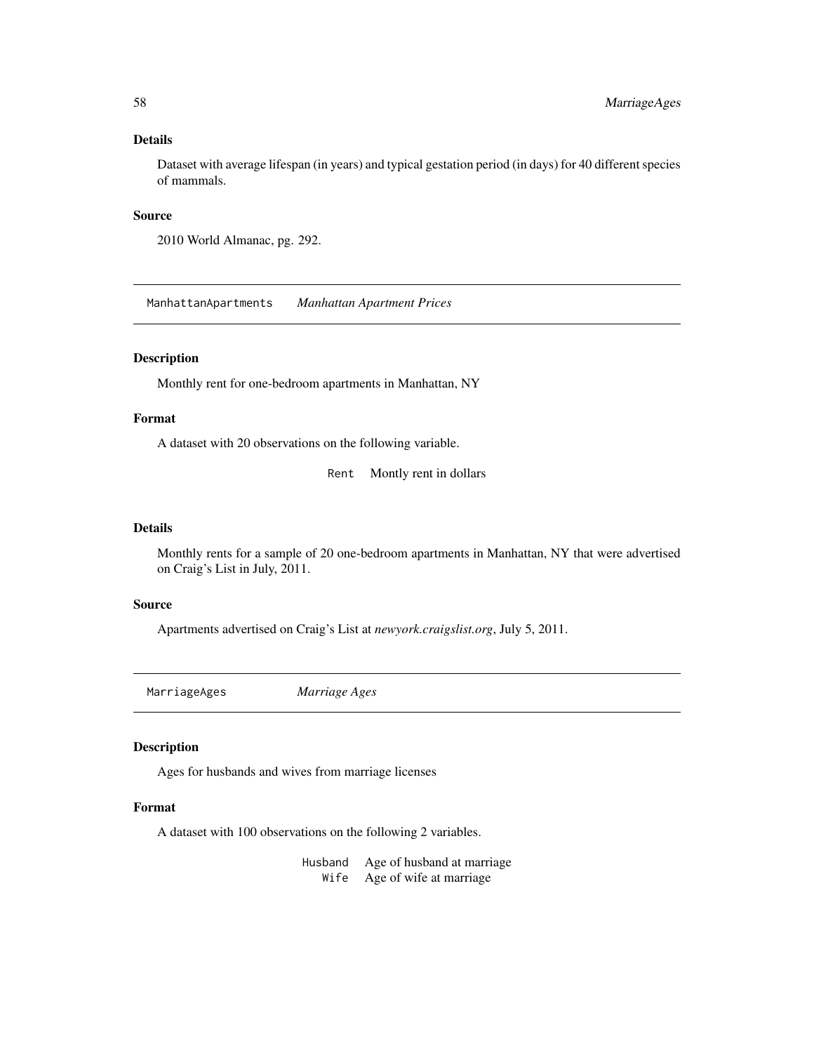Dataset with average lifespan (in years) and typical gestation period (in days) for 40 different species of mammals.

## Source

2010 World Almanac, pg. 292.

ManhattanApartments *Manhattan Apartment Prices*

# Description

Monthly rent for one-bedroom apartments in Manhattan, NY

# Format

A dataset with 20 observations on the following variable.

Rent Montly rent in dollars

### Details

Monthly rents for a sample of 20 one-bedroom apartments in Manhattan, NY that were advertised on Craig's List in July, 2011.

#### Source

Apartments advertised on Craig's List at *newyork.craigslist.org*, July 5, 2011.

MarriageAges *Marriage Ages*

#### Description

Ages for husbands and wives from marriage licenses

#### Format

A dataset with 100 observations on the following 2 variables.

Husband Age of husband at marriage Wife Age of wife at marriage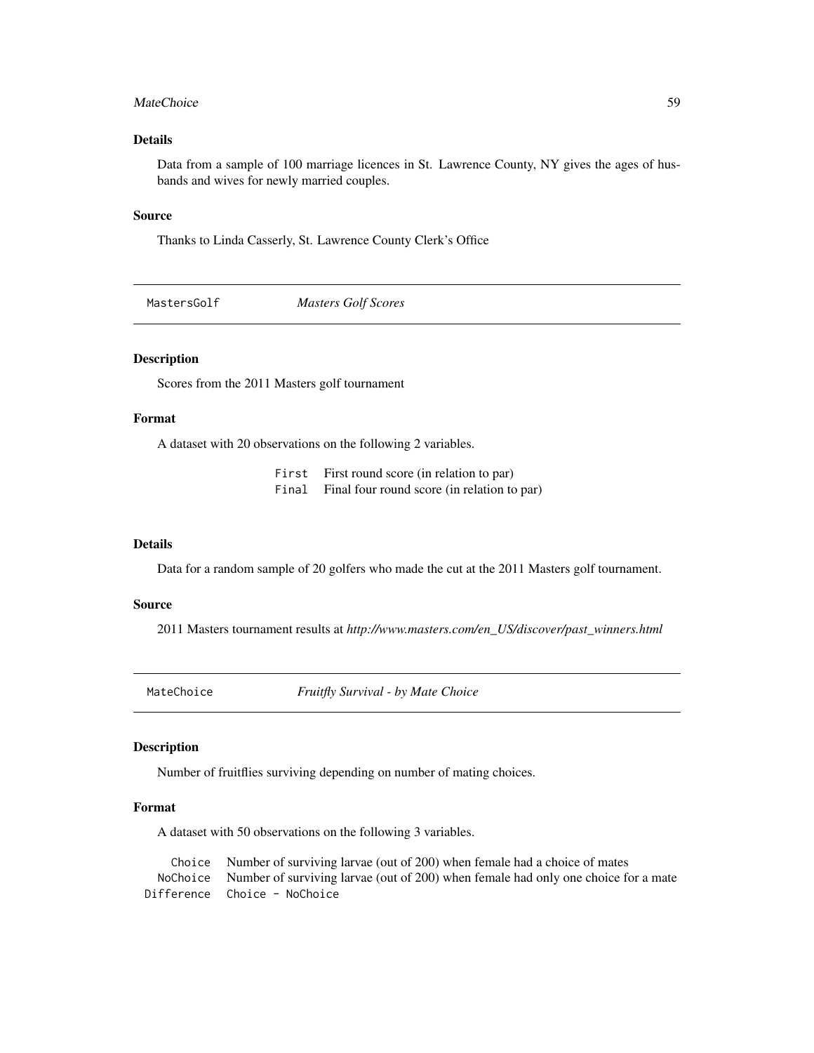#### MateChoice 59

## Details

Data from a sample of 100 marriage licences in St. Lawrence County, NY gives the ages of husbands and wives for newly married couples.

#### Source

Thanks to Linda Casserly, St. Lawrence County Clerk's Office

MastersGolf *Masters Golf Scores*

# Description

Scores from the 2011 Masters golf tournament

# Format

A dataset with 20 observations on the following 2 variables.

First First round score (in relation to par) Final Final four round score (in relation to par)

#### Details

Data for a random sample of 20 golfers who made the cut at the 2011 Masters golf tournament.

#### Source

2011 Masters tournament results at *http://www.masters.com/en\_US/discover/past\_winners.html*

MateChoice *Fruitfly Survival - by Mate Choice*

#### Description

Number of fruitflies surviving depending on number of mating choices.

#### Format

A dataset with 50 observations on the following 3 variables.

Choice Number of surviving larvae (out of 200) when female had a choice of mates NoChoice Number of surviving larvae (out of 200) when female had only one choice for a mate Difference Choice - NoChoice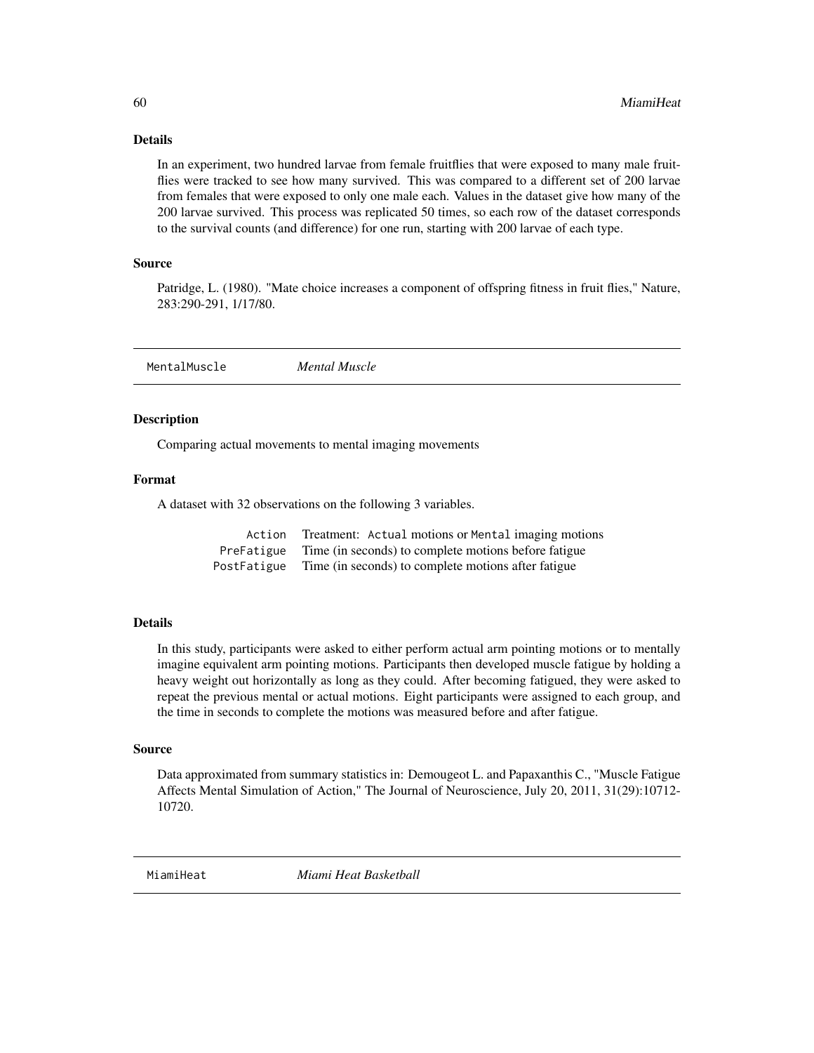In an experiment, two hundred larvae from female fruitflies that were exposed to many male fruitflies were tracked to see how many survived. This was compared to a different set of 200 larvae from females that were exposed to only one male each. Values in the dataset give how many of the 200 larvae survived. This process was replicated 50 times, so each row of the dataset corresponds to the survival counts (and difference) for one run, starting with 200 larvae of each type.

## Source

Patridge, L. (1980). "Mate choice increases a component of offspring fitness in fruit flies," Nature, 283:290-291, 1/17/80.

MentalMuscle *Mental Muscle*

#### **Description**

Comparing actual movements to mental imaging movements

## Format

A dataset with 32 observations on the following 3 variables.

| Action      | Treatment: Actual motions or Mental imaging motions  |
|-------------|------------------------------------------------------|
| PreFatigue  | Time (in seconds) to complete motions before fatigue |
| PostFatigue | Time (in seconds) to complete motions after fatigue  |

# Details

In this study, participants were asked to either perform actual arm pointing motions or to mentally imagine equivalent arm pointing motions. Participants then developed muscle fatigue by holding a heavy weight out horizontally as long as they could. After becoming fatigued, they were asked to repeat the previous mental or actual motions. Eight participants were assigned to each group, and the time in seconds to complete the motions was measured before and after fatigue.

#### Source

Data approximated from summary statistics in: Demougeot L. and Papaxanthis C., "Muscle Fatigue Affects Mental Simulation of Action," The Journal of Neuroscience, July 20, 2011, 31(29):10712- 10720.

MiamiHeat *Miami Heat Basketball*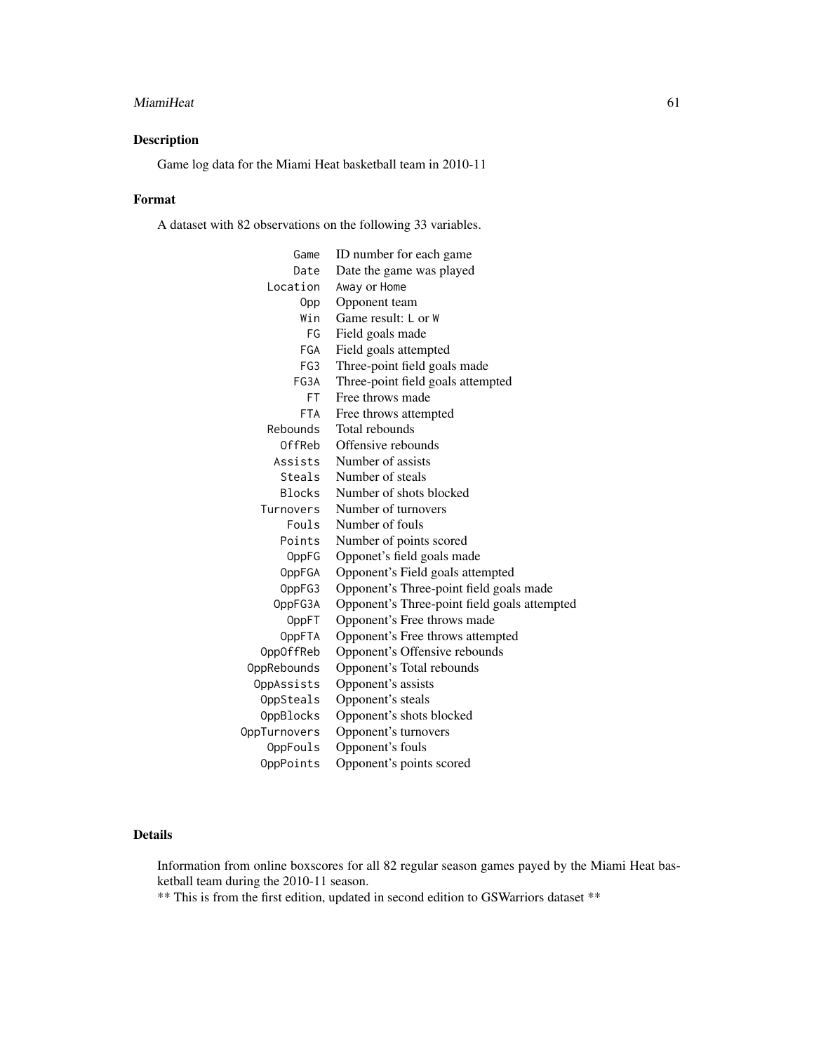#### MiamiHeat 61

# Description

Game log data for the Miami Heat basketball team in 2010-11

## Format

A dataset with 82 observations on the following 33 variables.

| Game          | ID number for each game                      |
|---------------|----------------------------------------------|
| Date          | Date the game was played                     |
| Location      | Away or Home                                 |
| 0pp           | Opponent team                                |
| Win           | Game result: L or W                          |
| FG            | Field goals made                             |
| FGA           | Field goals attempted                        |
| FG3           | Three-point field goals made                 |
| FG3A          | Three-point field goals attempted            |
| FT.           | Free throws made                             |
| <b>FTA</b>    | Free throws attempted                        |
| Rebounds      | Total rebounds                               |
| OffReb        | Offensive rebounds                           |
| Assists       | Number of assists                            |
| Steals        | Number of steals                             |
| <b>Blocks</b> | Number of shots blocked                      |
| Turnovers     | Number of turnovers                          |
| Fouls         | Number of fouls                              |
| Points        | Number of points scored                      |
| OppFG         | Opponet's field goals made                   |
| OppFGA        | Opponent's Field goals attempted             |
| OppFG3        | Opponent's Three-point field goals made      |
| OppFG3A       | Opponent's Three-point field goals attempted |
| OppFT         | Opponent's Free throws made                  |
| OppFTA        | Opponent's Free throws attempted             |
| OppOffReb     | Opponent's Offensive rebounds                |
| OppRebounds   | Opponent's Total rebounds                    |
| OppAssists    | Opponent's assists                           |
| OppSteals     | Opponent's steals                            |
| OppBlocks     | Opponent's shots blocked                     |
| OppTurnovers  | Opponent's turnovers                         |
| OppFouls      | Opponent's fouls                             |
| OppPoints     | Opponent's points scored                     |

# Details

Information from online boxscores for all 82 regular season games payed by the Miami Heat basketball team during the 2010-11 season.

\*\* This is from the first edition, updated in second edition to GSWarriors dataset \*\*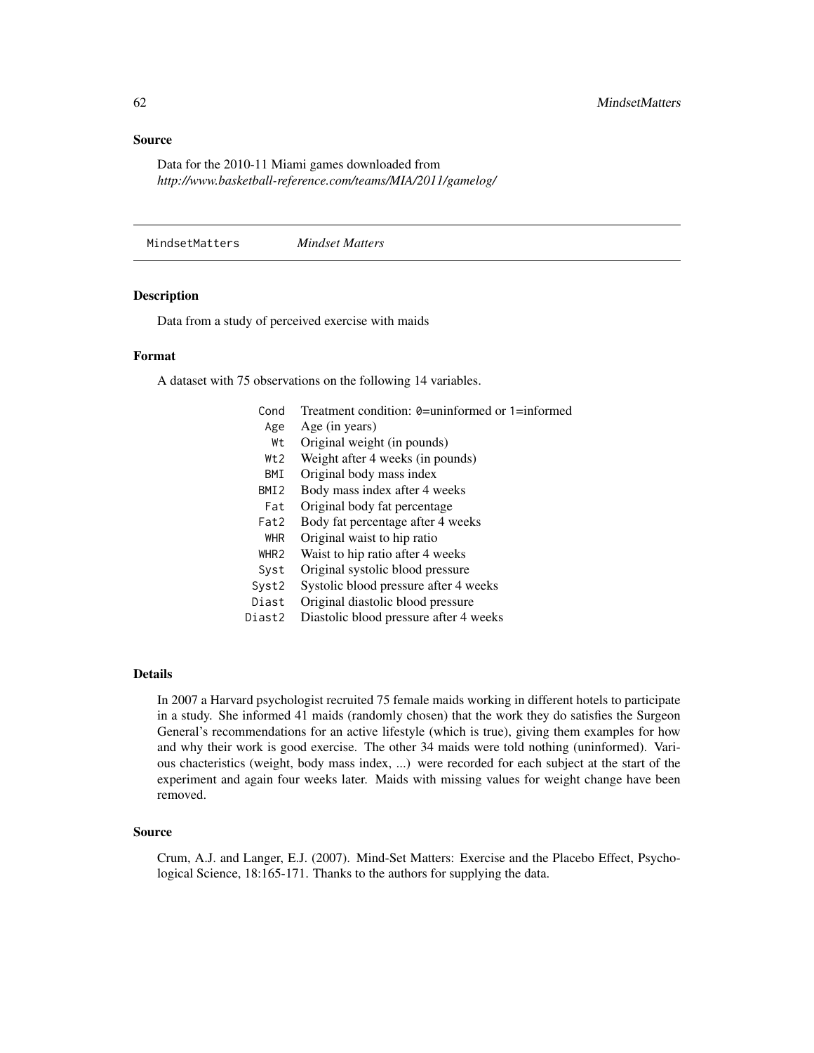Data for the 2010-11 Miami games downloaded from *http://www.basketball-reference.com/teams/MIA/2011/gamelog/*

MindsetMatters *Mindset Matters*

#### Description

Data from a study of perceived exercise with maids

### Format

A dataset with 75 observations on the following 14 variables.

| Cond             | Treatment condition: $\theta$ =uninformed or 1=informed |
|------------------|---------------------------------------------------------|
| Age              | Age (in years)                                          |
| Wt               | Original weight (in pounds)                             |
| Wt2              | Weight after 4 weeks (in pounds)                        |
| BMI              | Original body mass index                                |
| BMI <sub>2</sub> | Body mass index after 4 weeks                           |
| Fat              | Original body fat percentage                            |
| Fat2             | Body fat percentage after 4 weeks                       |
| <b>WHR</b>       | Original waist to hip ratio                             |
| WHR <sub>2</sub> | Waist to hip ratio after 4 weeks                        |
| Syst             | Original systolic blood pressure                        |
| Syst2            | Systolic blood pressure after 4 weeks                   |
| Diast            | Original diastolic blood pressure                       |
| Diast2           | Diastolic blood pressure after 4 weeks                  |
|                  |                                                         |

#### Details

In 2007 a Harvard psychologist recruited 75 female maids working in different hotels to participate in a study. She informed 41 maids (randomly chosen) that the work they do satisfies the Surgeon General's recommendations for an active lifestyle (which is true), giving them examples for how and why their work is good exercise. The other 34 maids were told nothing (uninformed). Various chacteristics (weight, body mass index, ...) were recorded for each subject at the start of the experiment and again four weeks later. Maids with missing values for weight change have been removed.

# Source

Crum, A.J. and Langer, E.J. (2007). Mind-Set Matters: Exercise and the Placebo Effect, Psychological Science, 18:165-171. Thanks to the authors for supplying the data.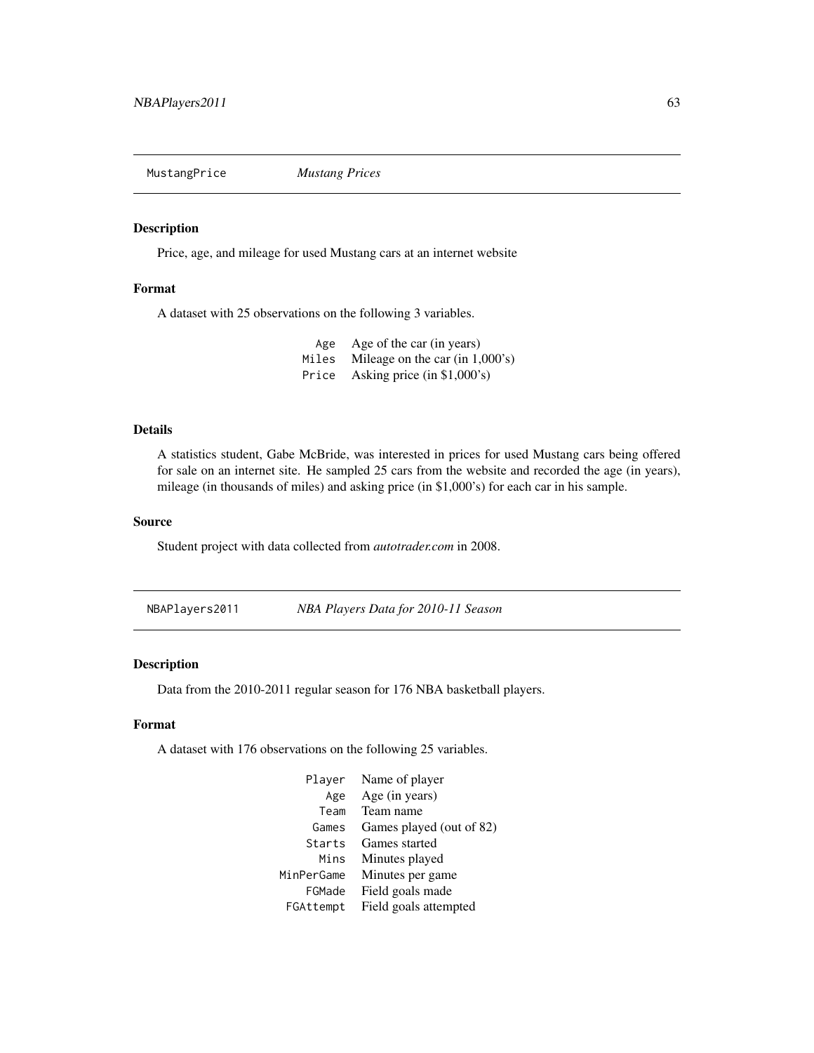MustangPrice *Mustang Prices*

## Description

Price, age, and mileage for used Mustang cars at an internet website

# Format

A dataset with 25 observations on the following 3 variables.

Age Age of the car (in years) Miles Mileage on the car (in 1,000's) Price Asking price (in \$1,000's)

## Details

A statistics student, Gabe McBride, was interested in prices for used Mustang cars being offered for sale on an internet site. He sampled 25 cars from the website and recorded the age (in years), mileage (in thousands of miles) and asking price (in \$1,000's) for each car in his sample.

#### Source

Student project with data collected from *autotrader.com* in 2008.

NBAPlayers2011 *NBA Players Data for 2010-11 Season*

## Description

Data from the 2010-2011 regular season for 176 NBA basketball players.

## Format

A dataset with 176 observations on the following 25 variables.

| Player     | Name of player           |
|------------|--------------------------|
| Age        | Age (in years)           |
| Team       | Team name                |
| Games      | Games played (out of 82) |
| Starts     | Games started            |
| Mins       | Minutes played           |
| MinPerGame | Minutes per game         |
| FGMade     | Field goals made         |
| FGAttempt  | Field goals attempted    |
|            |                          |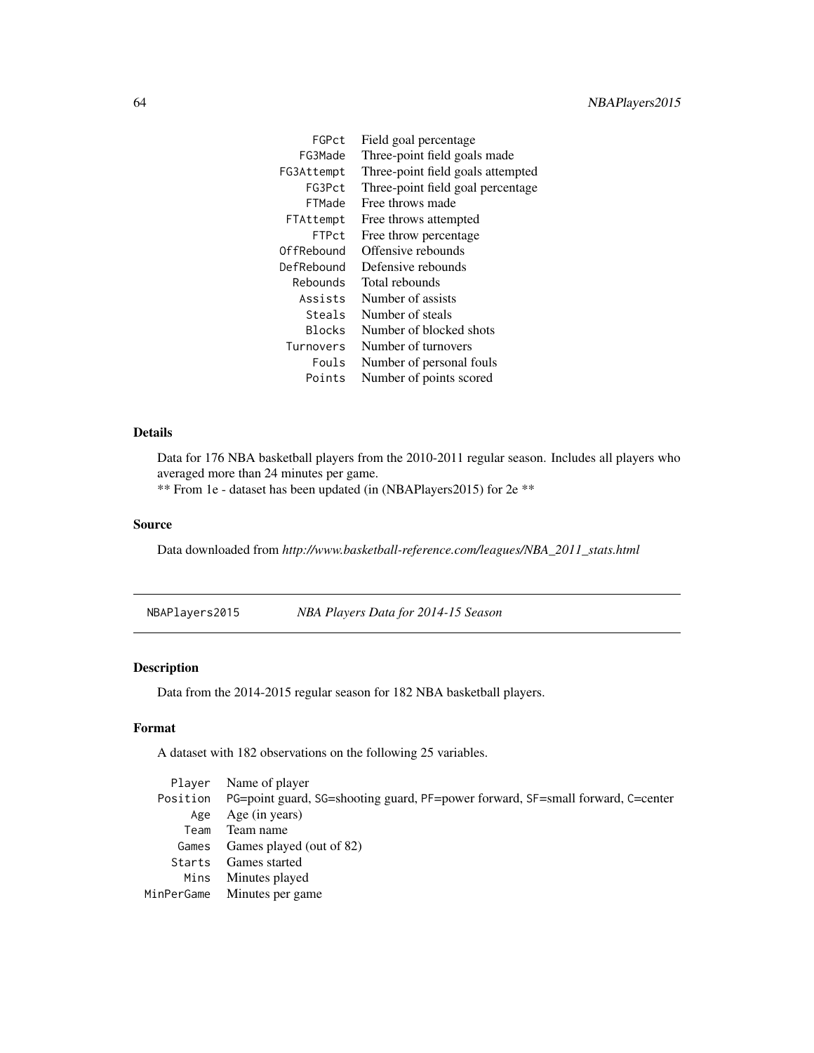| FGPct         | Field goal percentage             |
|---------------|-----------------------------------|
| FG3Made       | Three-point field goals made      |
| FG3Attempt    | Three-point field goals attempted |
| FG3Pct        | Three-point field goal percentage |
| FTMade        | Free throws made                  |
| FTAttempt     | Free throws attempted             |
| <b>FTPct</b>  | Free throw percentage             |
| OffRebound    | Offensive rebounds                |
| DefRebound    | Defensive rebounds                |
| Rebounds      | Total rebounds                    |
| Assists       | Number of assists                 |
| Steals        | Number of steals                  |
| <b>Blocks</b> | Number of blocked shots           |
| Turnovers     | Number of turnovers               |
| Fouls.        | Number of personal fouls          |
| Points        | Number of points scored           |

Data for 176 NBA basketball players from the 2010-2011 regular season. Includes all players who averaged more than 24 minutes per game.

\*\* From 1e - dataset has been updated (in (NBAPlayers2015) for 2e \*\*

# Source

Data downloaded from *http://www.basketball-reference.com/leagues/NBA\_2011\_stats.html*

NBAPlayers2015 *NBA Players Data for 2014-15 Season*

# Description

Data from the 2014-2015 regular season for 182 NBA basketball players.

## Format

A dataset with 182 observations on the following 25 variables.

|      | Player Name of player                                                                    |
|------|------------------------------------------------------------------------------------------|
|      | Position PG=point guard, SG=shooting guard, PF=power forward, SF=small forward, C=center |
| Age  | Age (in years)                                                                           |
| Team | Team name                                                                                |
|      | Games Games played (out of 82)                                                           |
|      | Starts Games started                                                                     |
|      | Mins Minutes played                                                                      |
|      | MinPerGame Minutes per game                                                              |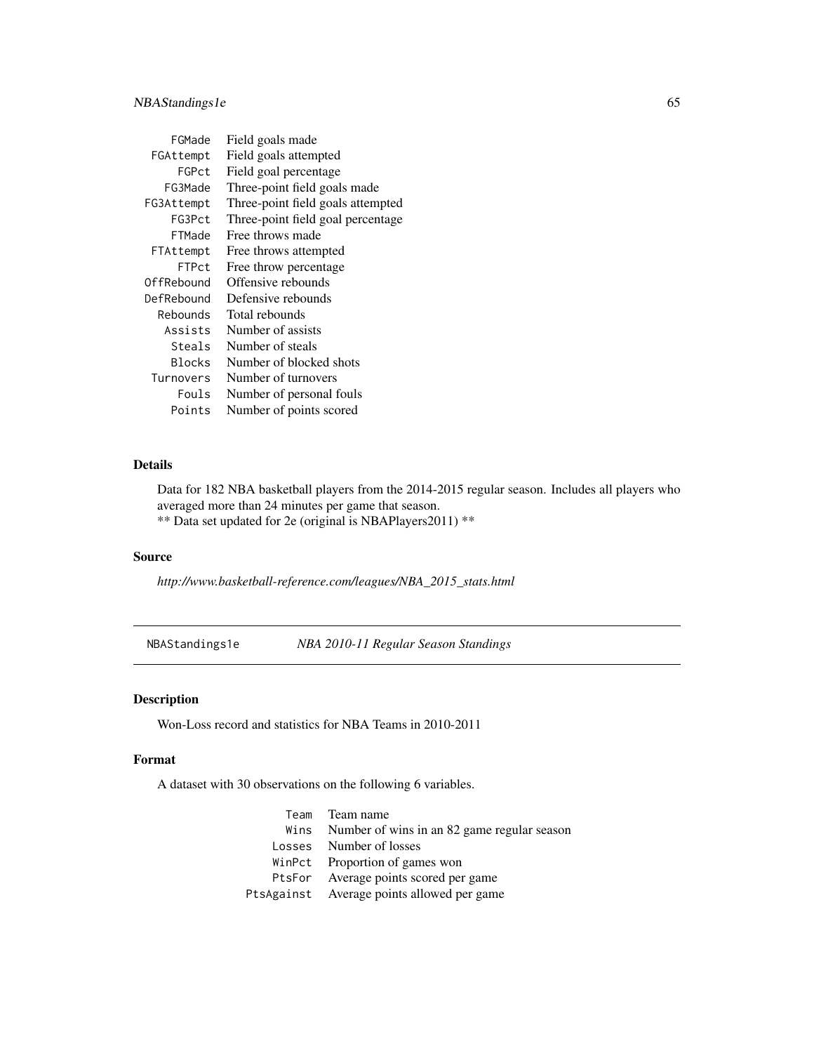| FGMade     | Field goals made                  |
|------------|-----------------------------------|
| FGAttempt  | Field goals attempted             |
| FGPct      | Field goal percentage             |
| FG3Made    | Three-point field goals made      |
| FG3Attempt | Three-point field goals attempted |
| FG3Pct     | Three-point field goal percentage |
| FTMade     | Free throws made                  |
| FTAttempt  | Free throws attempted             |
| FTPct      | Free throw percentage             |
| OffRebound | Offensive rebounds                |
| DefRebound | Defensive rebounds                |
| Rebounds   | Total rebounds                    |
| Assists    | Number of assists                 |
| Steals     | Number of steals                  |
| Blocks     | Number of blocked shots           |
| Turnovers  | Number of turnovers               |
| Fouls      | Number of personal fouls          |
| Points     | Number of points scored           |

Data for 182 NBA basketball players from the 2014-2015 regular season. Includes all players who averaged more than 24 minutes per game that season. \*\* Data set updated for 2e (original is NBAPlayers2011) \*\*

# Source

*http://www.basketball-reference.com/leagues/NBA\_2015\_stats.html*

NBAStandings1e *NBA 2010-11 Regular Season Standings*

# Description

Won-Loss record and statistics for NBA Teams in 2010-2011

### Format

A dataset with 30 observations on the following 6 variables.

| Team Team name                                   |
|--------------------------------------------------|
| Wins Number of wins in an 82 game regular season |
| Losses Number of losses                          |
| WinPct Proportion of games won                   |
| PtsFor Average points scored per game            |
| PtsAgainst Average points allowed per game       |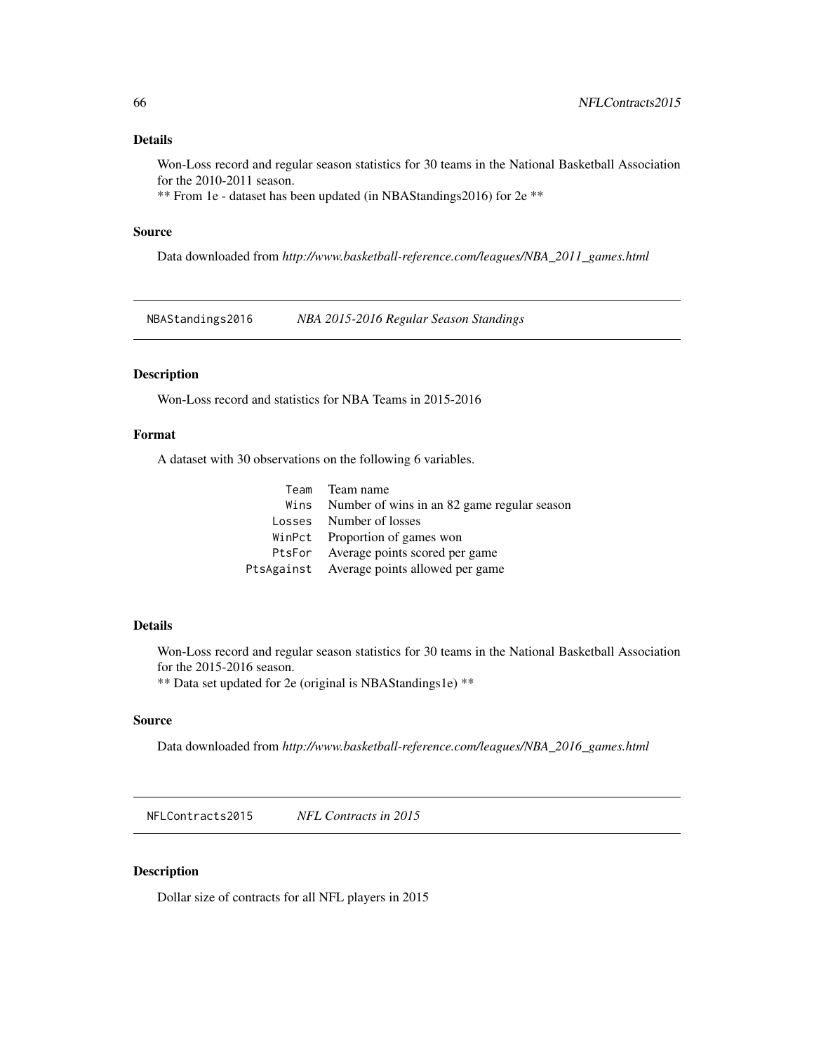Won-Loss record and regular season statistics for 30 teams in the National Basketball Association for the 2010-2011 season.

\*\* From 1e - dataset has been updated (in NBAStandings2016) for 2e \*\*

## Source

Data downloaded from *http://www.basketball-reference.com/leagues/NBA\_2011\_games.html*

NBAStandings2016 *NBA 2015-2016 Regular Season Standings*

# Description

Won-Loss record and statistics for NBA Teams in 2015-2016

# Format

A dataset with 30 observations on the following 6 variables.

| Team Team name                                   |
|--------------------------------------------------|
| Wins Number of wins in an 82 game regular season |
| Losses Number of losses                          |
| WinPct Proportion of games won                   |
| PtsFor Average points scored per game            |
| PtsAgainst Average points allowed per game       |

# Details

Won-Loss record and regular season statistics for 30 teams in the National Basketball Association for the 2015-2016 season.

\*\* Data set updated for 2e (original is NBAStandings1e) \*\*

# Source

Data downloaded from *http://www.basketball-reference.com/leagues/NBA\_2016\_games.html*

NFLContracts2015 *NFL Contracts in 2015*

# Description

Dollar size of contracts for all NFL players in 2015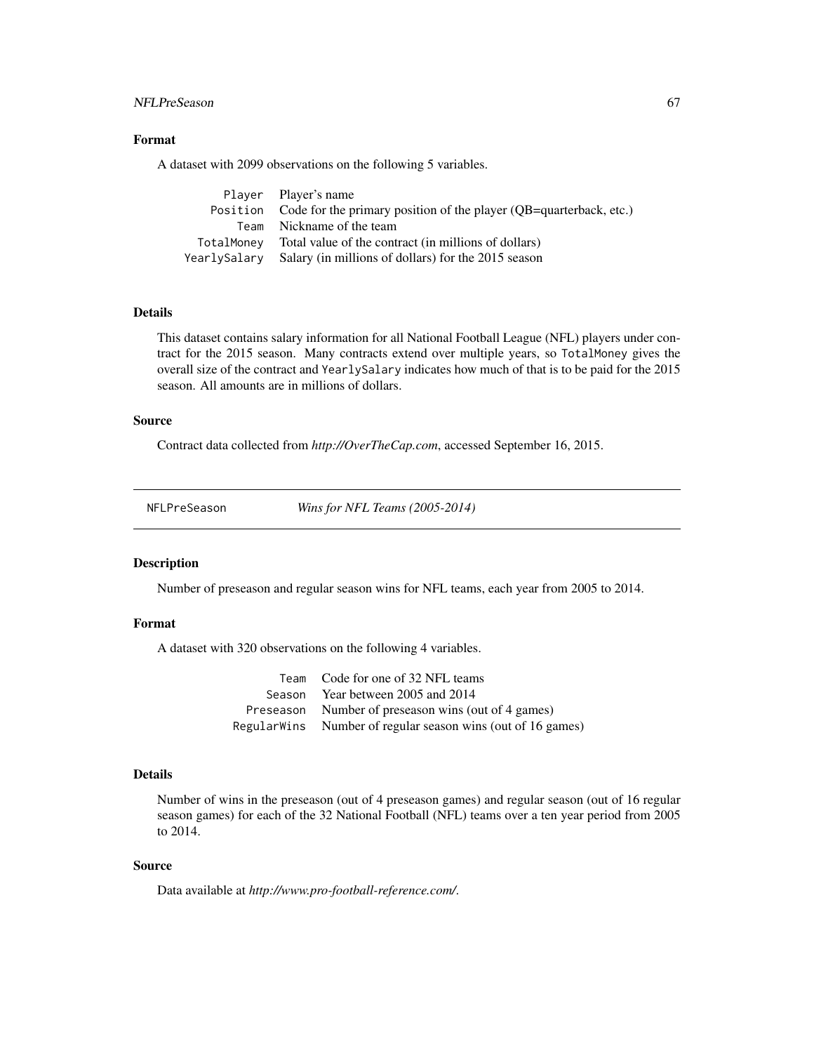# NFLPreSeason 67

# Format

A dataset with 2099 observations on the following 5 variables.

|              | Player Player's name                                                        |
|--------------|-----------------------------------------------------------------------------|
|              | Position Code for the primary position of the player (QB=quarterback, etc.) |
|              | Team Nickname of the team                                                   |
| TotalMonev   | Total value of the contract (in millions of dollars)                        |
| YearlySalary | Salary (in millions of dollars) for the 2015 season                         |

# Details

This dataset contains salary information for all National Football League (NFL) players under contract for the 2015 season. Many contracts extend over multiple years, so TotalMoney gives the overall size of the contract and YearlySalary indicates how much of that is to be paid for the 2015 season. All amounts are in millions of dollars.

## Source

Contract data collected from *http://OverTheCap.com*, accessed September 16, 2015.

NFLPreSeason *Wins for NFL Teams (2005-2014)*

## Description

Number of preseason and regular season wins for NFL teams, each year from 2005 to 2014.

#### Format

A dataset with 320 observations on the following 4 variables.

| Team Code for one of 32 NFL teams                           |
|-------------------------------------------------------------|
| Season Year between 2005 and 2014                           |
| Preseason Number of preseason wins (out of 4 games)         |
| RegularWins Number of regular season wins (out of 16 games) |

#### Details

Number of wins in the preseason (out of 4 preseason games) and regular season (out of 16 regular season games) for each of the 32 National Football (NFL) teams over a ten year period from 2005 to 2014.

# Source

Data available at *http://www.pro-football-reference.com/*.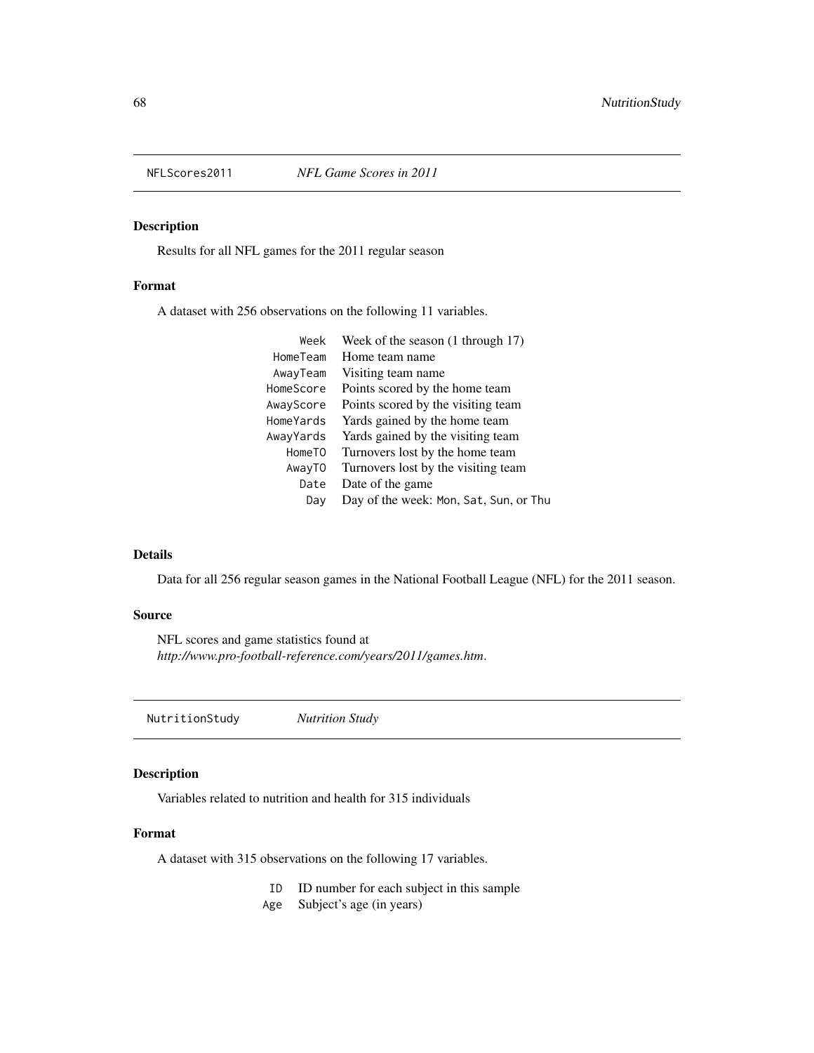# Description

Results for all NFL games for the 2011 regular season

# Format

A dataset with 256 observations on the following 11 variables.

| Week of the season (1 through 17)      |
|----------------------------------------|
| Home team name                         |
| Visiting team name                     |
| Points scored by the home team         |
| Points scored by the visiting team     |
| Yards gained by the home team          |
| Yards gained by the visiting team      |
| Turnovers lost by the home team        |
| Turnovers lost by the visiting team    |
| Date of the game                       |
| Day of the week: Mon, Sat, Sun, or Thu |
|                                        |

# Details

Data for all 256 regular season games in the National Football League (NFL) for the 2011 season.

## Source

NFL scores and game statistics found at *http://www.pro-football-reference.com/years/2011/games.htm*.

NutritionStudy *Nutrition Study*

## Description

Variables related to nutrition and health for 315 individuals

# Format

A dataset with 315 observations on the following 17 variables.

- ID ID number for each subject in this sample
- Age Subject's age (in years)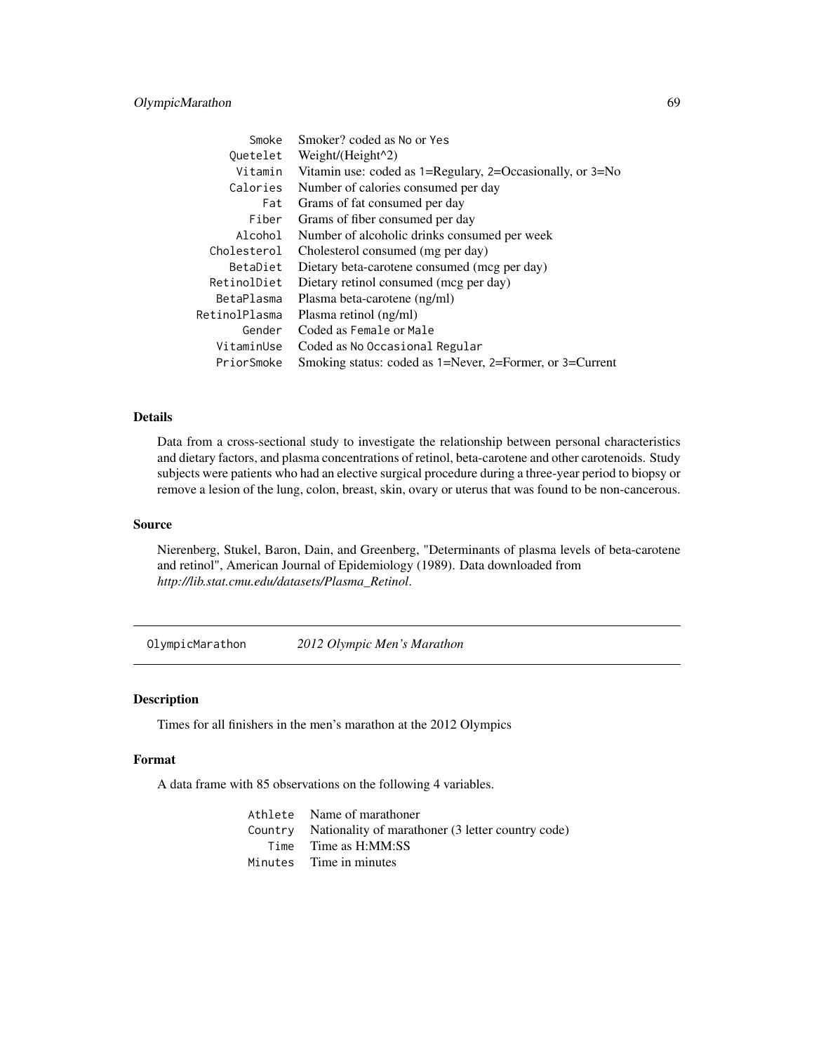# OlympicMarathon 69

| Smoke         | Smoker? coded as No or Yes                                            |
|---------------|-----------------------------------------------------------------------|
| Quetelet      | Weight/(Height $\binom{2}{2}$                                         |
| Vitamin       | Vitamin use: coded as $1 =$ Regulary, $2 =$ Occasionally, or $3 =$ No |
| Calories      | Number of calories consumed per day                                   |
| Fat           | Grams of fat consumed per day                                         |
| Fiber         | Grams of fiber consumed per day                                       |
| Alcohol       | Number of alcoholic drinks consumed per week                          |
| Cholesterol   | Cholesterol consumed (mg per day)                                     |
| BetaDiet      | Dietary beta-carotene consumed (mcg per day)                          |
| RetinolDiet   | Dietary retinol consumed (mcg per day)                                |
| BetaPlasma    | Plasma beta-carotene (ng/ml)                                          |
| RetinolPlasma | Plasma retinol (ng/ml)                                                |
| Gender        | Coded as Female or Male                                               |
| VitaminUse    | Coded as No Occasional Regular                                        |
| PriorSmoke    | Smoking status: coded as 1=Never, 2=Former, or 3=Current              |

## Details

Data from a cross-sectional study to investigate the relationship between personal characteristics and dietary factors, and plasma concentrations of retinol, beta-carotene and other carotenoids. Study subjects were patients who had an elective surgical procedure during a three-year period to biopsy or remove a lesion of the lung, colon, breast, skin, ovary or uterus that was found to be non-cancerous.

#### Source

Nierenberg, Stukel, Baron, Dain, and Greenberg, "Determinants of plasma levels of beta-carotene and retinol", American Journal of Epidemiology (1989). Data downloaded from *http://lib.stat.cmu.edu/datasets/Plasma\_Retinol*.

OlympicMarathon *2012 Olympic Men's Marathon*

#### Description

Times for all finishers in the men's marathon at the 2012 Olympics

### Format

A data frame with 85 observations on the following 4 variables.

Athlete Name of marathoner Country Nationality of marathoner (3 letter country code) Time Time as H:MM:SS Minutes Time in minutes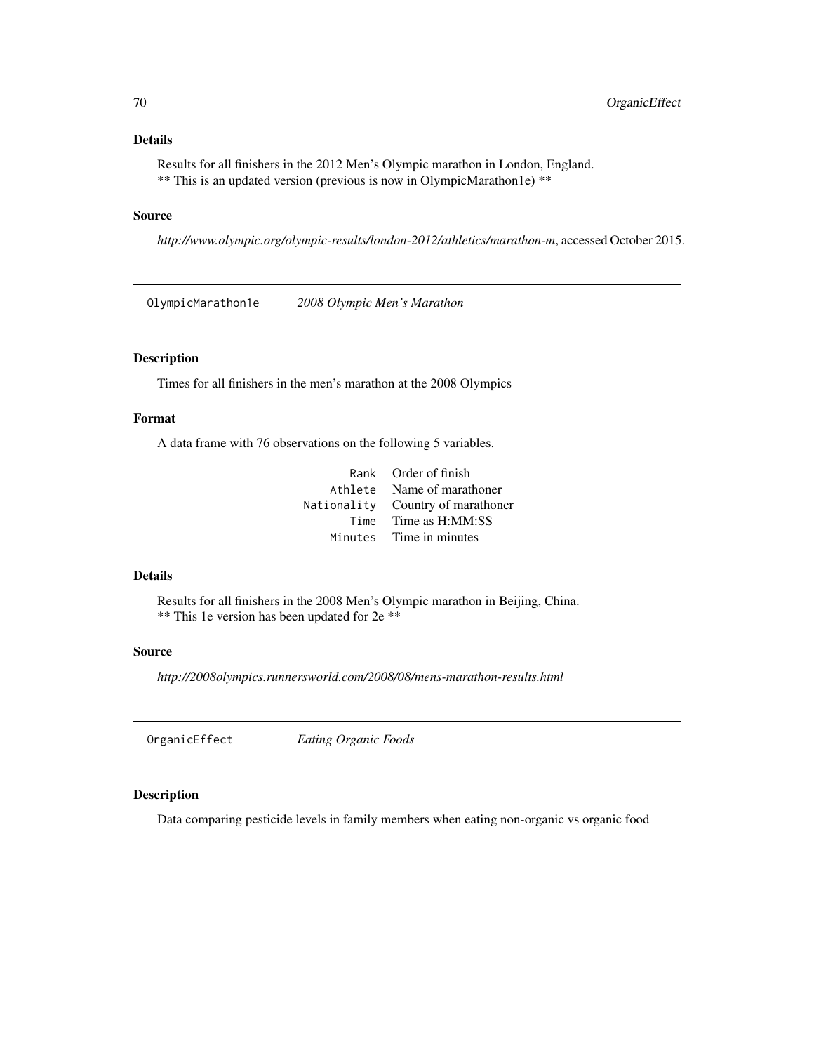Results for all finishers in the 2012 Men's Olympic marathon in London, England. \*\* This is an updated version (previous is now in OlympicMarathon1e) \*\*

## Source

*http://www.olympic.org/olympic-results/london-2012/athletics/marathon-m*, accessed October 2015.

OlympicMarathon1e *2008 Olympic Men's Marathon*

# Description

Times for all finishers in the men's marathon at the 2008 Olympics

# Format

A data frame with 76 observations on the following 5 variables.

| Rank Order of finish              |
|-----------------------------------|
| Athlete Name of marathoner        |
| Nationality Country of marathoner |
| Time Time as H:MM:SS              |
| Minutes Time in minutes           |

#### Details

Results for all finishers in the 2008 Men's Olympic marathon in Beijing, China. \*\* This 1e version has been updated for 2e \*\*

#### Source

*http://2008olympics.runnersworld.com/2008/08/mens-marathon-results.html*

OrganicEffect *Eating Organic Foods*

# Description

Data comparing pesticide levels in family members when eating non-organic vs organic food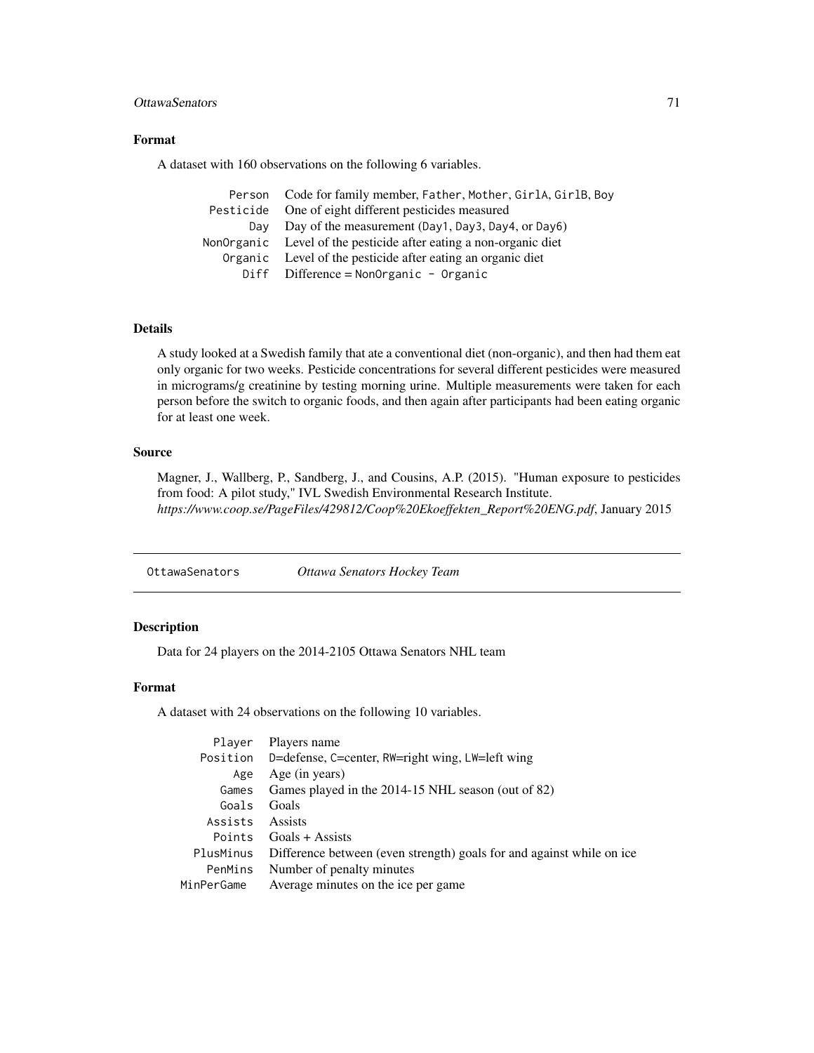# OttawaSenators 71

# Format

A dataset with 160 observations on the following 6 variables.

|           | Person Code for family member, Father, Mother, GirlA, GirlB, Boy  |
|-----------|-------------------------------------------------------------------|
| Pesticide | One of eight different pesticides measured                        |
| Dav       | Day of the measurement (Day1, Day3, Day4, or Day6)                |
|           | NonOrganic Level of the pesticide after eating a non-organic diet |
|           | Organic Level of the pesticide after eating an organic diet       |
|           | Diff Difference = NonOrganic - Organic                            |

# Details

A study looked at a Swedish family that ate a conventional diet (non-organic), and then had them eat only organic for two weeks. Pesticide concentrations for several different pesticides were measured in micrograms/g creatinine by testing morning urine. Multiple measurements were taken for each person before the switch to organic foods, and then again after participants had been eating organic for at least one week.

#### Source

Magner, J., Wallberg, P., Sandberg, J., and Cousins, A.P. (2015). "Human exposure to pesticides from food: A pilot study," IVL Swedish Environmental Research Institute. *https://www.coop.se/PageFiles/429812/Coop%20Ekoeffekten\_Report%20ENG.pdf*, January 2015

OttawaSenators *Ottawa Senators Hockey Team*

# Description

Data for 24 players on the 2014-2105 Ottawa Senators NHL team

# Format

A dataset with 24 observations on the following 10 variables.

| Player          | Players name                                                          |
|-----------------|-----------------------------------------------------------------------|
|                 | Position D=defense, C=center, RW=right wing, LW=left wing             |
| Age             | Age (in years)                                                        |
| Games           | Games played in the 2014-15 NHL season (out of 82)                    |
| Goals           | Goals                                                                 |
| Assists Assists |                                                                       |
|                 | Points Goals + Assists                                                |
| PlusMinus       | Difference between (even strength) goals for and against while on ice |
| PenMins         | Number of penalty minutes                                             |
| MinPerGame      | Average minutes on the ice per game                                   |
|                 |                                                                       |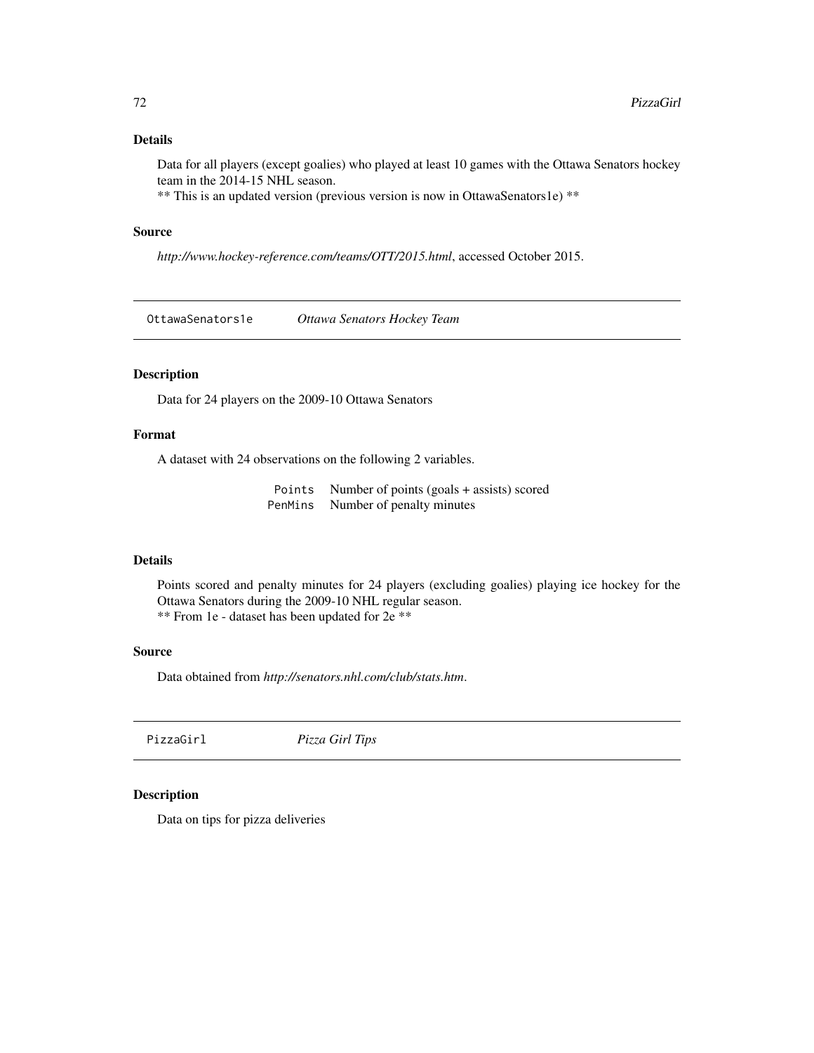Data for all players (except goalies) who played at least 10 games with the Ottawa Senators hockey team in the 2014-15 NHL season.

\*\* This is an updated version (previous version is now in OttawaSenators1e) \*\*

## Source

*http://www.hockey-reference.com/teams/OTT/2015.html*, accessed October 2015.

OttawaSenators1e *Ottawa Senators Hockey Team*

# Description

Data for 24 players on the 2009-10 Ottawa Senators

# Format

A dataset with 24 observations on the following 2 variables.

Points Number of points (goals + assists) scored PenMins Number of penalty minutes

# Details

Points scored and penalty minutes for 24 players (excluding goalies) playing ice hockey for the Ottawa Senators during the 2009-10 NHL regular season. \*\* From 1e - dataset has been updated for 2e \*\*

## Source

Data obtained from *http://senators.nhl.com/club/stats.htm*.

PizzaGirl *Pizza Girl Tips*

## Description

Data on tips for pizza deliveries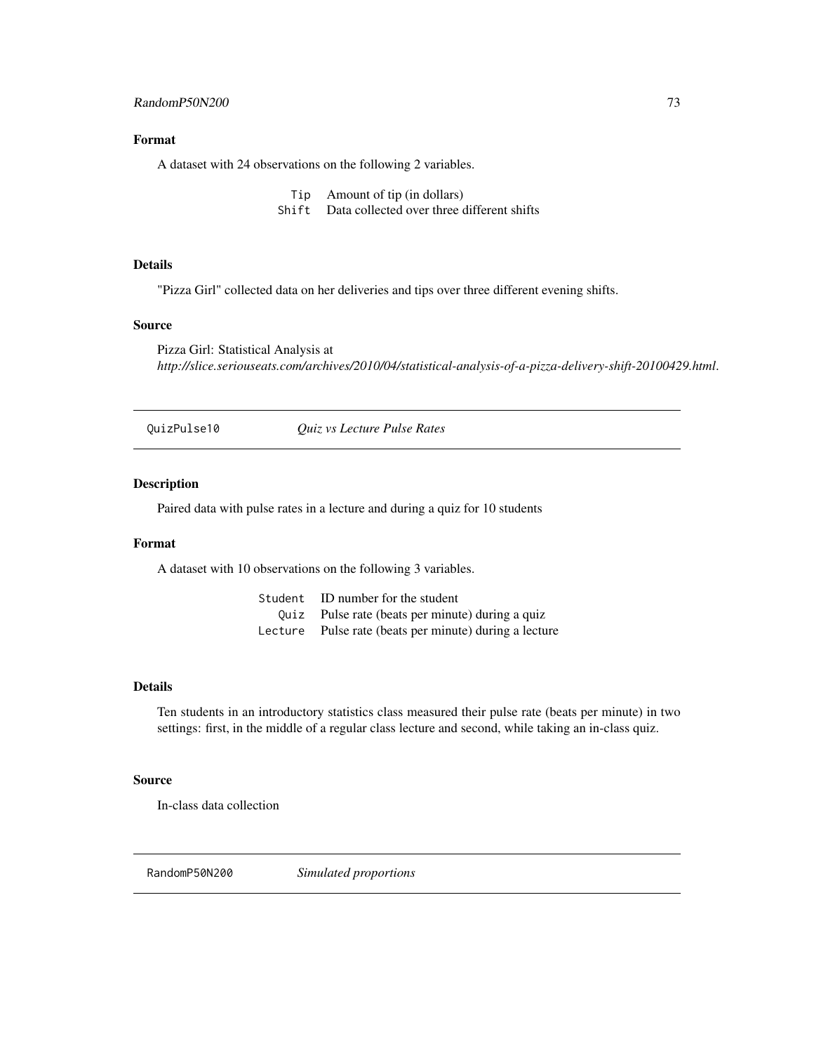## <span id="page-72-0"></span>Format

A dataset with 24 observations on the following 2 variables.

- Tip Amount of tip (in dollars)
- Shift Data collected over three different shifts

## Details

"Pizza Girl" collected data on her deliveries and tips over three different evening shifts.

#### Source

Pizza Girl: Statistical Analysis at *http://slice.seriouseats.com/archives/2010/04/statistical-analysis-of-a-pizza-delivery-shift-20100429.html*.

QuizPulse10 *Quiz vs Lecture Pulse Rates*

## Description

Paired data with pulse rates in a lecture and during a quiz for 10 students

#### Format

A dataset with 10 observations on the following 3 variables.

| Student ID number for the student                      |
|--------------------------------------------------------|
| Quiz Pulse rate (beats per minute) during a quiz       |
| Lecture Pulse rate (beats per minute) during a lecture |

#### Details

Ten students in an introductory statistics class measured their pulse rate (beats per minute) in two settings: first, in the middle of a regular class lecture and second, while taking an in-class quiz.

#### Source

In-class data collection

RandomP50N200 *Simulated proportions*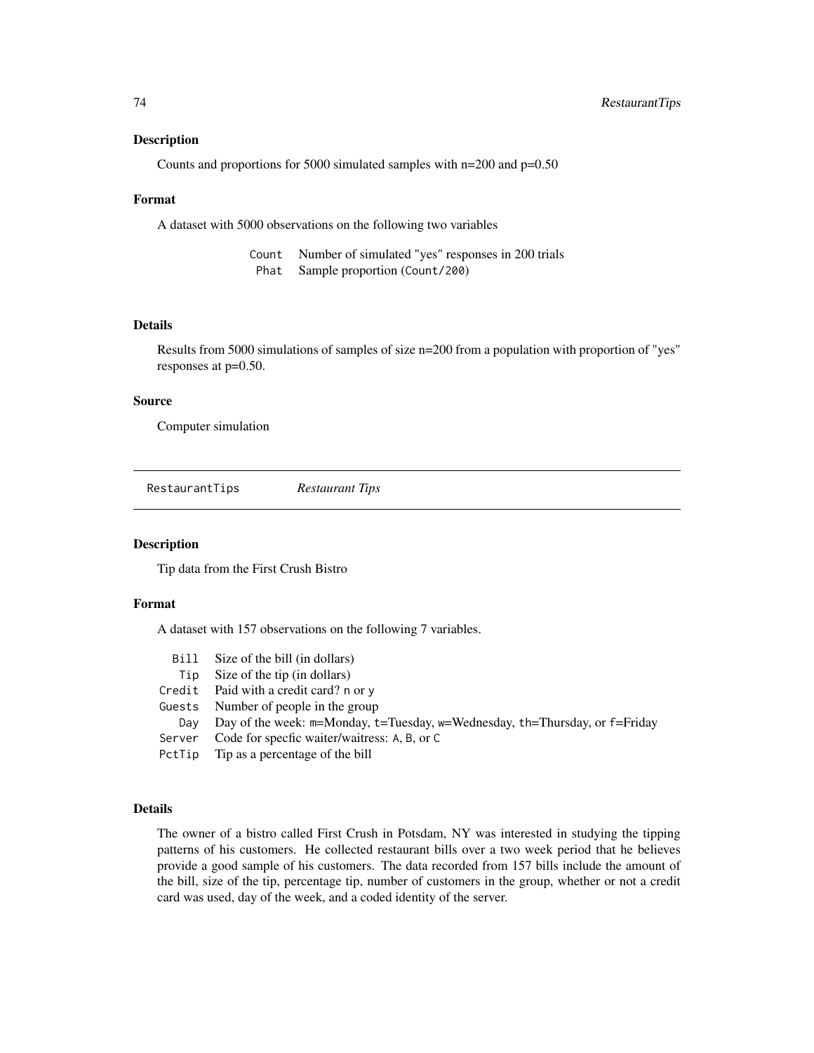#### <span id="page-73-0"></span>Description

Counts and proportions for 5000 simulated samples with n=200 and p=0.50

#### Format

A dataset with 5000 observations on the following two variables

| Count Number of simulated "yes" responses in 200 trials |
|---------------------------------------------------------|
| Phat Sample proportion (Count/200)                      |

#### Details

Results from 5000 simulations of samples of size n=200 from a population with proportion of "yes" responses at p=0.50.

## Source

Computer simulation

RestaurantTips *Restaurant Tips*

#### Description

Tip data from the First Crush Bistro

#### Format

A dataset with 157 observations on the following 7 variables.

| Bill   | Size of the bill (in dollars)                                                              |
|--------|--------------------------------------------------------------------------------------------|
| Tip    | Size of the tip (in dollars)                                                               |
|        | Credit Paid with a credit card? $n$ or $\nu$                                               |
|        | Guests Number of people in the group                                                       |
| Dav    | Day of the week: $m=$ Monday, $t=T$ uesday, $w=$ Wednesday, $th=T$ hursday, or $f=Frid$ ay |
| Server | Code for specfic waiter/waitress: A, B, or C                                               |
|        | PctTip Tip as a percentage of the bill                                                     |
|        |                                                                                            |

#### Details

The owner of a bistro called First Crush in Potsdam, NY was interested in studying the tipping patterns of his customers. He collected restaurant bills over a two week period that he believes provide a good sample of his customers. The data recorded from 157 bills include the amount of the bill, size of the tip, percentage tip, number of customers in the group, whether or not a credit card was used, day of the week, and a coded identity of the server.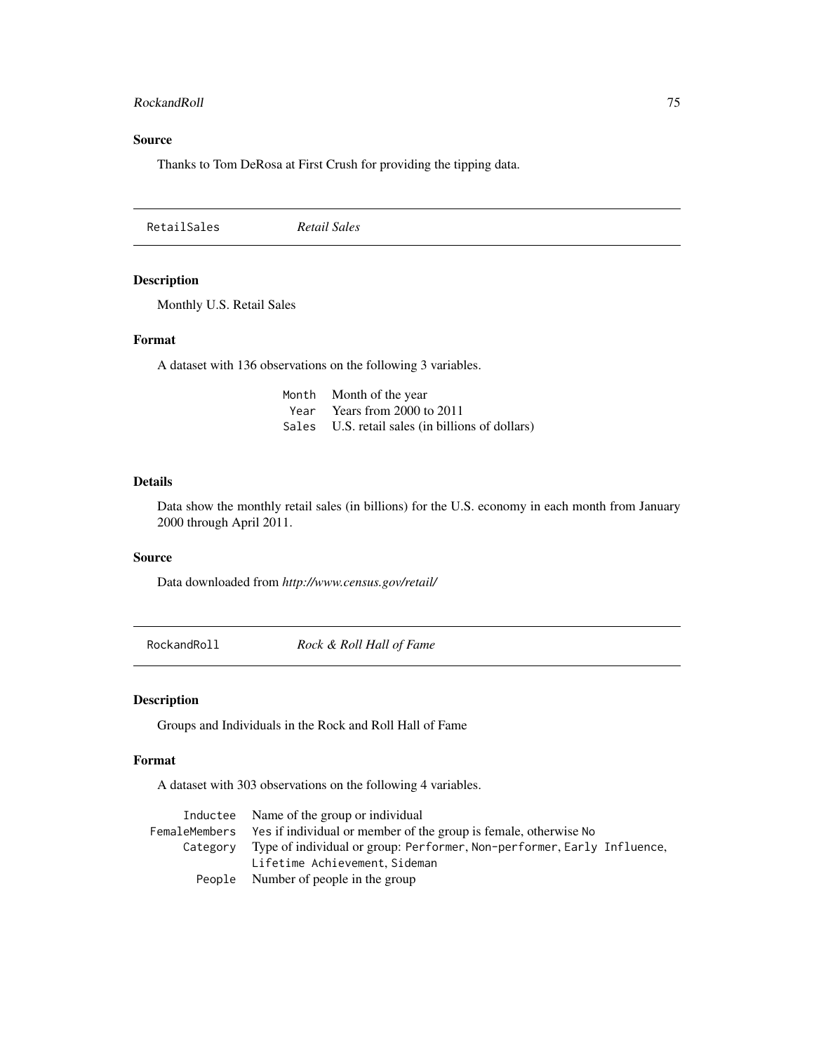## <span id="page-74-0"></span>RockandRoll 75

## Source

Thanks to Tom DeRosa at First Crush for providing the tipping data.

RetailSales *Retail Sales*

## Description

Monthly U.S. Retail Sales

## Format

A dataset with 136 observations on the following 3 variables.

| Month Month of the year                          |
|--------------------------------------------------|
| Year Years from 2000 to 2011                     |
| Sales U.S. retail sales (in billions of dollars) |

#### Details

Data show the monthly retail sales (in billions) for the U.S. economy in each month from January 2000 through April 2011.

## Source

Data downloaded from *http://www.census.gov/retail/*

RockandRoll *Rock & Roll Hall of Fame*

## Description

Groups and Individuals in the Rock and Roll Hall of Fame

## Format

A dataset with 303 observations on the following 4 variables.

| Inductee Name of the group or individual                                         |
|----------------------------------------------------------------------------------|
| FemaleMembers Yes if individual or member of the group is female, otherwise No   |
| Category Type of individual or group: Performer, Non-performer, Early Influence, |
| Lifetime Achievement, Sideman                                                    |
| People Number of people in the group                                             |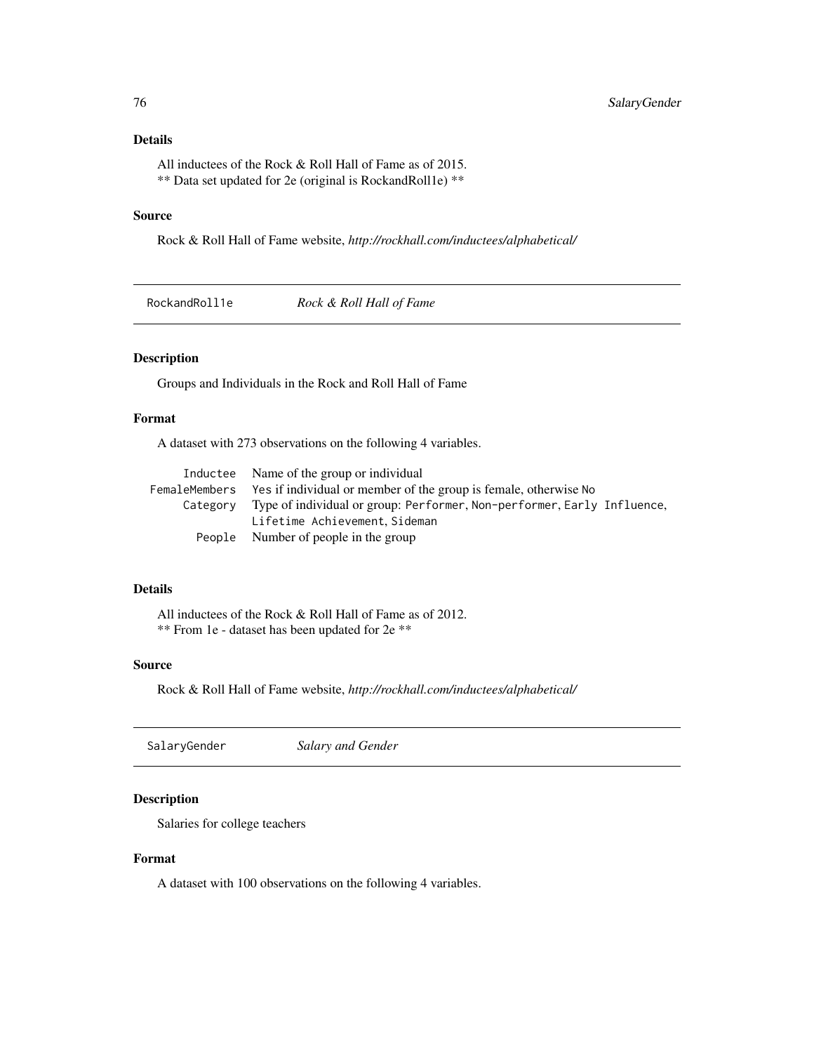## <span id="page-75-0"></span>Details

All inductees of the Rock & Roll Hall of Fame as of 2015. \*\* Data set updated for 2e (original is RockandRoll1e) \*\*

#### Source

Rock & Roll Hall of Fame website, *http://rockhall.com/inductees/alphabetical/*

RockandRoll1e *Rock & Roll Hall of Fame*

## Description

Groups and Individuals in the Rock and Roll Hall of Fame

## Format

A dataset with 273 observations on the following 4 variables.

| Inductee Name of the group or individual                                         |
|----------------------------------------------------------------------------------|
| FemaleMembers Yes if individual or member of the group is female, otherwise No   |
| Category Type of individual or group: Performer, Non-performer, Early Influence, |
| Lifetime Achievement, Sideman                                                    |
| People Number of people in the group                                             |

## Details

All inductees of the Rock & Roll Hall of Fame as of 2012. \*\* From 1e - dataset has been updated for 2e \*\*

## Source

Rock & Roll Hall of Fame website, *http://rockhall.com/inductees/alphabetical/*

| SalaryGender | Salary and Gender |
|--------------|-------------------|
|--------------|-------------------|

## Description

Salaries for college teachers

## Format

A dataset with 100 observations on the following 4 variables.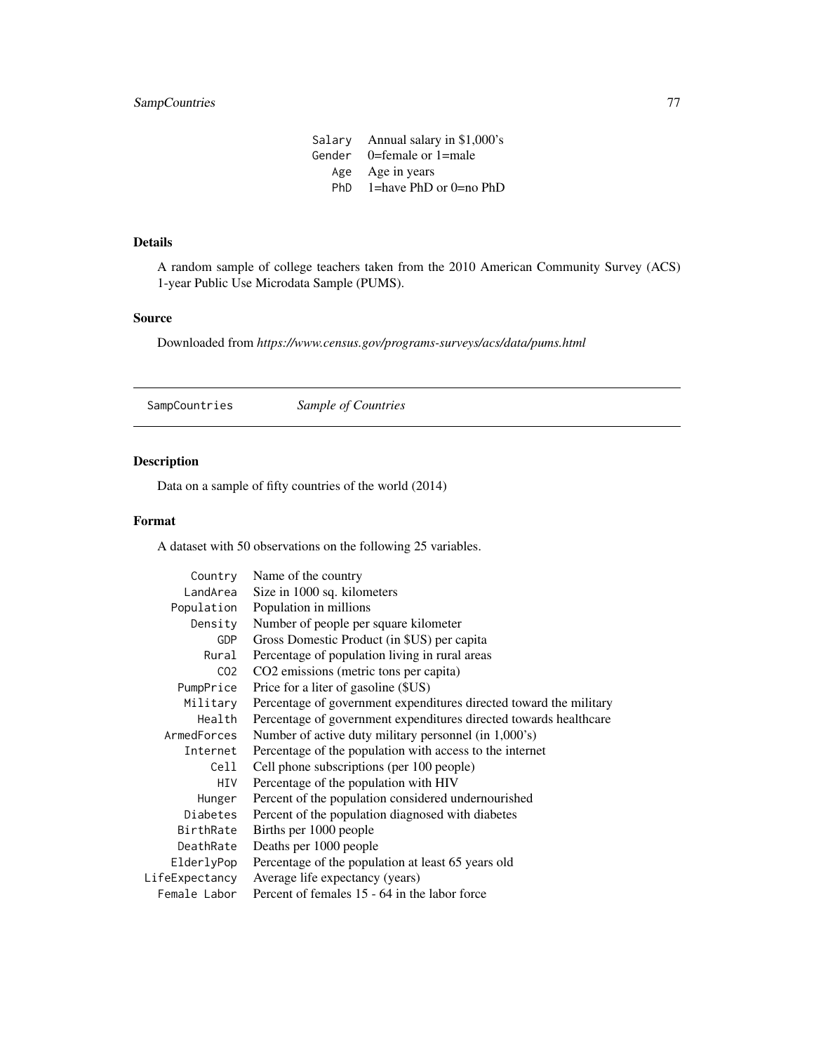Salary Annual salary in \$1,000's Gender 0=female or 1=male Age Age in years PhD 1=have PhD or 0=no PhD

## <span id="page-76-0"></span>Details

A random sample of college teachers taken from the 2010 American Community Survey (ACS) 1-year Public Use Microdata Sample (PUMS).

#### Source

Downloaded from *https://www.census.gov/programs-surveys/acs/data/pums.html*

SampCountries *Sample of Countries*

## Description

Data on a sample of fifty countries of the world (2014)

## Format

A dataset with 50 observations on the following 25 variables.

| Country         | Name of the country                                                |
|-----------------|--------------------------------------------------------------------|
| LandArea        | Size in 1000 sq. kilometers                                        |
| Population      | Population in millions                                             |
| Density         | Number of people per square kilometer                              |
| <b>GDP</b>      | Gross Domestic Product (in \$US) per capita                        |
| Rural           | Percentage of population living in rural areas                     |
| CO <sub>2</sub> | CO <sub>2</sub> emissions (metric tons per capita)                 |
| PumpPrice       | Price for a liter of gasoline (\$US)                               |
| Military        | Percentage of government expenditures directed toward the military |
| Health          | Percentage of government expenditures directed towards healthcare  |
| ArmedForces     | Number of active duty military personnel (in 1,000's)              |
| Internet        | Percentage of the population with access to the internet           |
| Cell            | Cell phone subscriptions (per 100 people)                          |
| HIV             | Percentage of the population with HIV                              |
| Hunger          | Percent of the population considered undernourished                |
| Diabetes        | Percent of the population diagnosed with diabetes                  |
| BirthRate       | Births per 1000 people                                             |
| DeathRate       | Deaths per 1000 people                                             |
| ElderlyPop      | Percentage of the population at least 65 years old                 |
| LifeExpectancy  | Average life expectancy (years)                                    |
| Female Labor    | Percent of females 15 - 64 in the labor force                      |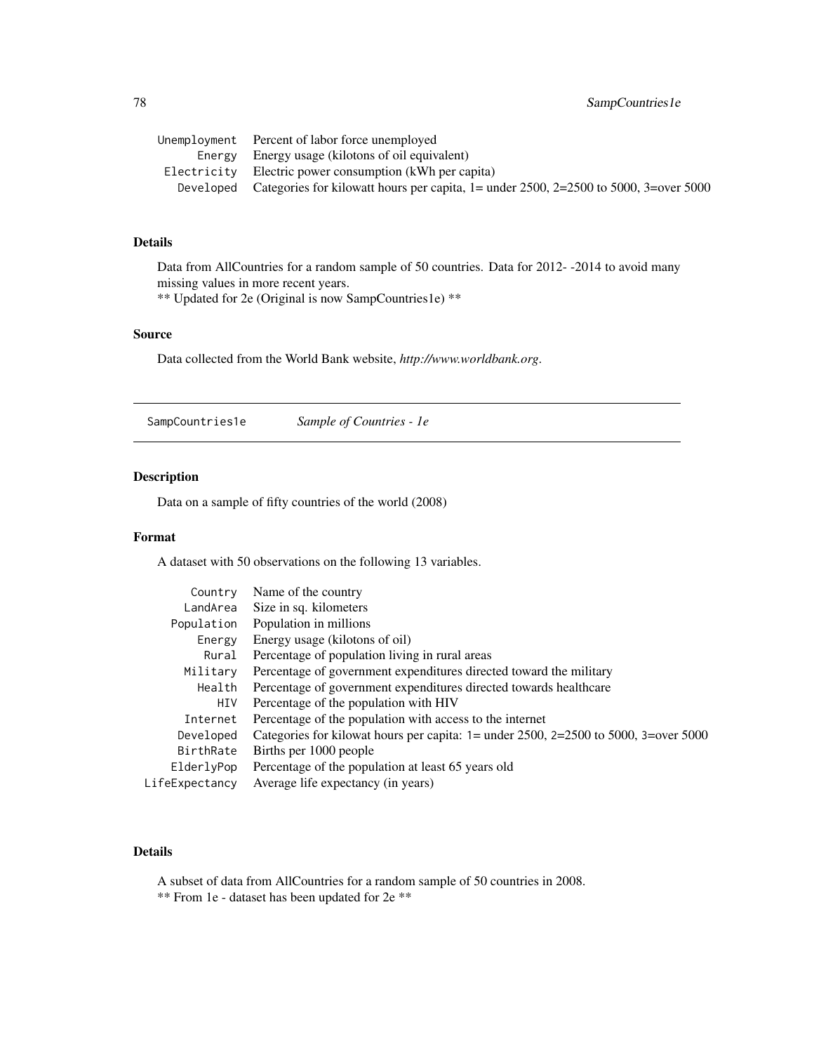<span id="page-77-0"></span>

| Unemployment Percent of labor force unemployed                                                    |
|---------------------------------------------------------------------------------------------------|
| Energy Energy usage (kilotons of oil equivalent)                                                  |
| Electricity Electric power consumption (kWh per capita)                                           |
| Developed Categories for kilowatt hours per capita, $l =$ under 2500, 2=2500 to 5000, 3=over 5000 |
|                                                                                                   |

## Details

Data from AllCountries for a random sample of 50 countries. Data for 2012- -2014 to avoid many missing values in more recent years.

\*\* Updated for 2e (Original is now SampCountries1e) \*\*

## Source

Data collected from the World Bank website, *http://www.worldbank.org*.

SampCountries1e *Sample of Countries - 1e*

#### Description

Data on a sample of fifty countries of the world (2008)

#### Format

A dataset with 50 observations on the following 13 variables.

| Categories for kilowat hours per capita: $1 =$ under 2500, 2=2500 to 5000, 3=over 5000 |
|----------------------------------------------------------------------------------------|
|                                                                                        |
|                                                                                        |
|                                                                                        |
|                                                                                        |

## Details

A subset of data from AllCountries for a random sample of 50 countries in 2008. \*\* From 1e - dataset has been updated for 2e \*\*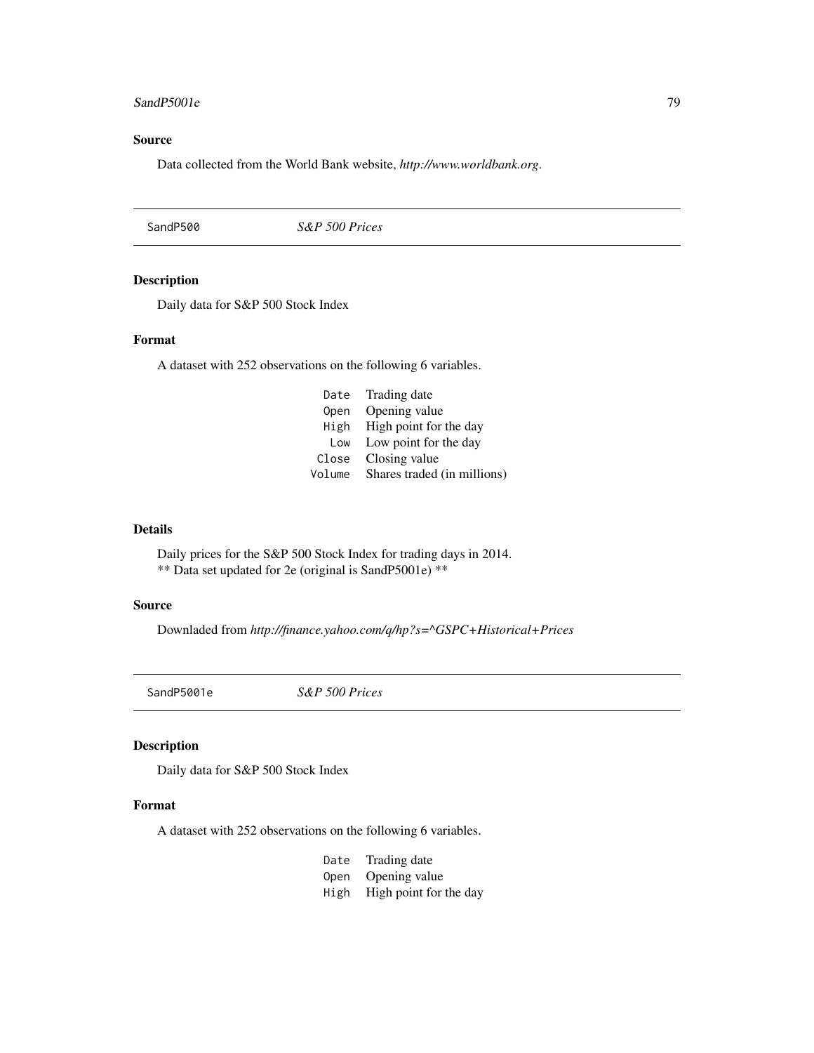## <span id="page-78-0"></span>SandP5001e 79

## Source

Data collected from the World Bank website, *http://www.worldbank.org*.

SandP500 *S&P 500 Prices*

## Description

Daily data for S&P 500 Stock Index

#### Format

A dataset with 252 observations on the following 6 variables.

| Date   | Trading date                |
|--------|-----------------------------|
| Open   | Opening value               |
|        | High High point for the day |
| Low    | Low point for the day       |
| Close  | Closing value               |
| Volume | Shares traded (in millions) |

#### Details

Daily prices for the S&P 500 Stock Index for trading days in 2014. \*\* Data set updated for 2e (original is SandP5001e) \*\*

### Source

Downladed from *http://finance.yahoo.com/q/hp?s=^GSPC+Historical+Prices*

SandP5001e *S&P 500 Prices*

## Description

Daily data for S&P 500 Stock Index

## Format

A dataset with 252 observations on the following 6 variables.

| Date | Trading date                |
|------|-----------------------------|
| Open | Opening value               |
|      | High High point for the day |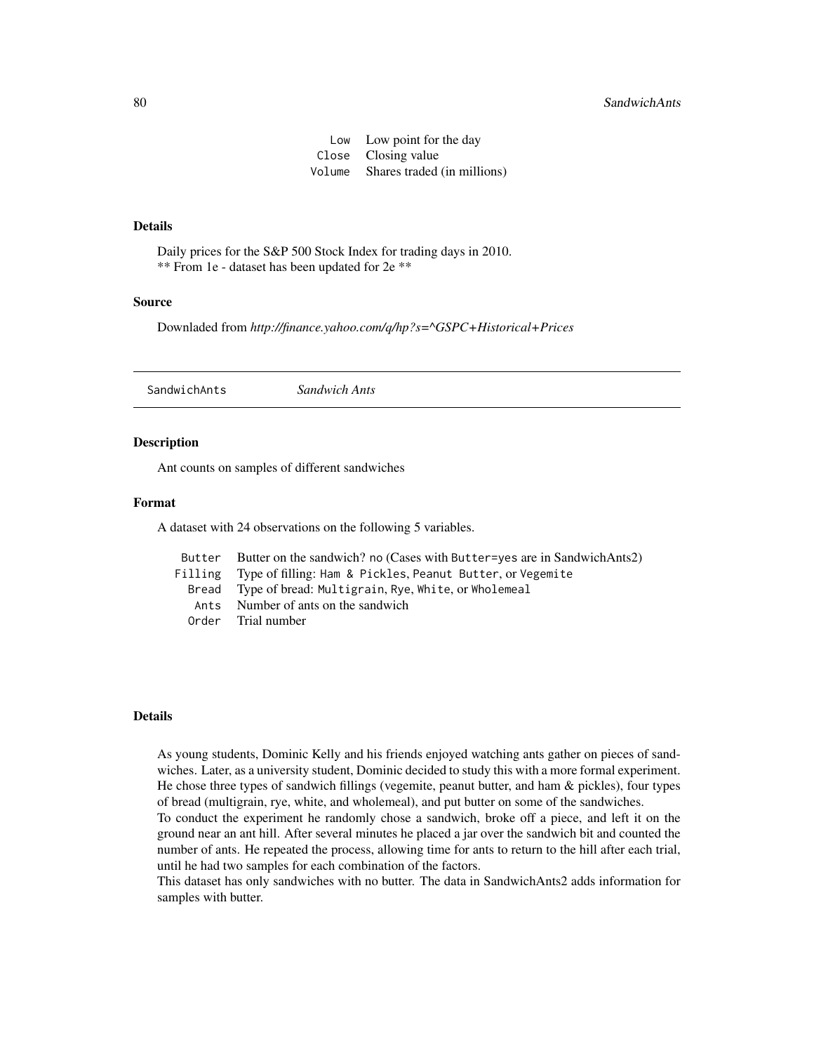Low Low point for the day Close Closing value Volume Shares traded (in millions)

## <span id="page-79-0"></span>Details

Daily prices for the S&P 500 Stock Index for trading days in 2010. \*\* From 1e - dataset has been updated for 2e \*\*

#### Source

Downladed from *http://finance.yahoo.com/q/hp?s=^GSPC+Historical+Prices*

SandwichAnts *Sandwich Ants*

#### **Description**

Ant counts on samples of different sandwiches

## Format

A dataset with 24 observations on the following 5 variables.

| Butter Butter on the sandwich? no (Cases with Butter=yes are in SandwichAnts2) |
|--------------------------------------------------------------------------------|
| Filling Type of filling: Ham & Pickles, Peanut Butter, or Vegemite             |
| Bread Type of bread: Multigrain, Rye, White, or Wholemeal                      |
| Ants Number of ants on the sandwich                                            |
| Order Trial number                                                             |

## Details

As young students, Dominic Kelly and his friends enjoyed watching ants gather on pieces of sandwiches. Later, as a university student, Dominic decided to study this with a more formal experiment. He chose three types of sandwich fillings (vegemite, peanut butter, and ham & pickles), four types of bread (multigrain, rye, white, and wholemeal), and put butter on some of the sandwiches.

To conduct the experiment he randomly chose a sandwich, broke off a piece, and left it on the ground near an ant hill. After several minutes he placed a jar over the sandwich bit and counted the number of ants. He repeated the process, allowing time for ants to return to the hill after each trial, until he had two samples for each combination of the factors.

This dataset has only sandwiches with no butter. The data in SandwichAnts2 adds information for samples with butter.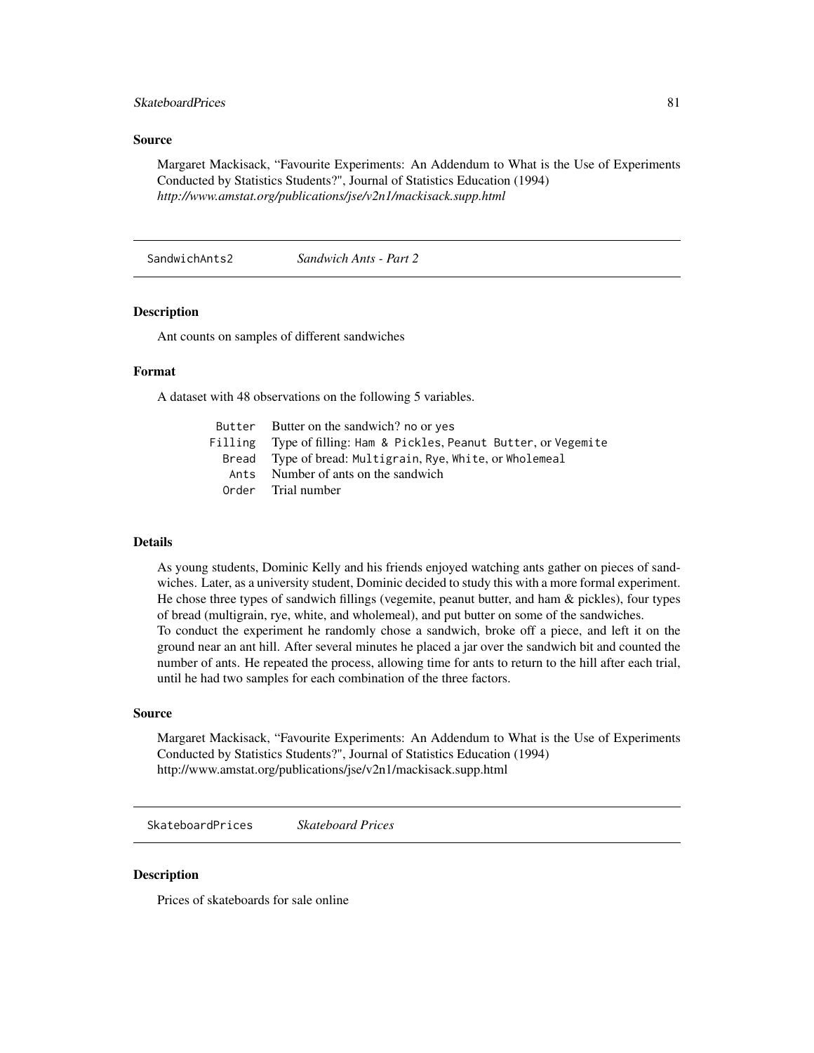## <span id="page-80-0"></span>SkateboardPrices 81

### Source

Margaret Mackisack, "Favourite Experiments: An Addendum to What is the Use of Experiments Conducted by Statistics Students?", Journal of Statistics Education (1994) *http://www.amstat.org/publications/jse/v2n1/mackisack.supp.html*

SandwichAnts2 *Sandwich Ants - Part 2*

#### Description

Ant counts on samples of different sandwiches

#### Format

A dataset with 48 observations on the following 5 variables.

| Butter Butter on the sandwich? no or yes                           |
|--------------------------------------------------------------------|
| Filling Type of filling: Ham & Pickles, Peanut Butter, or Vegemite |
| Bread Type of bread: Multigrain, Rye, White, or Wholemeal          |
| Ants Number of ants on the sandwich                                |
| Order Trial number                                                 |

## Details

As young students, Dominic Kelly and his friends enjoyed watching ants gather on pieces of sandwiches. Later, as a university student, Dominic decided to study this with a more formal experiment. He chose three types of sandwich fillings (vegemite, peanut butter, and ham & pickles), four types of bread (multigrain, rye, white, and wholemeal), and put butter on some of the sandwiches. To conduct the experiment he randomly chose a sandwich, broke off a piece, and left it on the ground near an ant hill. After several minutes he placed a jar over the sandwich bit and counted the number of ants. He repeated the process, allowing time for ants to return to the hill after each trial, until he had two samples for each combination of the three factors.

#### Source

Margaret Mackisack, "Favourite Experiments: An Addendum to What is the Use of Experiments Conducted by Statistics Students?", Journal of Statistics Education (1994) http://www.amstat.org/publications/jse/v2n1/mackisack.supp.html

SkateboardPrices *Skateboard Prices*

#### **Description**

Prices of skateboards for sale online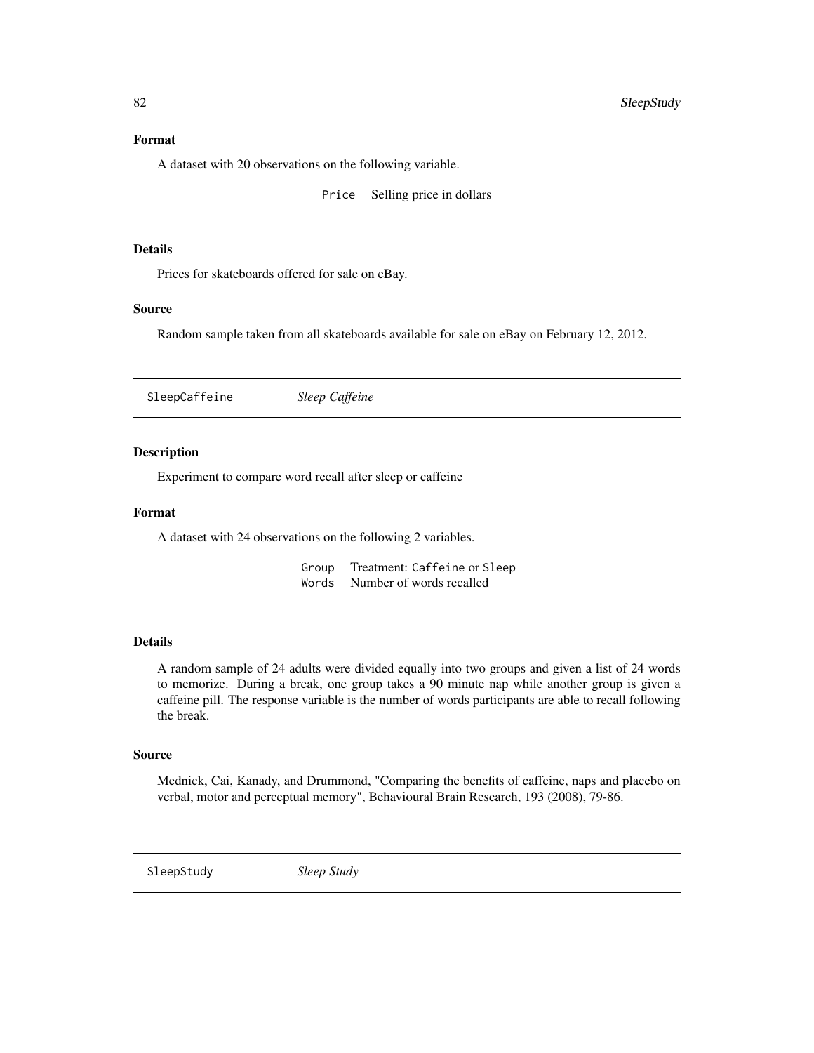## <span id="page-81-0"></span>Format

A dataset with 20 observations on the following variable.

Price Selling price in dollars

#### Details

Prices for skateboards offered for sale on eBay.

#### Source

Random sample taken from all skateboards available for sale on eBay on February 12, 2012.

SleepCaffeine *Sleep Caffeine*

#### Description

Experiment to compare word recall after sleep or caffeine

## Format

A dataset with 24 observations on the following 2 variables.

Group Treatment: Caffeine or Sleep Words Number of words recalled

#### Details

A random sample of 24 adults were divided equally into two groups and given a list of 24 words to memorize. During a break, one group takes a 90 minute nap while another group is given a caffeine pill. The response variable is the number of words participants are able to recall following the break.

#### Source

Mednick, Cai, Kanady, and Drummond, "Comparing the benefits of caffeine, naps and placebo on verbal, motor and perceptual memory", Behavioural Brain Research, 193 (2008), 79-86.

SleepStudy *Sleep Study*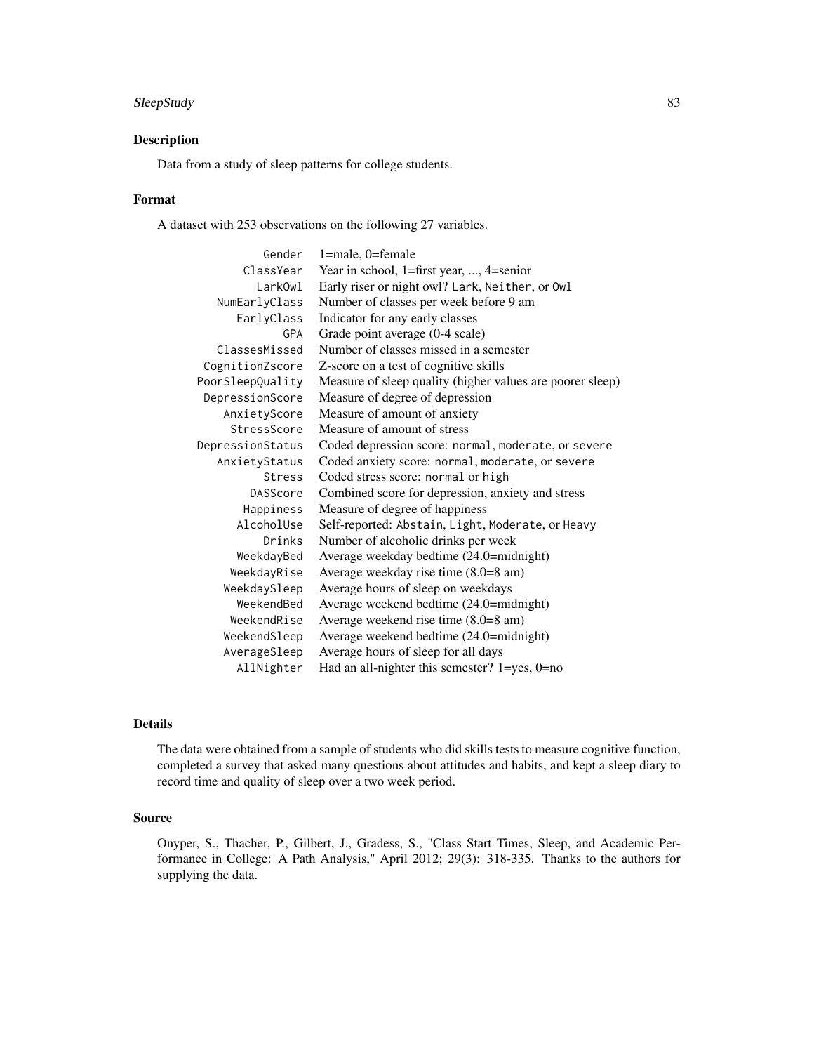## SleepStudy 83

## Description

Data from a study of sleep patterns for college students.

## Format

A dataset with 253 observations on the following 27 variables.

| Gender           | 1=male, 0=female                                          |
|------------------|-----------------------------------------------------------|
| ClassYear        | Year in school, 1=first year, , 4=senior                  |
| LarkOwl          | Early riser or night owl? Lark, Neither, or Owl           |
| NumEarlyClass    | Number of classes per week before 9 am                    |
| EarlyClass       | Indicator for any early classes                           |
| GPA              | Grade point average (0-4 scale)                           |
| ClassesMissed    | Number of classes missed in a semester                    |
| CognitionZscore  | Z-score on a test of cognitive skills                     |
| PoorSleepQuality | Measure of sleep quality (higher values are poorer sleep) |
| DepressionScore  | Measure of degree of depression                           |
| AnxietyScore     | Measure of amount of anxiety                              |
| StressScore      | Measure of amount of stress                               |
| DepressionStatus | Coded depression score: normal, moderate, or severe       |
| AnxietyStatus    | Coded anxiety score: normal, moderate, or severe          |
| <b>Stress</b>    | Coded stress score: normal or high                        |
| <b>DASScore</b>  | Combined score for depression, anxiety and stress         |
| Happiness        | Measure of degree of happiness                            |
| AlcoholUse       | Self-reported: Abstain, Light, Moderate, or Heavy         |
| Drinks           | Number of alcoholic drinks per week                       |
| WeekdayBed       | Average weekday bedtime (24.0=midnight)                   |
| WeekdayRise      | Average weekday rise time (8.0=8 am)                      |
| WeekdaySleep     | Average hours of sleep on weekdays                        |
| WeekendBed       | Average weekend bedtime (24.0=midnight)                   |
| WeekendRise      | Average weekend rise time (8.0=8 am)                      |
| WeekendSleep     | Average weekend bedtime (24.0=midnight)                   |
| AverageSleep     | Average hours of sleep for all days                       |
| AllNighter       | Had an all-nighter this semester? $1 = yes$ , $0 = no$    |

## Details

The data were obtained from a sample of students who did skills tests to measure cognitive function, completed a survey that asked many questions about attitudes and habits, and kept a sleep diary to record time and quality of sleep over a two week period.

## Source

Onyper, S., Thacher, P., Gilbert, J., Gradess, S., "Class Start Times, Sleep, and Academic Performance in College: A Path Analysis," April 2012; 29(3): 318-335. Thanks to the authors for supplying the data.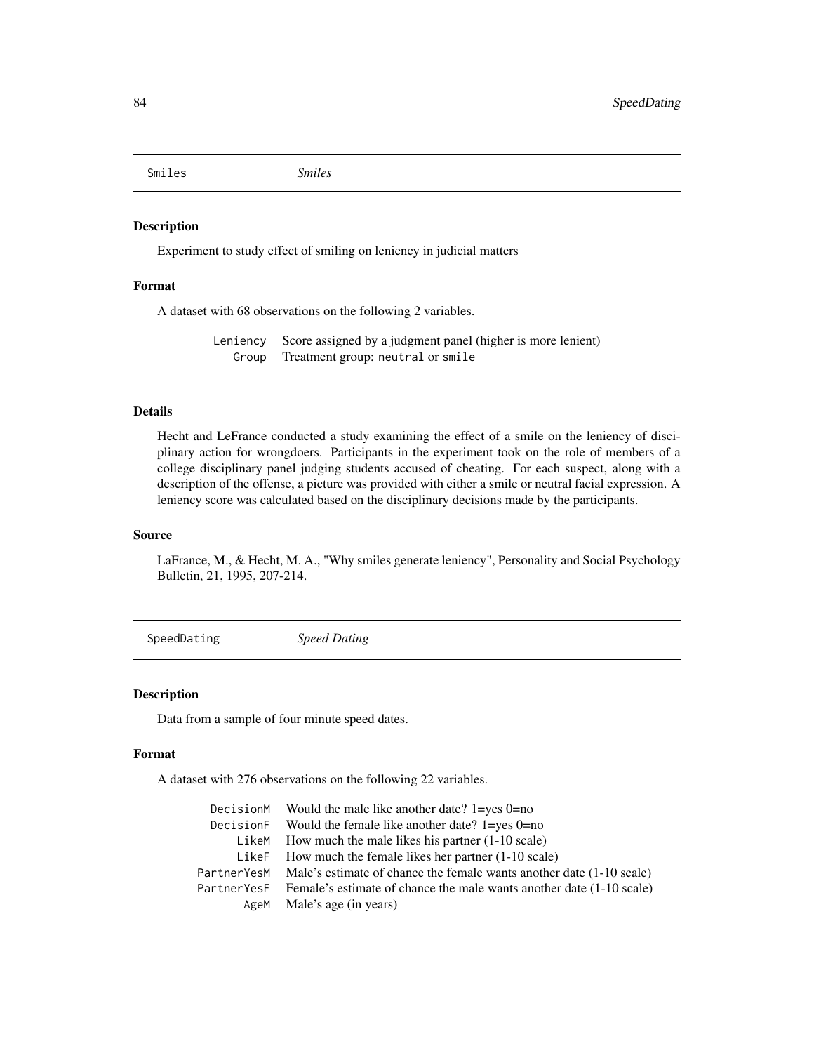<span id="page-83-0"></span>Smiles *Smiles*

## Description

Experiment to study effect of smiling on leniency in judicial matters

## Format

A dataset with 68 observations on the following 2 variables.

Leniency Score assigned by a judgment panel (higher is more lenient) Group Treatment group: neutral or smile

## Details

Hecht and LeFrance conducted a study examining the effect of a smile on the leniency of disciplinary action for wrongdoers. Participants in the experiment took on the role of members of a college disciplinary panel judging students accused of cheating. For each suspect, along with a description of the offense, a picture was provided with either a smile or neutral facial expression. A leniency score was calculated based on the disciplinary decisions made by the participants.

#### Source

LaFrance, M., & Hecht, M. A., "Why smiles generate leniency", Personality and Social Psychology Bulletin, 21, 1995, 207-214.

SpeedDating *Speed Dating*

## Description

Data from a sample of four minute speed dates.

#### Format

A dataset with 276 observations on the following 22 variables.

|             | DecisionM Would the male like another date? $1 = yes 0 = no$                     |
|-------------|----------------------------------------------------------------------------------|
| DecisionF   | Would the female like another date? $1 = yes 0 = no$                             |
| LikeM       | How much the male likes his partner $(1-10 \text{ scale})$                       |
| LikeF       | How much the female likes her partner $(1-10 \text{ scale})$                     |
|             | PartnerYesM Male's estimate of chance the female wants another date (1-10 scale) |
| PartnerYesF | Female's estimate of chance the male wants another date (1-10 scale)             |
|             | AgeM Male's age (in years)                                                       |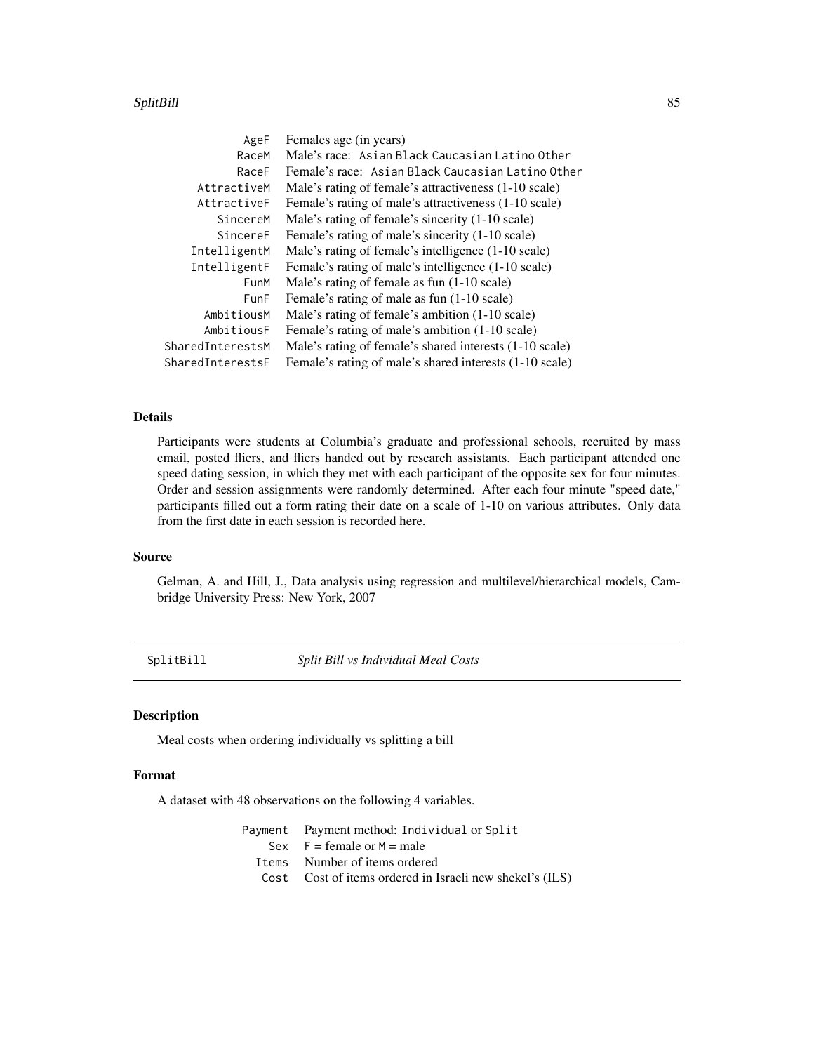#### <span id="page-84-0"></span>SplitBill 85 and 85 and 85 and 85 and 85 and 85 and 86 and 86 and 86 and 86 and 86 and 86 and 86 and 86 and 86

| AgeF             | Females age (in years)                                  |
|------------------|---------------------------------------------------------|
| RaceM            | Male's race: Asian Black Caucasian Latino Other         |
| RaceF            | Female's race: Asian Black Caucasian Latino Other       |
| AttractiveM      | Male's rating of female's attractiveness (1-10 scale)   |
| AttractiveF      | Female's rating of male's attractiveness (1-10 scale)   |
| SincereM         | Male's rating of female's sincerity (1-10 scale)        |
| SincereF         | Female's rating of male's sincerity (1-10 scale)        |
| IntelligentM     | Male's rating of female's intelligence (1-10 scale)     |
| IntelligentF     | Female's rating of male's intelligence (1-10 scale)     |
| FunM             | Male's rating of female as fun (1-10 scale)             |
| <b>FunF</b>      | Female's rating of male as fun (1-10 scale)             |
| AmbitiousM       | Male's rating of female's ambition (1-10 scale)         |
| AmbitiousF       | Female's rating of male's ambition (1-10 scale)         |
| SharedInterestsM | Male's rating of female's shared interests (1-10 scale) |
| SharedInterestsF | Female's rating of male's shared interests (1-10 scale) |

## Details

Participants were students at Columbia's graduate and professional schools, recruited by mass email, posted fliers, and fliers handed out by research assistants. Each participant attended one speed dating session, in which they met with each participant of the opposite sex for four minutes. Order and session assignments were randomly determined. After each four minute "speed date," participants filled out a form rating their date on a scale of 1-10 on various attributes. Only data from the first date in each session is recorded here.

## Source

Gelman, A. and Hill, J., Data analysis using regression and multilevel/hierarchical models, Cambridge University Press: New York, 2007

SplitBill *Split Bill vs Individual Meal Costs*

## Description

Meal costs when ordering individually vs splitting a bill

#### Format

A dataset with 48 observations on the following 4 variables.

| Payment Payment method: Individual or Split              |
|----------------------------------------------------------|
| Sex $F = \text{female or } M = \text{male}$              |
| I tems Number of items ordered                           |
| Cost Cost of items ordered in Israeli new shekel's (ILS) |
|                                                          |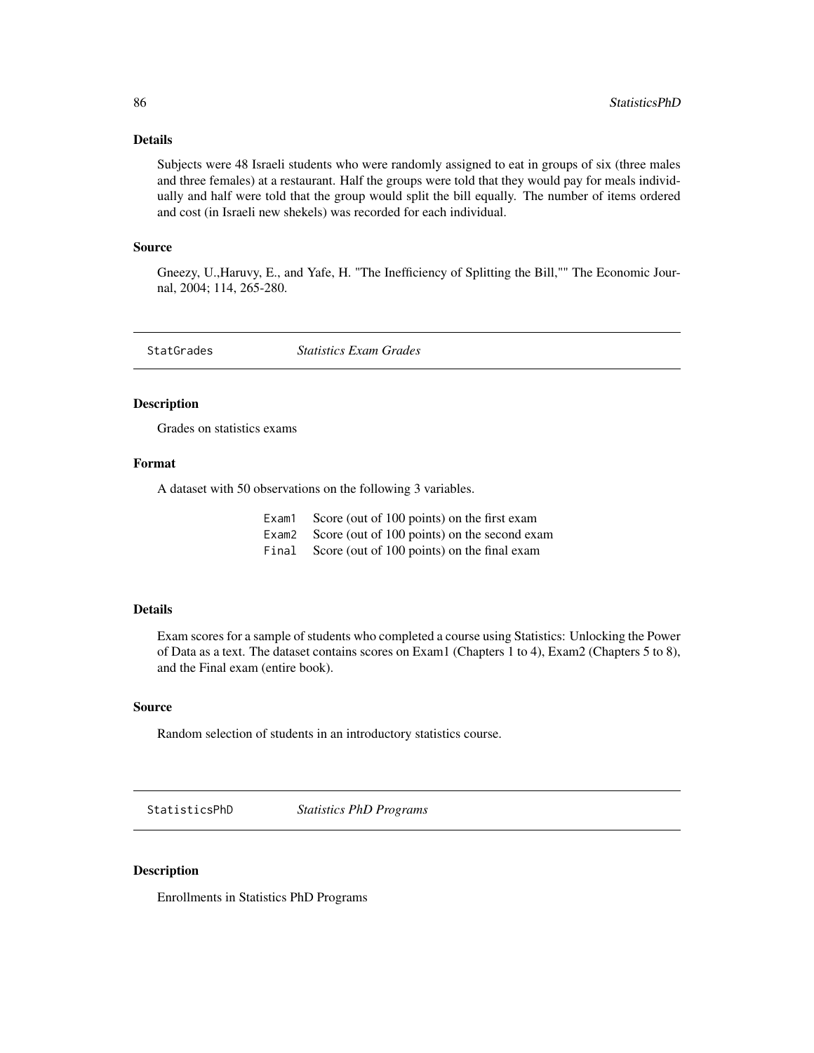## <span id="page-85-0"></span>Details

Subjects were 48 Israeli students who were randomly assigned to eat in groups of six (three males and three females) at a restaurant. Half the groups were told that they would pay for meals individually and half were told that the group would split the bill equally. The number of items ordered and cost (in Israeli new shekels) was recorded for each individual.

#### Source

Gneezy, U.,Haruvy, E., and Yafe, H. "The Inefficiency of Splitting the Bill,"" The Economic Journal, 2004; 114, 265-280.

StatGrades *Statistics Exam Grades*

## Description

Grades on statistics exams

#### Format

A dataset with 50 observations on the following 3 variables.

| Exam1 | Score (out of 100 points) on the first exam        |
|-------|----------------------------------------------------|
|       | Exam2 Score (out of 100 points) on the second exam |
| Final | Score (out of 100 points) on the final exam        |

#### Details

Exam scores for a sample of students who completed a course using Statistics: Unlocking the Power of Data as a text. The dataset contains scores on Exam1 (Chapters 1 to 4), Exam2 (Chapters 5 to 8), and the Final exam (entire book).

#### Source

Random selection of students in an introductory statistics course.

StatisticsPhD *Statistics PhD Programs*

## Description

Enrollments in Statistics PhD Programs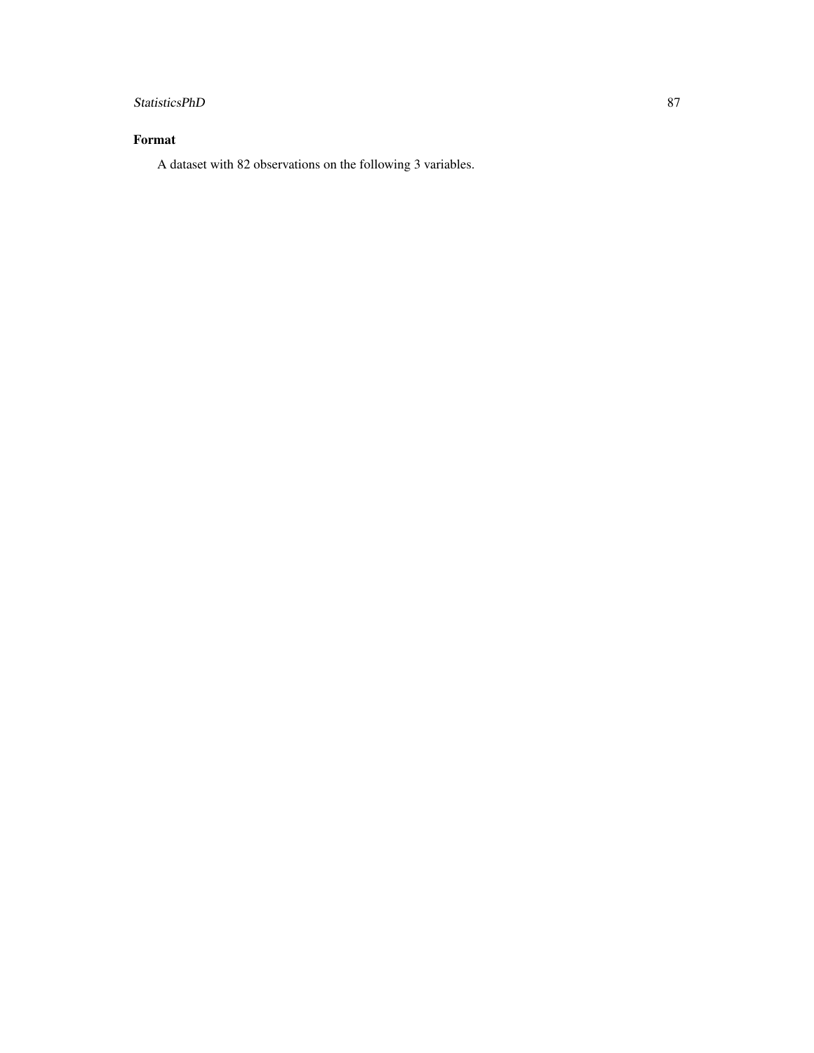## StatisticsPhD 87

## Format

A dataset with 82 observations on the following 3 variables.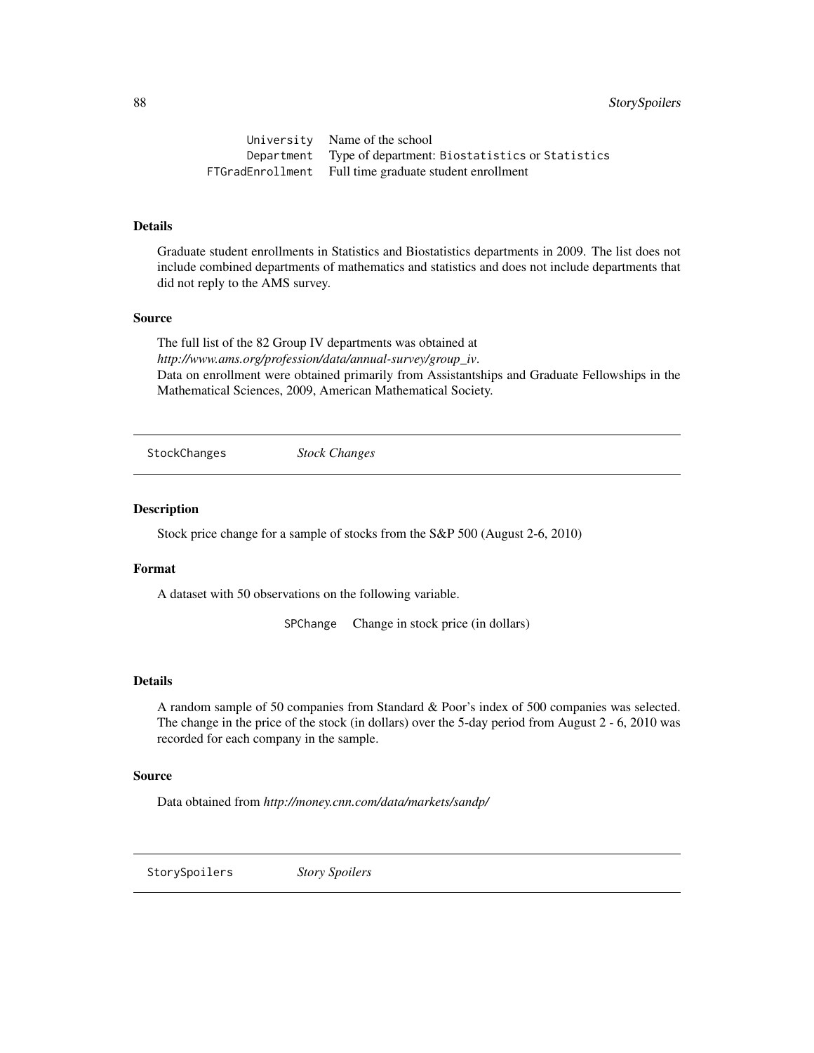<span id="page-87-0"></span>88 StorySpoilers

University Name of the school Department Type of department: Biostatistics or Statistics FTGradEnrollment Full time graduate student enrollment

## Details

Graduate student enrollments in Statistics and Biostatistics departments in 2009. The list does not include combined departments of mathematics and statistics and does not include departments that did not reply to the AMS survey.

#### Source

The full list of the 82 Group IV departments was obtained at *http://www.ams.org/profession/data/annual-survey/group\_iv*. Data on enrollment were obtained primarily from Assistantships and Graduate Fellowships in the Mathematical Sciences, 2009, American Mathematical Society.

StockChanges *Stock Changes*

#### Description

Stock price change for a sample of stocks from the S&P 500 (August 2-6, 2010)

#### Format

A dataset with 50 observations on the following variable.

SPChange Change in stock price (in dollars)

#### Details

A random sample of 50 companies from Standard & Poor's index of 500 companies was selected. The change in the price of the stock (in dollars) over the 5-day period from August 2 - 6, 2010 was recorded for each company in the sample.

#### Source

Data obtained from *http://money.cnn.com/data/markets/sandp/*

StorySpoilers *Story Spoilers*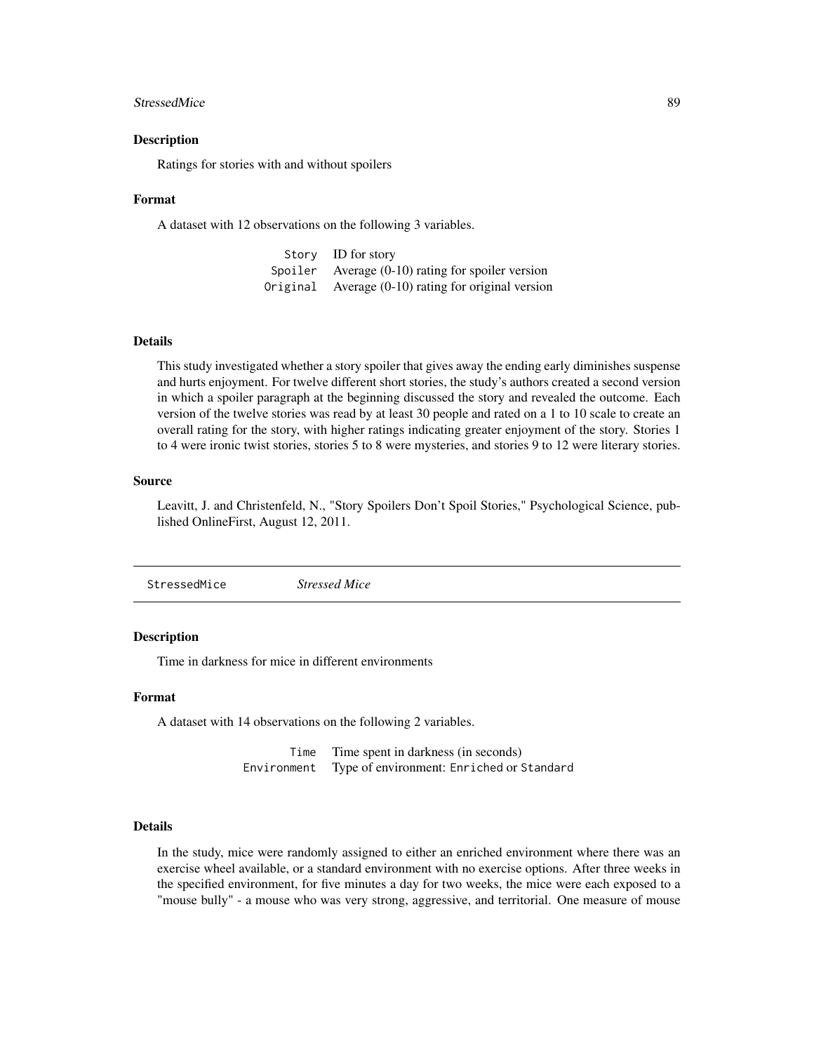#### <span id="page-88-0"></span>StressedMice 89

#### Description

Ratings for stories with and without spoilers

#### Format

A dataset with 12 observations on the following 3 variables.

Story ID for story Spoiler Average (0-10) rating for spoiler version Original Average (0-10) rating for original version

#### Details

This study investigated whether a story spoiler that gives away the ending early diminishes suspense and hurts enjoyment. For twelve different short stories, the study's authors created a second version in which a spoiler paragraph at the beginning discussed the story and revealed the outcome. Each version of the twelve stories was read by at least 30 people and rated on a 1 to 10 scale to create an overall rating for the story, with higher ratings indicating greater enjoyment of the story. Stories 1 to 4 were ironic twist stories, stories 5 to 8 were mysteries, and stories 9 to 12 were literary stories.

#### Source

Leavitt, J. and Christenfeld, N., "Story Spoilers Don't Spoil Stories," Psychological Science, published OnlineFirst, August 12, 2011.

StressedMice *Stressed Mice*

#### **Description**

Time in darkness for mice in different environments

#### Format

A dataset with 14 observations on the following 2 variables.

Time Time spent in darkness (in seconds) Environment Type of environment: Enriched or Standard

## Details

In the study, mice were randomly assigned to either an enriched environment where there was an exercise wheel available, or a standard environment with no exercise options. After three weeks in the specified environment, for five minutes a day for two weeks, the mice were each exposed to a "mouse bully" - a mouse who was very strong, aggressive, and territorial. One measure of mouse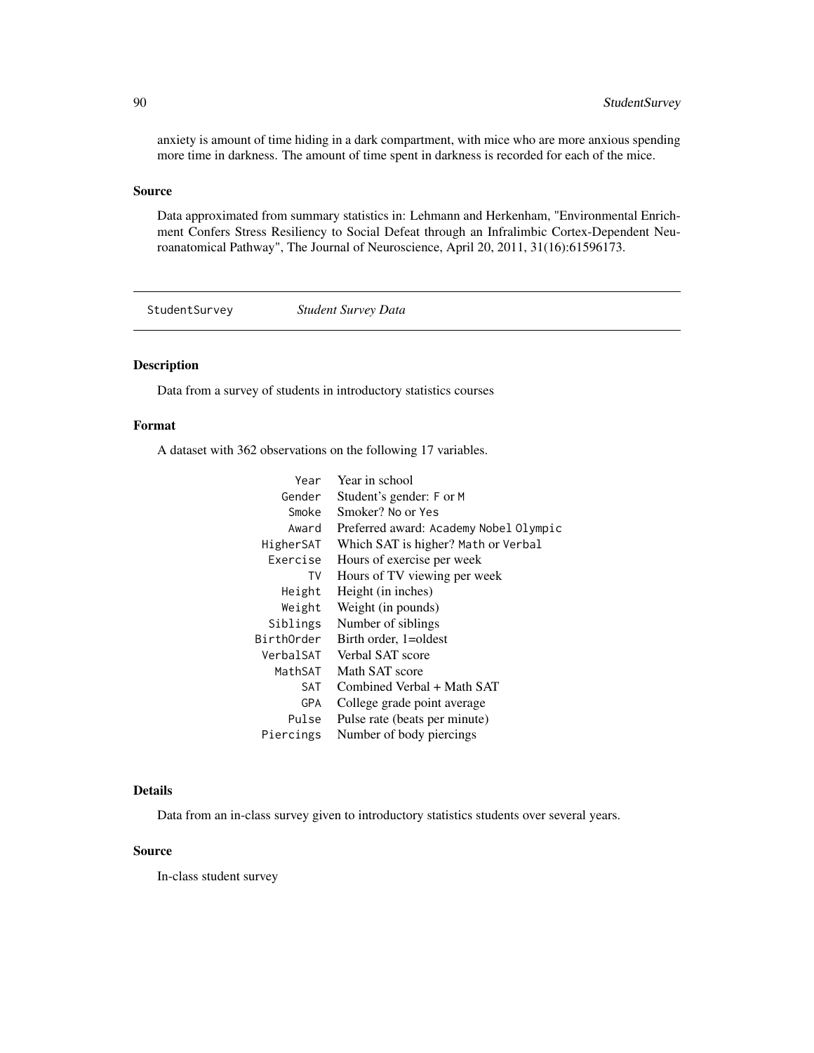anxiety is amount of time hiding in a dark compartment, with mice who are more anxious spending more time in darkness. The amount of time spent in darkness is recorded for each of the mice.

#### Source

Data approximated from summary statistics in: Lehmann and Herkenham, "Environmental Enrichment Confers Stress Resiliency to Social Defeat through an Infralimbic Cortex-Dependent Neuroanatomical Pathway", The Journal of Neuroscience, April 20, 2011, 31(16):61596173.

StudentSurvey *Student Survey Data*

## Description

Data from a survey of students in introductory statistics courses

## Format

A dataset with 362 observations on the following 17 variables.

| Year       | Year in school                         |
|------------|----------------------------------------|
| Gender     | Student's gender: F or M               |
| Smoke      | Smoker? No or Yes                      |
| Award      | Preferred award: Academy Nobel Olympic |
| HigherSAT  | Which SAT is higher? Math or Verbal    |
| Exercise   | Hours of exercise per week             |
| TV         | Hours of TV viewing per week           |
| Height     | Height (in inches)                     |
| Weight     | Weight (in pounds)                     |
| Siblings   | Number of siblings                     |
| BirthOrder | Birth order, 1=oldest                  |
| VerbalSAT  | Verbal SAT score                       |
| MathSAT    | Math SAT score                         |
| SAT        | Combined Verbal + Math SAT             |
| <b>GPA</b> | College grade point average            |
| Pulse      | Pulse rate (beats per minute)          |
| Piercings  | Number of body piercings               |

## Details

Data from an in-class survey given to introductory statistics students over several years.

## Source

In-class student survey

<span id="page-89-0"></span>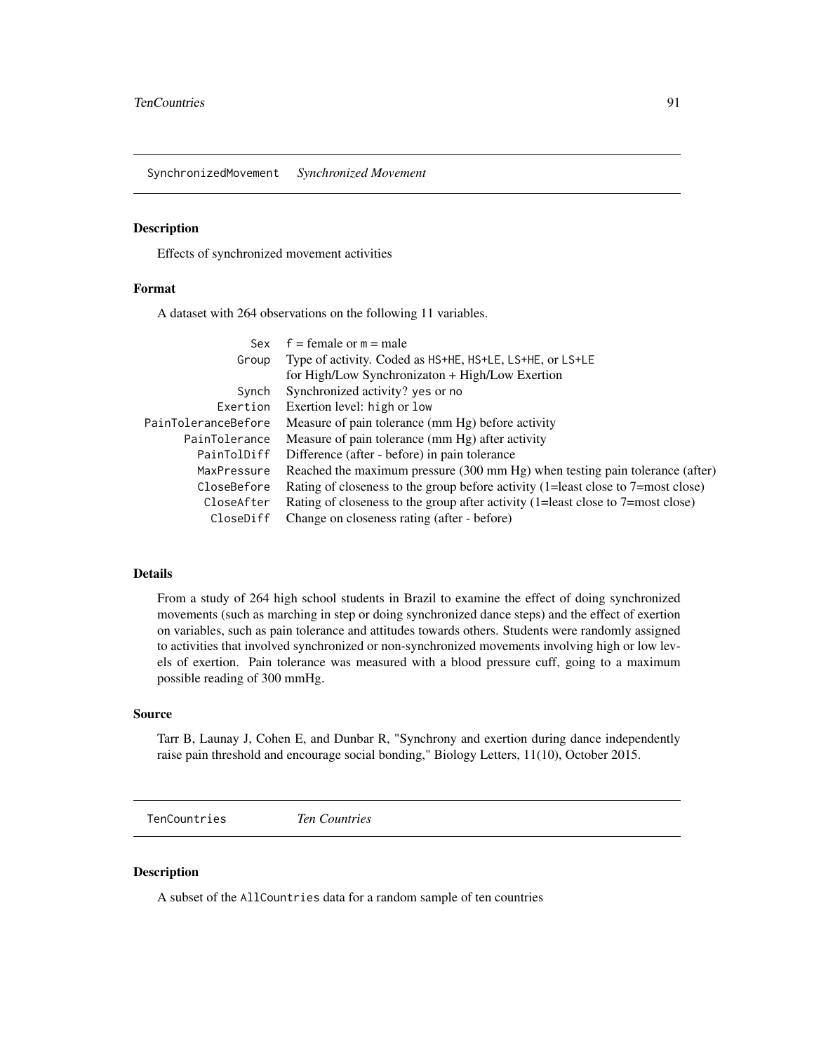<span id="page-90-0"></span>SynchronizedMovement *Synchronized Movement*

## Description

Effects of synchronized movement activities

## Format

A dataset with 264 observations on the following 11 variables.

| Sex                 | $f =$ female or $m =$ male                                                       |
|---------------------|----------------------------------------------------------------------------------|
| Group               | Type of activity. Coded as HS+HE, HS+LE, LS+HE, or LS+LE                         |
|                     | for High/Low Synchronizaton + High/Low Exertion                                  |
| Synch               | Synchronized activity? yes or no                                                 |
| Exertion            | Exertion level: high or low                                                      |
| PainToleranceBefore | Measure of pain tolerance (mm Hg) before activity                                |
| PainTolerance       | Measure of pain tolerance (mm Hg) after activity                                 |
| PainTolDiff         | Difference (after - before) in pain tolerance                                    |
| MaxPressure         | Reached the maximum pressure (300 mm Hg) when testing pain tolerance (after)     |
| CloseBefore         | Rating of closeness to the group before activity (1=least close to 7=most close) |
| CloseAfter          | Rating of closeness to the group after activity (1=least close to 7=most close)  |
| CloseDiff           | Change on closeness rating (after - before)                                      |

## Details

From a study of 264 high school students in Brazil to examine the effect of doing synchronized movements (such as marching in step or doing synchronized dance steps) and the effect of exertion on variables, such as pain tolerance and attitudes towards others. Students were randomly assigned to activities that involved synchronized or non-synchronized movements involving high or low levels of exertion. Pain tolerance was measured with a blood pressure cuff, going to a maximum possible reading of 300 mmHg.

#### Source

Tarr B, Launay J, Cohen E, and Dunbar R, "Synchrony and exertion during dance independently raise pain threshold and encourage social bonding," Biology Letters, 11(10), October 2015.

TenCountries *Ten Countries*

## Description

A subset of the AllCountries data for a random sample of ten countries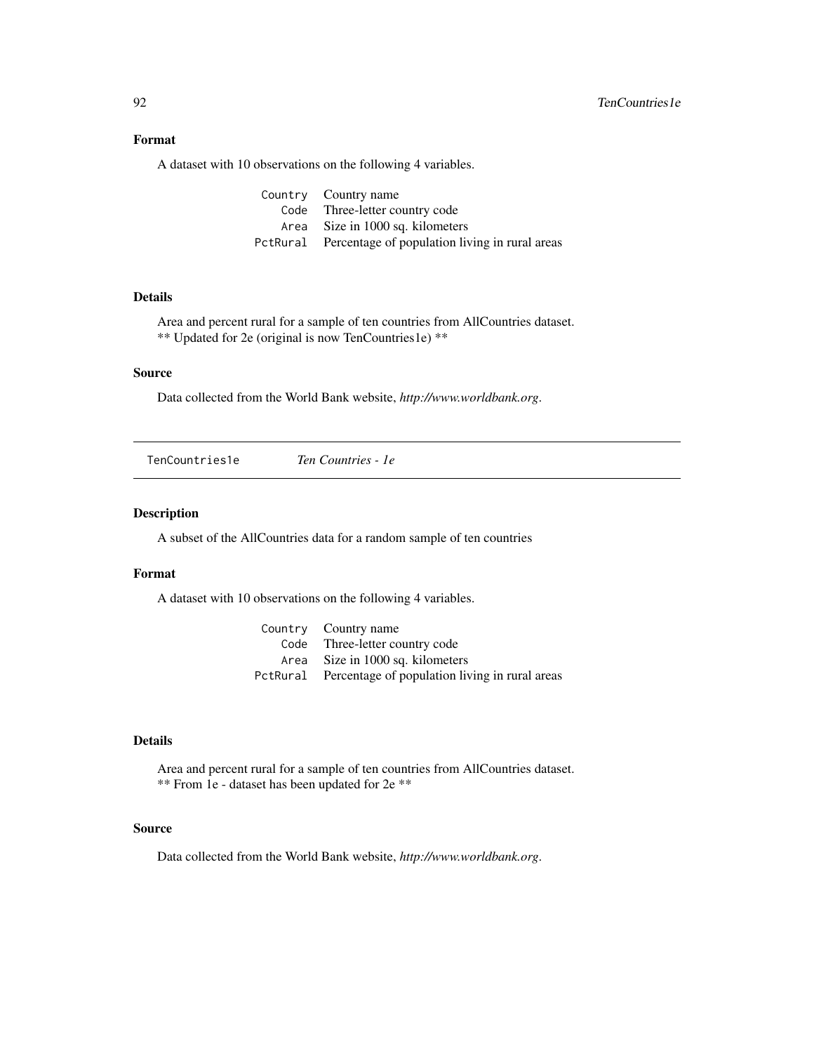## <span id="page-91-0"></span>Format

A dataset with 10 observations on the following 4 variables.

| Country Country name                                    |
|---------------------------------------------------------|
| Code Three-letter country code                          |
| Area Size in 1000 sq. kilometers                        |
| PctRural Percentage of population living in rural areas |

## Details

Area and percent rural for a sample of ten countries from AllCountries dataset. \*\* Updated for 2e (original is now TenCountries1e) \*\*

## Source

Data collected from the World Bank website, *http://www.worldbank.org*.

| TenCountries1e | Ten Countries - 1e |  |
|----------------|--------------------|--|
|                |                    |  |

## Description

A subset of the AllCountries data for a random sample of ten countries

## Format

A dataset with 10 observations on the following 4 variables.

| Country Country name                                    |
|---------------------------------------------------------|
| Code Three-letter country code                          |
| Area Size in 1000 sq. kilometers                        |
| PctRural Percentage of population living in rural areas |

## Details

Area and percent rural for a sample of ten countries from AllCountries dataset. \*\* From 1e - dataset has been updated for 2e \*\*

## Source

Data collected from the World Bank website, *http://www.worldbank.org*.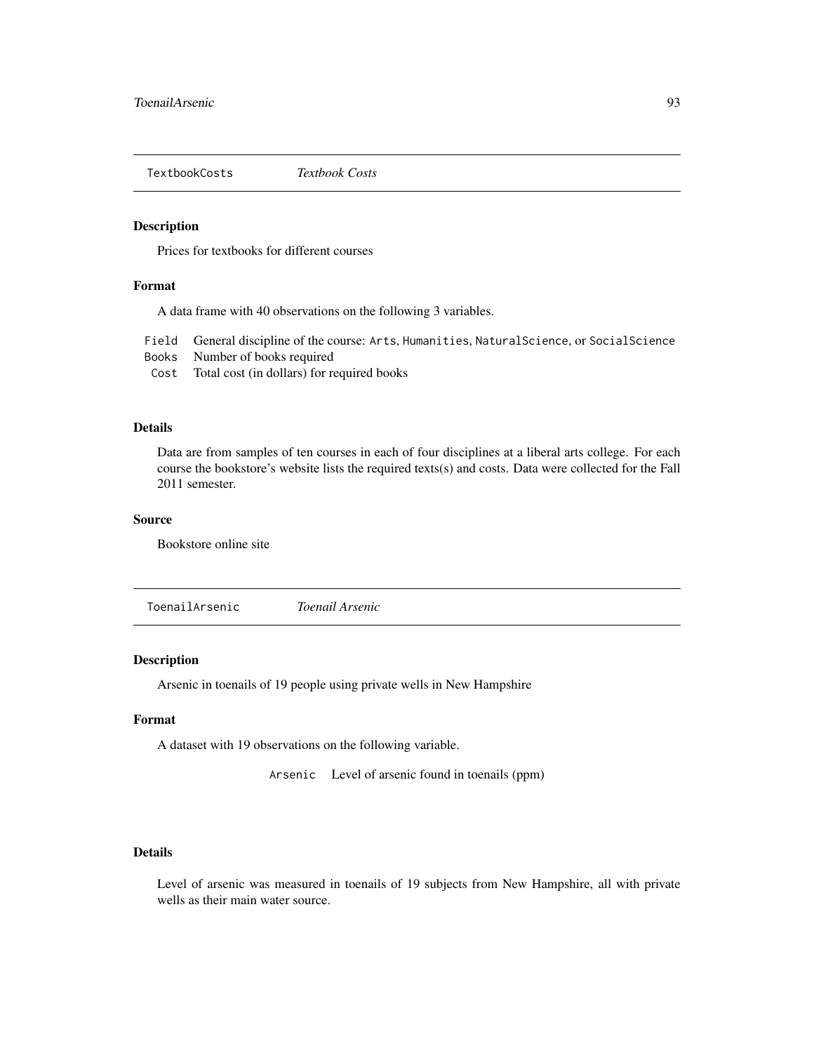<span id="page-92-0"></span>TextbookCosts *Textbook Costs*

## Description

Prices for textbooks for different courses

## Format

A data frame with 40 observations on the following 3 variables.

Field General discipline of the course: Arts, Humanities, NaturalScience, or SocialScience

- Books Number of books required
- Cost Total cost (in dollars) for required books

## Details

Data are from samples of ten courses in each of four disciplines at a liberal arts college. For each course the bookstore's website lists the required texts(s) and costs. Data were collected for the Fall 2011 semester.

#### Source

Bookstore online site

ToenailArsenic *Toenail Arsenic*

#### Description

Arsenic in toenails of 19 people using private wells in New Hampshire

#### Format

A dataset with 19 observations on the following variable.

Arsenic Level of arsenic found in toenails (ppm)

## Details

Level of arsenic was measured in toenails of 19 subjects from New Hampshire, all with private wells as their main water source.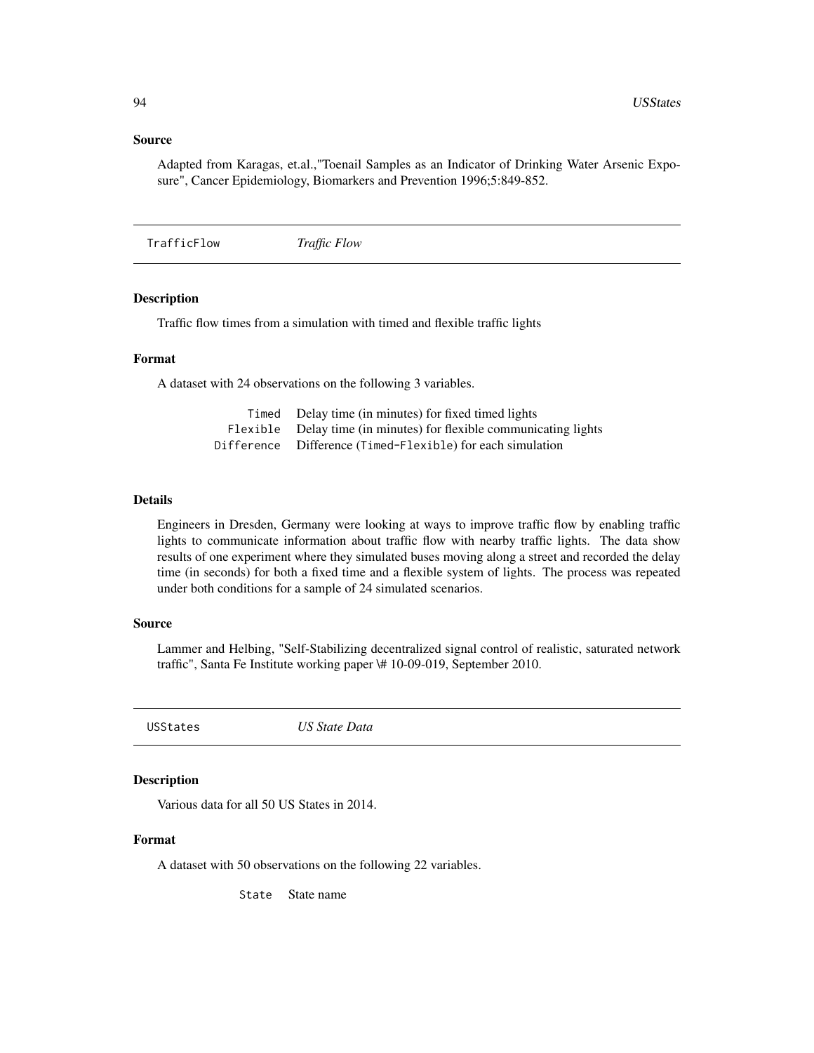#### <span id="page-93-0"></span>Source

Adapted from Karagas, et.al.,"Toenail Samples as an Indicator of Drinking Water Arsenic Exposure", Cancer Epidemiology, Biomarkers and Prevention 1996;5:849-852.

TrafficFlow *Traffic Flow*

## Description

Traffic flow times from a simulation with timed and flexible traffic lights

## Format

A dataset with 24 observations on the following 3 variables.

| Timed | Delay time (in minutes) for fixed timed lights                     |
|-------|--------------------------------------------------------------------|
|       | Flexible Delay time (in minutes) for flexible communicating lights |
|       | Difference Difference (Timed-Flexible) for each simulation         |

#### Details

Engineers in Dresden, Germany were looking at ways to improve traffic flow by enabling traffic lights to communicate information about traffic flow with nearby traffic lights. The data show results of one experiment where they simulated buses moving along a street and recorded the delay time (in seconds) for both a fixed time and a flexible system of lights. The process was repeated under both conditions for a sample of 24 simulated scenarios.

#### Source

Lammer and Helbing, "Self-Stabilizing decentralized signal control of realistic, saturated network traffic", Santa Fe Institute working paper \# 10-09-019, September 2010.

USStates *US State Data*

#### Description

Various data for all 50 US States in 2014.

## Format

A dataset with 50 observations on the following 22 variables.

State State name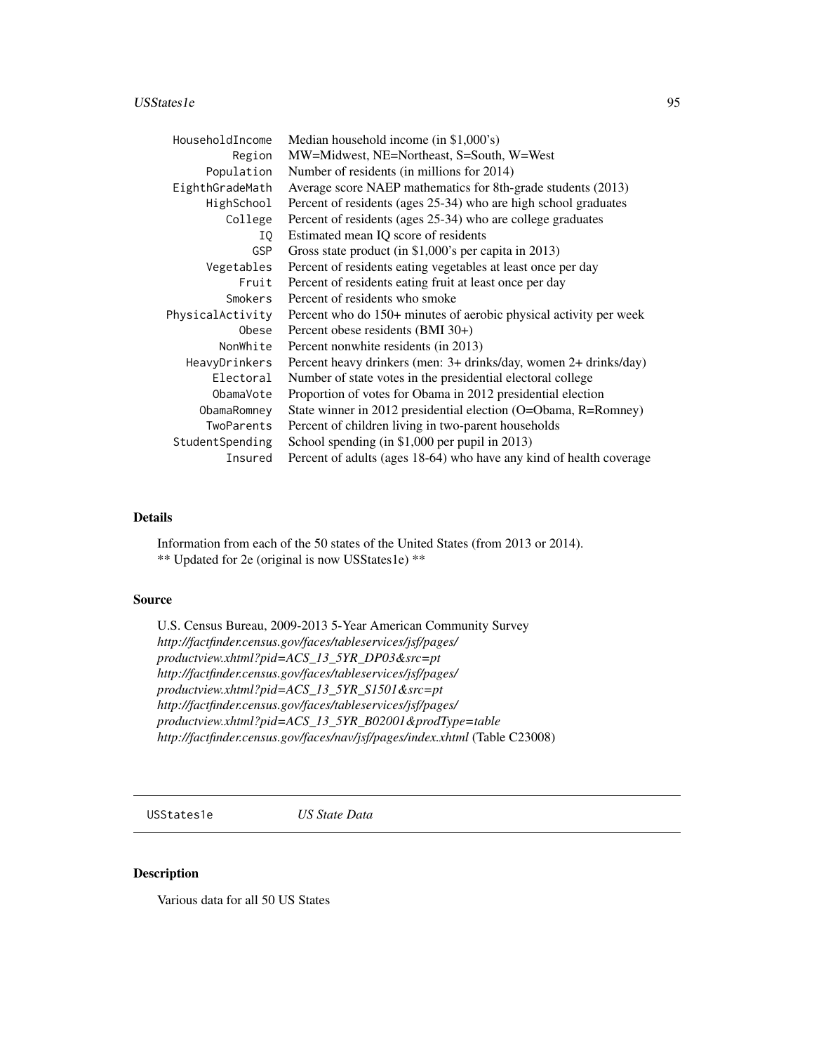#### <span id="page-94-0"></span>USStates 1e 95

| HouseholdIncome  | Median household income (in \$1,000's)                              |
|------------------|---------------------------------------------------------------------|
| Region           | MW=Midwest, NE=Northeast, S=South, W=West                           |
| Population       | Number of residents (in millions for 2014)                          |
| EighthGradeMath  | Average score NAEP mathematics for 8th-grade students (2013)        |
| HighSchool       | Percent of residents (ages 25-34) who are high school graduates     |
| College          | Percent of residents (ages 25-34) who are college graduates         |
| IQ               | Estimated mean IQ score of residents                                |
| <b>GSP</b>       | Gross state product (in \$1,000's per capita in 2013)               |
| Vegetables       | Percent of residents eating vegetables at least once per day        |
| Fruit            | Percent of residents eating fruit at least once per day             |
| Smokers          | Percent of residents who smoke                                      |
| PhysicalActivity | Percent who do 150+ minutes of aerobic physical activity per week   |
| Obese            | Percent obese residents (BMI 30+)                                   |
| NonWhite         | Percent nonwhite residents (in 2013)                                |
| HeavyDrinkers    | Percent heavy drinkers (men: 3+ drinks/day, women 2+ drinks/day)    |
| Electoral        | Number of state votes in the presidential electoral college         |
| ObamaVote        | Proportion of votes for Obama in 2012 presidential election         |
| ObamaRomney      | State winner in 2012 presidential election (O=Obama, R=Romney)      |
| TwoParents       | Percent of children living in two-parent households                 |
| StudentSpending  | School spending (in \$1,000 per pupil in 2013)                      |
| Insured          | Percent of adults (ages 18-64) who have any kind of health coverage |

## Details

Information from each of the 50 states of the United States (from 2013 or 2014). \*\* Updated for 2e (original is now USStates1e) \*\*

## Source

U.S. Census Bureau, 2009-2013 5-Year American Community Survey *http://factfinder.census.gov/faces/tableservices/jsf/pages/ productview.xhtml?pid=ACS\_13\_5YR\_DP03&src=pt http://factfinder.census.gov/faces/tableservices/jsf/pages/ productview.xhtml?pid=ACS\_13\_5YR\_S1501&src=pt http://factfinder.census.gov/faces/tableservices/jsf/pages/ productview.xhtml?pid=ACS\_13\_5YR\_B02001&prodType=table http://factfinder.census.gov/faces/nav/jsf/pages/index.xhtml* (Table C23008)

USStates1e *US State Data*

## Description

Various data for all 50 US States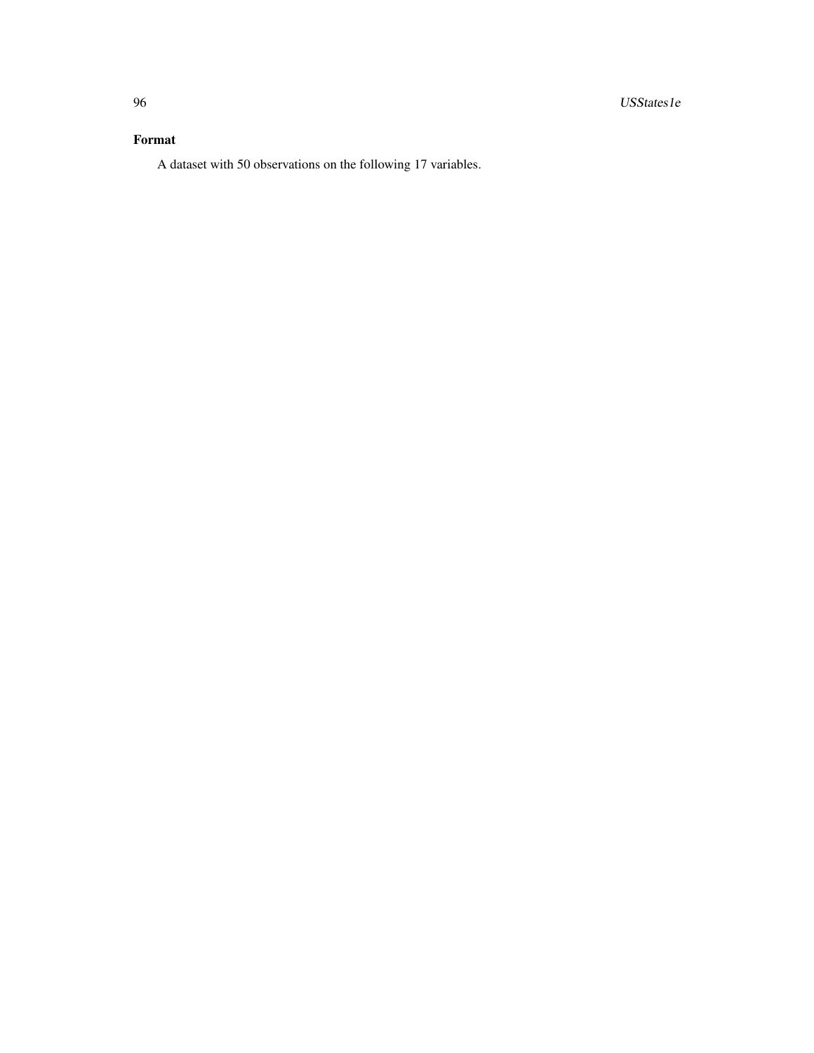## Format

A dataset with 50 observations on the following 17 variables.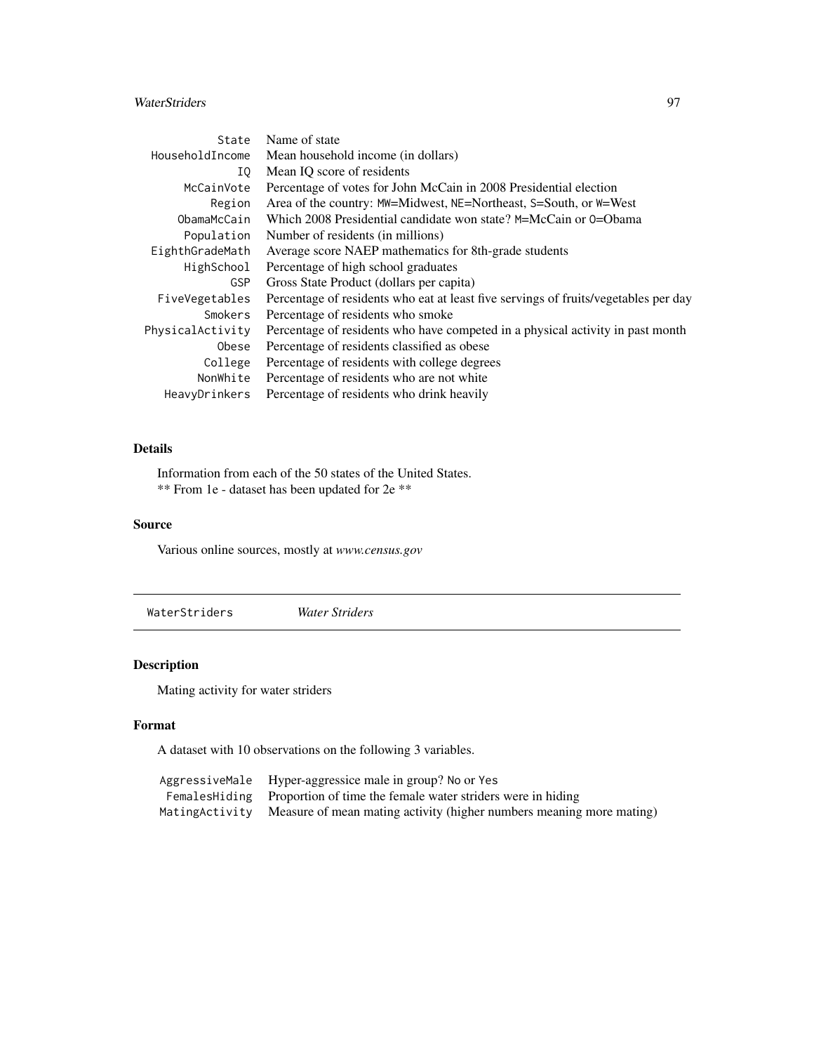## <span id="page-96-0"></span>WaterStriders 97

| State            | Name of state                                                                       |
|------------------|-------------------------------------------------------------------------------------|
| HouseholdIncome  | Mean household income (in dollars)                                                  |
| ΙO               | Mean IO score of residents                                                          |
| McCainVote       | Percentage of votes for John McCain in 2008 Presidential election                   |
| Region           | Area of the country: MW=Midwest, NE=Northeast, S=South, or W=West                   |
| ObamaMcCain      | Which 2008 Presidential candidate won state? M=McCain or 0=Obama                    |
| Population       | Number of residents (in millions)                                                   |
| EighthGradeMath  | Average score NAEP mathematics for 8th-grade students                               |
| HighSchool       | Percentage of high school graduates                                                 |
| <b>GSP</b>       | Gross State Product (dollars per capita)                                            |
| FiveVegetables   | Percentage of residents who eat at least five servings of fruits/vegetables per day |
| Smokers          | Percentage of residents who smoke                                                   |
| PhysicalActivity | Percentage of residents who have competed in a physical activity in past month      |
| Obese            | Percentage of residents classified as obese                                         |
| College          | Percentage of residents with college degrees                                        |
| NonWhite         | Percentage of residents who are not white                                           |
| HeavyDrinkers    | Percentage of residents who drink heavily                                           |

## Details

Information from each of the 50 states of the United States. \*\* From 1e - dataset has been updated for 2e \*\*

## Source

Various online sources, mostly at *www.census.gov*

WaterStriders *Water Striders*

## Description

Mating activity for water striders

## Format

A dataset with 10 observations on the following 3 variables.

| AggressiveMale Hyper-aggressice male in group? No or Yes                             |
|--------------------------------------------------------------------------------------|
| Females Hiding Proportion of time the female water striders were in hiding           |
| Mating Activity Measure of mean mating activity (higher numbers meaning more mating) |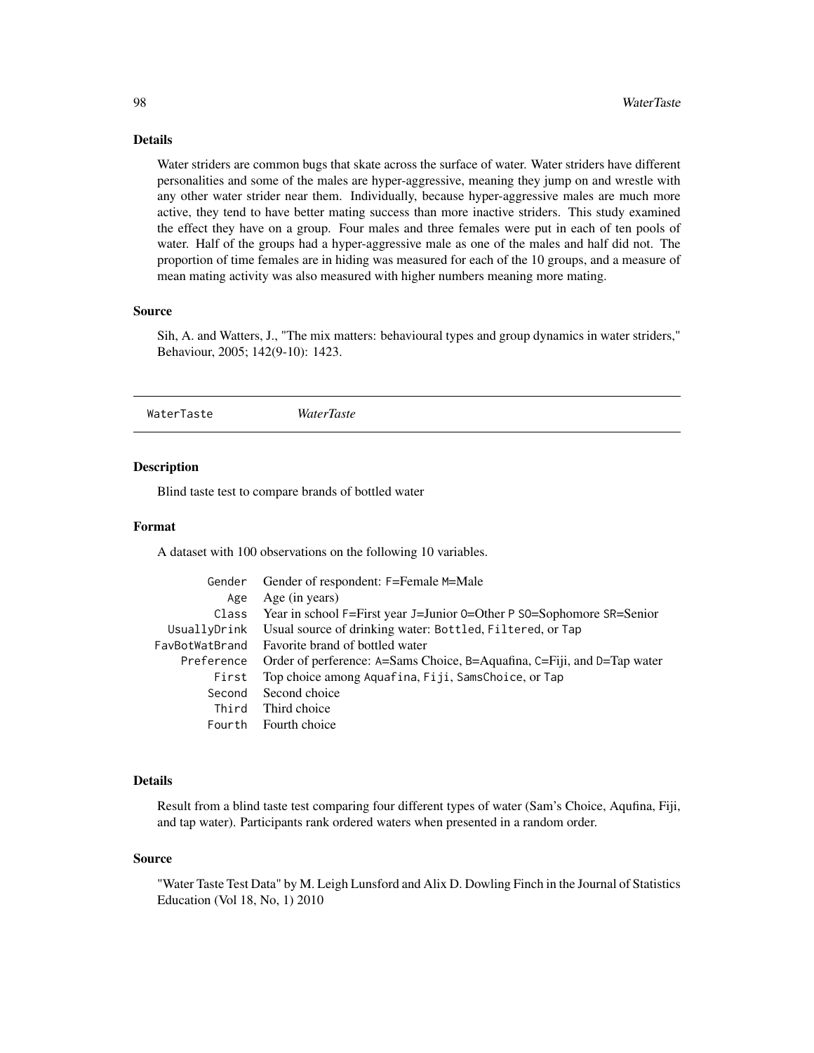## <span id="page-97-0"></span>Details

Water striders are common bugs that skate across the surface of water. Water striders have different personalities and some of the males are hyper-aggressive, meaning they jump on and wrestle with any other water strider near them. Individually, because hyper-aggressive males are much more active, they tend to have better mating success than more inactive striders. This study examined the effect they have on a group. Four males and three females were put in each of ten pools of water. Half of the groups had a hyper-aggressive male as one of the males and half did not. The proportion of time females are in hiding was measured for each of the 10 groups, and a measure of mean mating activity was also measured with higher numbers meaning more mating.

#### Source

Sih, A. and Watters, J., "The mix matters: behavioural types and group dynamics in water striders," Behaviour, 2005; 142(9-10): 1423.

WaterTaste *WaterTaste*

## Description

Blind taste test to compare brands of bottled water

## Format

A dataset with 100 observations on the following 10 variables.

| Gender     | Gender of respondent: F=Female M=Male                                   |
|------------|-------------------------------------------------------------------------|
| Age        | Age (in years)                                                          |
| Class      | Year in school F=First year J=Junior 0=Other P S0=Sophomore SR=Senior   |
|            | UsuallyDrink Usual source of drinking water: Bottled, Filtered, or Tap  |
|            | FavBotWatBrand Favorite brand of bottled water                          |
| Preference | Order of perference: A=Sams Choice, B=Aquafina, C=Fiji, and D=Tap water |
| First      | Top choice among Aquafina, Fiji, SamsChoice, or Tap                     |
| Second     | Second choice                                                           |
| Third      | Third choice                                                            |
| Fourth     | Fourth choice                                                           |

#### Details

Result from a blind taste test comparing four different types of water (Sam's Choice, Aqufina, Fiji, and tap water). Participants rank ordered waters when presented in a random order.

#### Source

"Water Taste Test Data" by M. Leigh Lunsford and Alix D. Dowling Finch in the Journal of Statistics Education (Vol 18, No, 1) 2010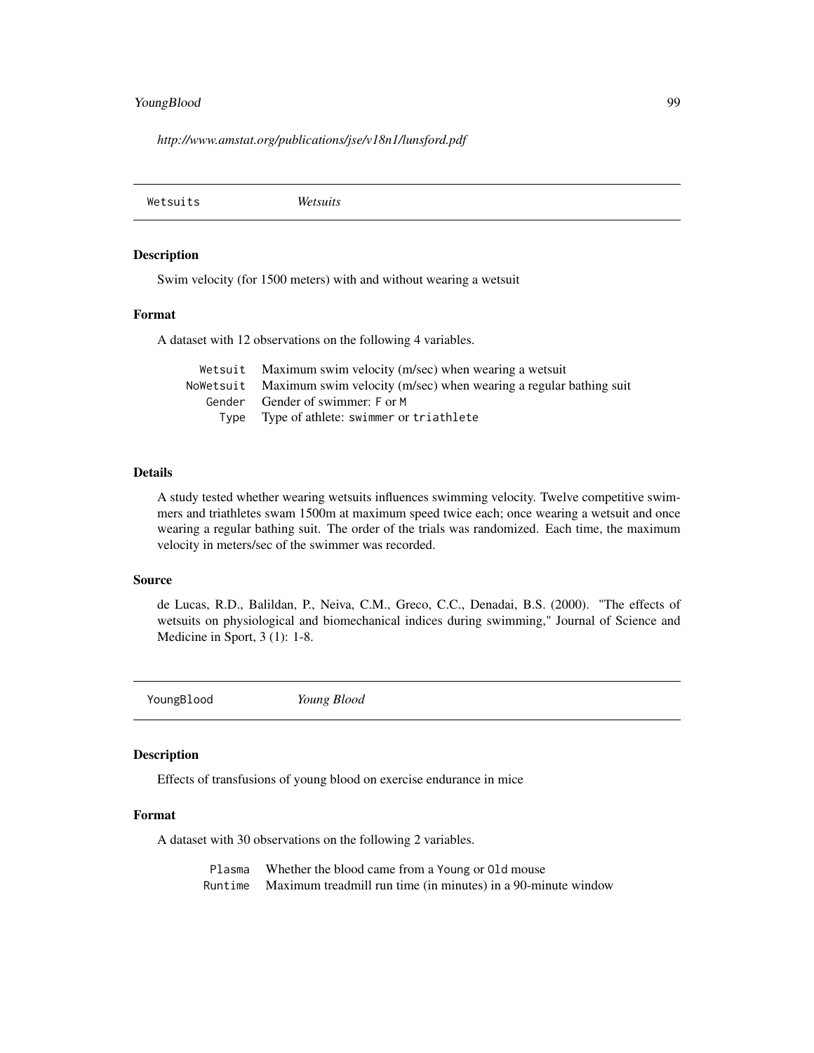## <span id="page-98-0"></span>YoungBlood 99

*http://www.amstat.org/publications/jse/v18n1/lunsford.pdf*

Wetsuits *Wetsuits*

## Description

Swim velocity (for 1500 meters) with and without wearing a wetsuit

## Format

A dataset with 12 observations on the following 4 variables.

| Wetsuit Maximum swim velocity (m/sec) when wearing a wetsuit                |
|-----------------------------------------------------------------------------|
| Nowetsuit Maximum swim velocity (m/sec) when wearing a regular bathing suit |
| Gender Gender of swimmer: F or M                                            |
| Type Type of athlete: swimmer or triathlete                                 |

#### Details

A study tested whether wearing wetsuits influences swimming velocity. Twelve competitive swimmers and triathletes swam 1500m at maximum speed twice each; once wearing a wetsuit and once wearing a regular bathing suit. The order of the trials was randomized. Each time, the maximum velocity in meters/sec of the swimmer was recorded.

#### Source

de Lucas, R.D., Balildan, P., Neiva, C.M., Greco, C.C., Denadai, B.S. (2000). "The effects of wetsuits on physiological and biomechanical indices during swimming," Journal of Science and Medicine in Sport, 3 (1): 1-8.

YoungBlood *Young Blood*

#### Description

Effects of transfusions of young blood on exercise endurance in mice

## Format

A dataset with 30 observations on the following 2 variables.

Plasma Whether the blood came from a Young or Old mouse Runtime Maximum treadmill run time (in minutes) in a 90-minute window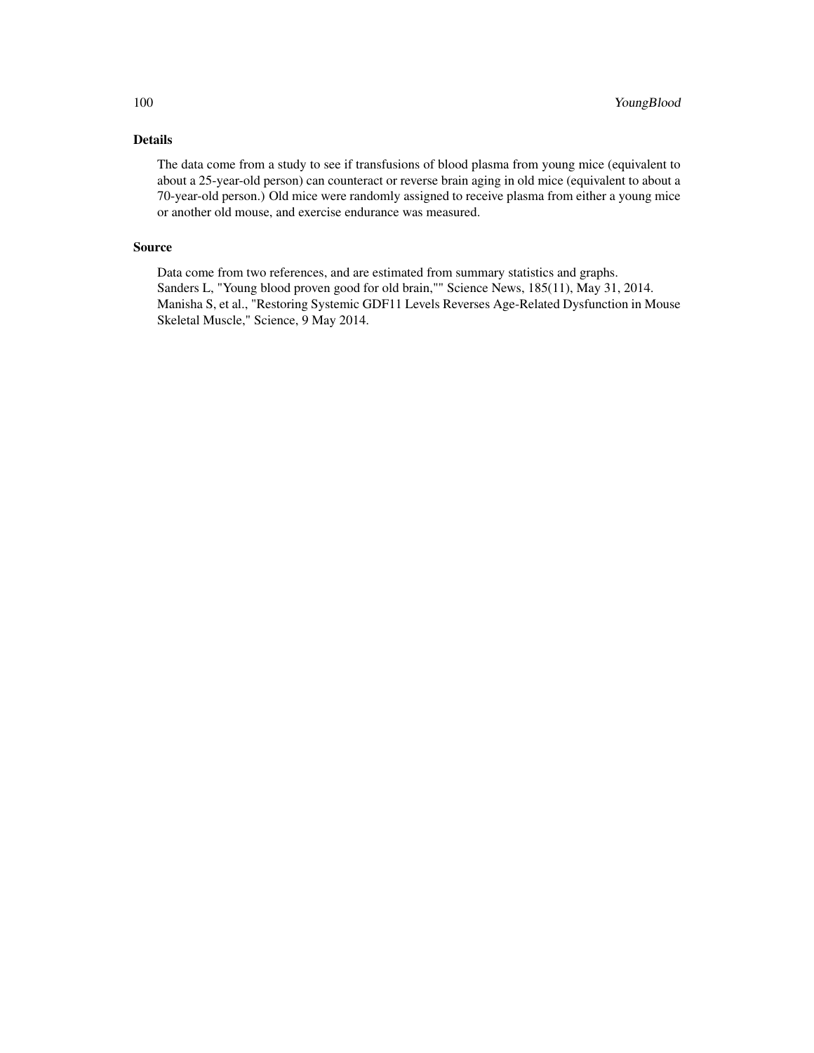## Details

The data come from a study to see if transfusions of blood plasma from young mice (equivalent to about a 25-year-old person) can counteract or reverse brain aging in old mice (equivalent to about a 70-year-old person.) Old mice were randomly assigned to receive plasma from either a young mice or another old mouse, and exercise endurance was measured.

## Source

Data come from two references, and are estimated from summary statistics and graphs. Sanders L, "Young blood proven good for old brain,"" Science News, 185(11), May 31, 2014. Manisha S, et al., "Restoring Systemic GDF11 Levels Reverses Age-Related Dysfunction in Mouse Skeletal Muscle," Science, 9 May 2014.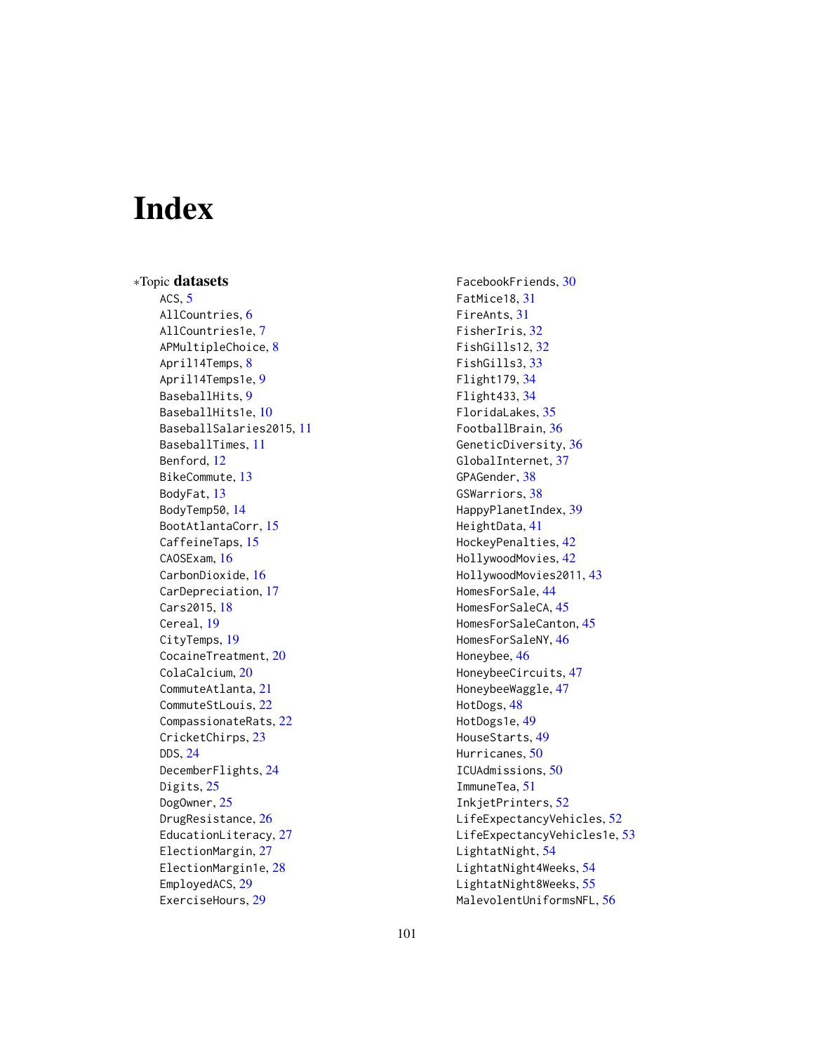# **Index**

∗Topic datasets ACS, [5](#page-4-0) AllCountries, [6](#page-5-0) AllCountries1e, [7](#page-6-0) APMultipleChoice, [8](#page-7-0) April14Temps, [8](#page-7-0) April14Temps1e, [9](#page-8-0) BaseballHits, [9](#page-8-0) BaseballHits1e, [10](#page-9-0) BaseballSalaries2015, [11](#page-10-0) BaseballTimes, [11](#page-10-0) Benford, [12](#page-11-0) BikeCommute, [13](#page-12-0) BodyFat, [13](#page-12-0) BodyTemp50, [14](#page-13-0) BootAtlantaCorr, [15](#page-14-0) CaffeineTaps, [15](#page-14-0) CAOSExam, [16](#page-15-0) CarbonDioxide, [16](#page-15-0) CarDepreciation, [17](#page-16-0) Cars2015, [18](#page-17-0) Cereal, [19](#page-18-0) CityTemps, [19](#page-18-0) CocaineTreatment, [20](#page-19-0) ColaCalcium, [20](#page-19-0) CommuteAtlanta, [21](#page-20-0) CommuteStLouis, [22](#page-21-0) CompassionateRats, [22](#page-21-0) CricketChirps, [23](#page-22-0) DDS, [24](#page-23-0) DecemberFlights, [24](#page-23-0) Digits, [25](#page-24-0) DogOwner, [25](#page-24-0) DrugResistance, [26](#page-25-0) EducationLiteracy, [27](#page-26-0) ElectionMargin, [27](#page-26-0) ElectionMargin1e, [28](#page-27-0) EmployedACS, [29](#page-28-0) ExerciseHours, [29](#page-28-0)

FacebookFriends, [30](#page-29-0) FatMice18, [31](#page-30-0) FireAnts, [31](#page-30-0) FisherIris, [32](#page-31-0) FishGills12, [32](#page-31-0) FishGills3, [33](#page-32-0) Flight179, [34](#page-33-0) Flight433, [34](#page-33-0) FloridaLakes, [35](#page-34-0) FootballBrain, [36](#page-35-0) GeneticDiversity, [36](#page-35-0) GlobalInternet, [37](#page-36-0) GPAGender, [38](#page-37-0) GSWarriors, [38](#page-37-0) HappyPlanetIndex, [39](#page-38-0) HeightData, [41](#page-40-0) HockeyPenalties, [42](#page-41-0) HollywoodMovies, [42](#page-41-0) HollywoodMovies2011, [43](#page-42-0) HomesForSale, [44](#page-43-0) HomesForSaleCA, [45](#page-44-0) HomesForSaleCanton, [45](#page-44-0) HomesForSaleNY, [46](#page-45-0) Honeybee, [46](#page-45-0) HoneybeeCircuits, [47](#page-46-0) HoneybeeWaggle, [47](#page-46-0) HotDogs, [48](#page-47-0) HotDogs1e, [49](#page-48-0) HouseStarts, [49](#page-48-0) Hurricanes, [50](#page-49-0) ICUAdmissions, [50](#page-49-0) ImmuneTea, [51](#page-50-0) InkjetPrinters, [52](#page-51-0) LifeExpectancyVehicles, [52](#page-51-0) LifeExpectancyVehicles1e, [53](#page-52-0) LightatNight, [54](#page-53-0) LightatNight4Weeks, [54](#page-53-0) LightatNight8Weeks, [55](#page-54-0) MalevolentUniformsNFL, [56](#page-55-0)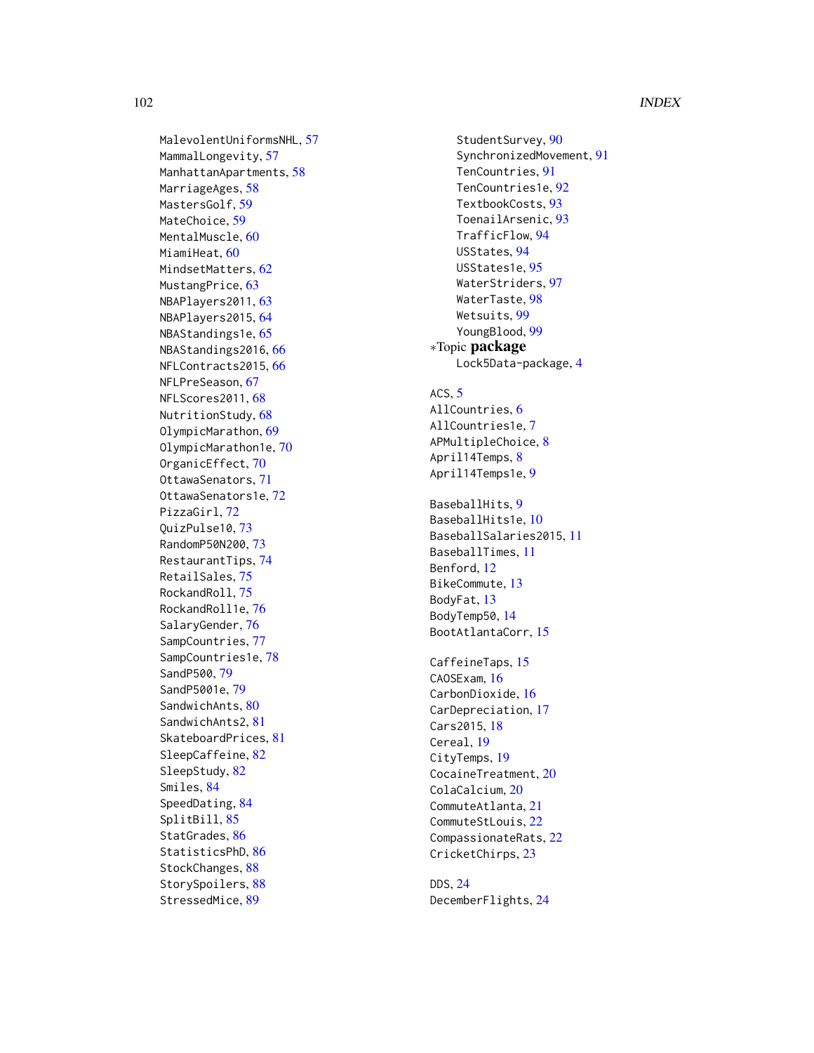## 102 INDEX

MalevolentUniformsNHL, [57](#page-56-0) MammalLongevity, [57](#page-56-0) ManhattanApartments, [58](#page-57-0) MarriageAges, <mark>5</mark>8 MastersGolf, [59](#page-58-0) MateChoice , [59](#page-58-0) MentalMuscle, [60](#page-59-0) MiamiHeat,  $60$ MindsetMatters , [62](#page-61-0) MustangPrice, [63](#page-62-0) NBAPlayers2011, [63](#page-62-0) NBAPlayers2015 , [64](#page-63-0) NBAStandings1e , [65](#page-64-0) NBAStandings2016 , [66](#page-65-0) NFLContracts2015, [66](#page-65-0) NFLPreSeason , [67](#page-66-0) NFLScores2011, [68](#page-67-0) NutritionStudy , [68](#page-67-0) OlympicMarathon , [69](#page-68-0) OlympicMarathon1e , [70](#page-69-0) OrganicEffect, [70](#page-69-0) OttawaSenators , [71](#page-70-0) OttawaSenators1e , [72](#page-71-0) PizzaGirl , [72](#page-71-0) QuizPulse10 , [73](#page-72-0) RandomP50N200 , [73](#page-72-0) RestaurantTips , [74](#page-73-0) RetailSales , [75](#page-74-0) RockandRoll, [75](#page-74-0) RockandRoll1e , [76](#page-75-0) SalaryGender, [76](#page-75-0) SampCountries , [77](#page-76-0) SampCountries1e , [78](#page-77-0) SandP500 , [79](#page-78-0) SandP5001e , [79](#page-78-0) SandwichAnts, [80](#page-79-0) SandwichAnts2, [81](#page-80-0) SkateboardPrices , [81](#page-80-0) SleepCaffeine, [82](#page-81-0) SleepStudy , [82](#page-81-0) Smiles , [84](#page-83-0) SpeedDating , [84](#page-83-0) SplitBill , [85](#page-84-0) StatGrades, [86](#page-85-0) StatisticsPhD, [86](#page-85-0) StockChanges, [88](#page-87-0) StorySpoilers, [88](#page-87-0) StressedMice, [89](#page-88-0)

StudentSurvey, [90](#page-89-0) SynchronizedMovement, [91](#page-90-0) TenCountries , [91](#page-90-0) TenCountries1e , [92](#page-91-0) TextbookCosts, [93](#page-92-0) ToenailArsenic , [93](#page-92-0) TrafficFlow , [94](#page-93-0) USStates , [94](#page-93-0) USStates1e , [95](#page-94-0) WaterStriders , [97](#page-96-0) WaterTaste , [98](#page-97-0) Wetsuits , [99](#page-98-0) YoungBlood , [99](#page-98-0) ∗Topic package Lock5Data-package , [4](#page-3-0) ACS,  $5$ AllCountries, <mark>[6](#page-5-0)</mark> AllCountries1e , [7](#page-6-0) APMultipleChoice , [8](#page-7-0) April14Temps, <mark>[8](#page-7-0)</mark> April14Temps1e , [9](#page-8-0) BaseballHits, <mark>[9](#page-8-0)</mark> BaseballHits1e,[10](#page-9-0) BaseballSalaries2015 , [11](#page-10-0) BaseballTimes , [11](#page-10-0) Benford, [12](#page-11-0) BikeCommute, [13](#page-12-0) BodyFat , [13](#page-12-0) BodyTemp50,[14](#page-13-0) BootAtlantaCorr , [15](#page-14-0) CaffeineTaps, [15](#page-14-0) CAOSExam, [16](#page-15-0) CarbonDioxide, [16](#page-15-0) CarDepreciation , [17](#page-16-0) Cars2015, [18](#page-17-0) Cereal, 1<mark>9</mark> CityTemps, [19](#page-18-0) CocaineTreatment, [20](#page-19-0) ColaCalcium, [20](#page-19-0) CommuteAtlanta , [21](#page-20-0) CommuteStLouis , [22](#page-21-0) CompassionateRats , [22](#page-21-0) CricketChirps , [23](#page-22-0) DDS , [24](#page-23-0)

DecemberFlights , [24](#page-23-0)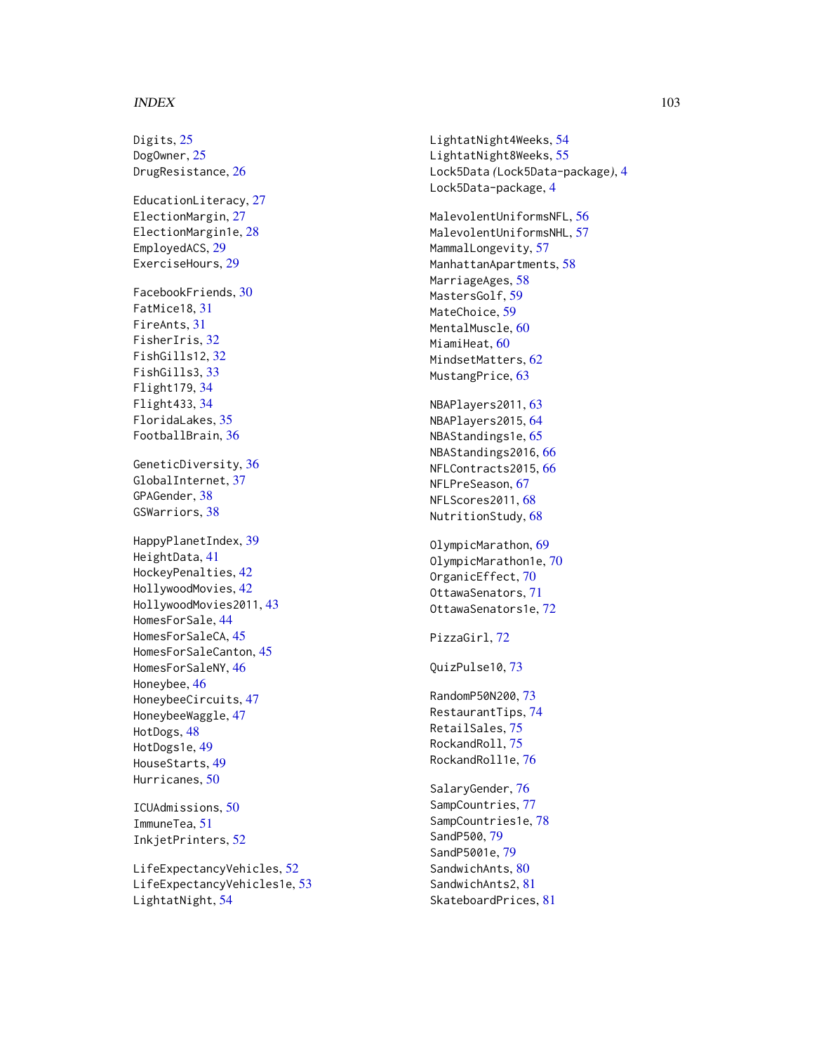#### INDEX  $103$

Digits, [25](#page-24-0) DogOwner, [25](#page-24-0) DrugResistance, [26](#page-25-0) EducationLiteracy, [27](#page-26-0) ElectionMargin, [27](#page-26-0) ElectionMargin1e, [28](#page-27-0) EmployedACS, [29](#page-28-0) ExerciseHours, [29](#page-28-0) FacebookFriends , [30](#page-29-0) FatMice18 , [31](#page-30-0) FireAnts , [31](#page-30-0) FisherIris , [32](#page-31-0) FishGills12 , [32](#page-31-0) FishGills3 , [33](#page-32-0) Flight179 , [34](#page-33-0) Flight433 , [34](#page-33-0) FloridaLakes , [35](#page-34-0) FootballBrain, [36](#page-35-0) GeneticDiversity, [36](#page-35-0) GlobalInternet, [37](#page-36-0) GPAGender, [38](#page-37-0) GSWarriors, [38](#page-37-0) HappyPlanetIndex , [39](#page-38-0) HeightData , [41](#page-40-0) HockeyPenalties , [42](#page-41-0) HollywoodMovies , [42](#page-41-0) HollywoodMovies2011,[43](#page-42-0) HomesForSale , [44](#page-43-0) HomesForSaleCA , [45](#page-44-0) HomesForSaleCanton , [45](#page-44-0) HomesForSaleNY , [46](#page-45-0) Honeybee, [46](#page-45-0) HoneybeeCircuits , [47](#page-46-0) HoneybeeWaggle, [47](#page-46-0) HotDogs, [48](#page-47-0) HotDogs1e , [49](#page-48-0) HouseStarts , [49](#page-48-0) Hurricanes , [50](#page-49-0) ICUAdmissions , [50](#page-49-0) ImmuneTea , [51](#page-50-0) InkjetPrinters , [52](#page-51-0)

LifeExpectancyVehicles , [52](#page-51-0) LifeExpectancyVehicles1e , [53](#page-52-0) LightatNight , [54](#page-53-0)

LightatNight4Weeks , [54](#page-53-0) LightatNight8Weeks, [55](#page-54-0) Lock5Data *(*Lock5Data-package *)* , [4](#page-3-0) Lock5Data-package, [4](#page-3-0)

MalevolentUniformsNFL, [56](#page-55-0) MalevolentUniformsNHL, [57](#page-56-0) MammalLongevity, [57](#page-56-0) ManhattanApartments, [58](#page-57-0) MarriageAges, [58](#page-57-0) MastersGolf , [59](#page-58-0) MateChoice , [59](#page-58-0) MentalMuscle, <mark>6</mark>0 <code>MiamiHeat</code>,  $60$ MindsetMatters , [62](#page-61-0) MustangPrice, [63](#page-62-0)

NBAPlayers2011 , [63](#page-62-0) NBAPlayers2015 , [64](#page-63-0) NBAStandings1e, [65](#page-64-0) NBAStandings2016, [66](#page-65-0) NFLContracts2015 , [66](#page-65-0) NFLPreSeason , [67](#page-66-0) NFLScores2011, [68](#page-67-0) NutritionStudy, [68](#page-67-0)

OlympicMarathon , [69](#page-68-0) OlympicMarathon1e , [70](#page-69-0) OrganicEffect, [70](#page-69-0) OttawaSenators , [71](#page-70-0) OttawaSenators1e, [72](#page-71-0)

PizzaGirl, [72](#page-71-0)

QuizPulse10,[73](#page-72-0)

RandomP50N200,[73](#page-72-0) RestaurantTips , [74](#page-73-0) RetailSales , [75](#page-74-0) RockandRoll, [75](#page-74-0) RockandRoll1e, [76](#page-75-0)

SalaryGender , [76](#page-75-0) SampCountries, [77](#page-76-0) SampCountries1e, [78](#page-77-0) SandP500 , [79](#page-78-0) SandP5001e , [79](#page-78-0) SandwichAnts, [80](#page-79-0) SandwichAnts2, [81](#page-80-0) SkateboardPrices , [81](#page-80-0)